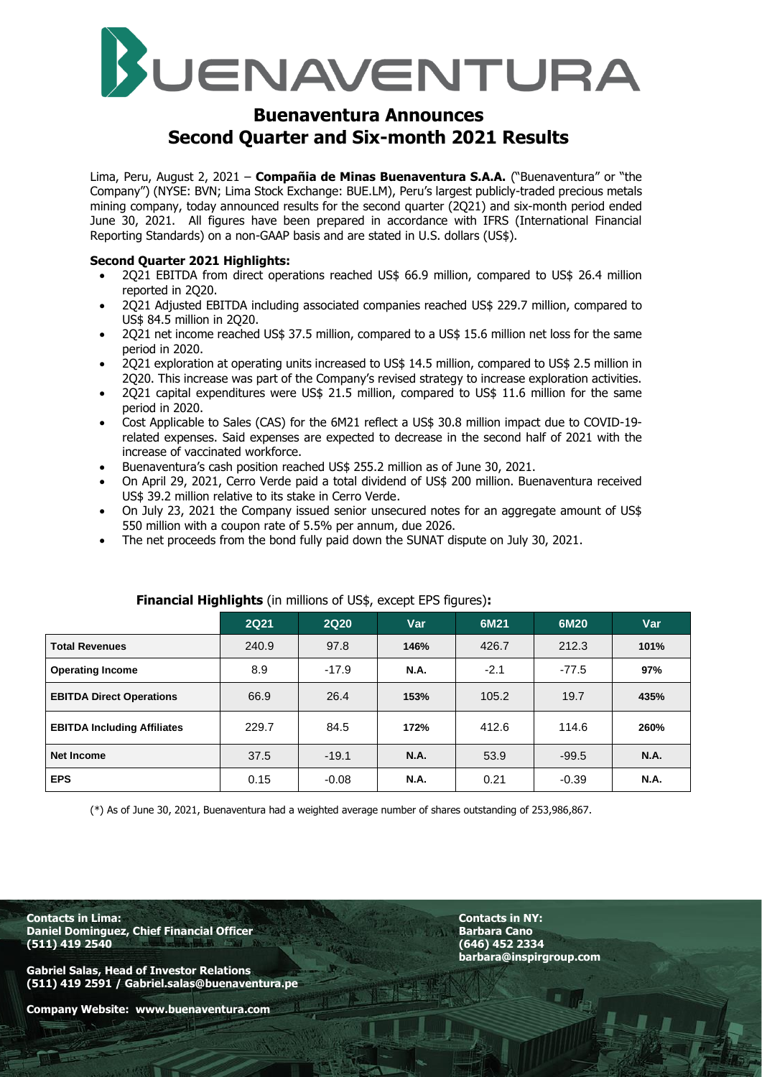

# **Buenaventura Announces Second Quarter and Six-month 2021 Results**

Lima, Peru, August 2, 2021 – **Compañia de Minas Buenaventura S.A.A.** ("Buenaventura" or "the Company") (NYSE: BVN; Lima Stock Exchange: BUE.LM), Peru's largest publicly-traded precious metals mining company, today announced results for the second quarter (2Q21) and six-month period ended June 30, 2021. All figures have been prepared in accordance with IFRS (International Financial Reporting Standards) on a non-GAAP basis and are stated in U.S. dollars (US\$).

#### **Second Quarter 2021 Highlights:**

- 2Q21 EBITDA from direct operations reached US\$ 66.9 million, compared to US\$ 26.4 million reported in 2Q20.
- 2Q21 Adjusted EBITDA including associated companies reached US\$ 229.7 million, compared to US\$ 84.5 million in 2Q20.
- 2Q21 net income reached US\$ 37.5 million, compared to a US\$ 15.6 million net loss for the same period in 2020.
- 2Q21 exploration at operating units increased to US\$ 14.5 million, compared to US\$ 2.5 million in 2Q20. This increase was part of the Company's revised strategy to increase exploration activities.
- 2Q21 capital expenditures were US\$ 21.5 million, compared to US\$ 11.6 million for the same period in 2020.
- Cost Applicable to Sales (CAS) for the 6M21 reflect a US\$ 30.8 million impact due to COVID-19 related expenses. Said expenses are expected to decrease in the second half of 2021 with the increase of vaccinated workforce.
- Buenaventura's cash position reached US\$ 255.2 million as of June 30, 2021.
- On April 29, 2021, Cerro Verde paid a total dividend of US\$ 200 million. Buenaventura received US\$ 39.2 million relative to its stake in Cerro Verde.
- On July 23, 2021 the Company issued senior unsecured notes for an aggregate amount of US\$ 550 million with a coupon rate of 5.5% per annum, due 2026.
- The net proceeds from the bond fully paid down the SUNAT dispute on July 30, 2021.

|                                    | <b>2Q21</b> | <b>2Q20</b> | <b>Var</b>  | 6M21   | 6M20    | Var         |
|------------------------------------|-------------|-------------|-------------|--------|---------|-------------|
| <b>Total Revenues</b>              | 240.9       | 97.8        | 146%        | 426.7  | 212.3   | 101%        |
| <b>Operating Income</b>            | 8.9         | $-17.9$     | <b>N.A.</b> | $-2.1$ | $-77.5$ | 97%         |
| <b>EBITDA Direct Operations</b>    | 66.9        | 26.4        | 153%        | 105.2  | 19.7    | 435%        |
| <b>EBITDA Including Affiliates</b> | 229.7       | 84.5        | 172%        | 412.6  | 114.6   | 260%        |
| Net Income                         | 37.5        | $-19.1$     | <b>N.A.</b> | 53.9   | $-99.5$ | <b>N.A.</b> |
| <b>EPS</b>                         | 0.15        | $-0.08$     | <b>N.A.</b> | 0.21   | $-0.39$ | <b>N.A.</b> |

### **Financial Highlights** (in millions of US\$, except EPS figures)**:**

(\*) As of June 30, 2021, Buenaventura had a weighted average number of shares outstanding of 253,986,867.

**Contacts in Lima: Contacts in NY: Daniel Dominguez, Chief Financial Officer Barbara Cano (511) 419 2540 (646) 452 2334**

**Gabriel Salas, Head of Investor Relations (511) 419 2591 / Gabriel.salas@buenaventura.pe** 

**Company Website: www.buenaventura.com**

**barbara@inspirgroup.com**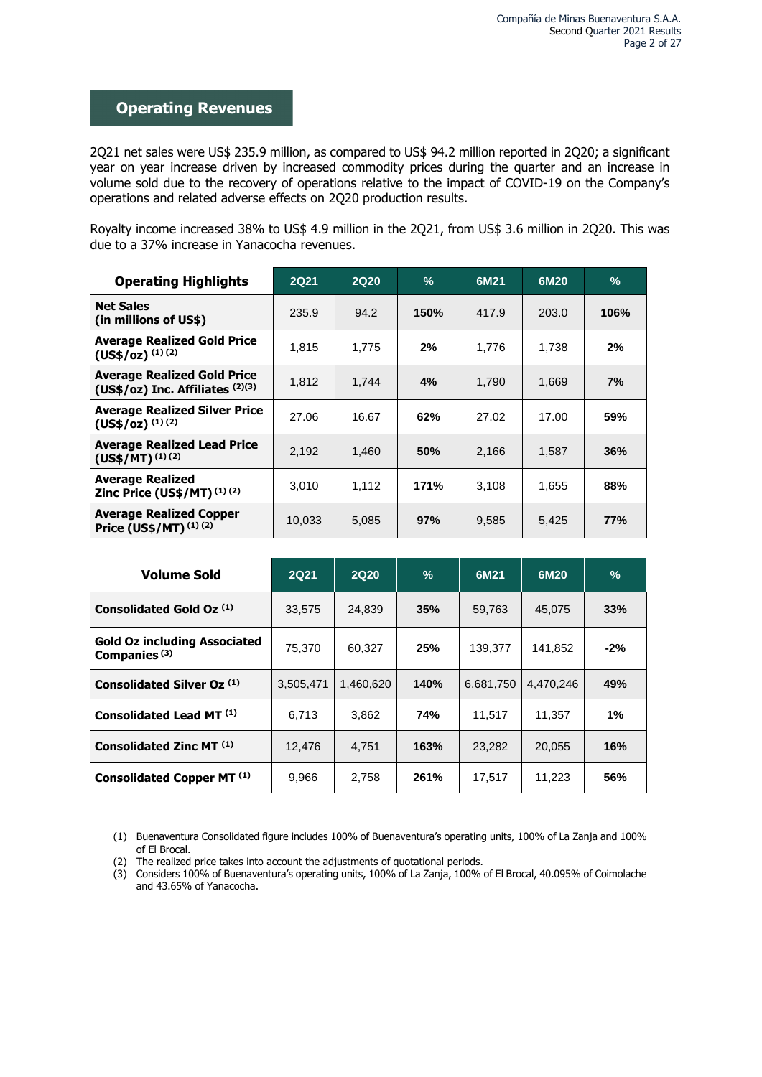# **Operating Revenues**

2Q21 net sales were US\$ 235.9 million, as compared to US\$ 94.2 million reported in 2Q20; a significant year on year increase driven by increased commodity prices during the quarter and an increase in volume sold due to the recovery of operations relative to the impact of COVID-19 on the Company's operations and related adverse effects on 2Q20 production results.

Royalty income increased 38% to US\$ 4.9 million in the 2Q21, from US\$ 3.6 million in 2Q20. This was due to a 37% increase in Yanacocha revenues.

| <b>Operating Highlights</b>                                            | <b>2Q21</b> | <b>2Q20</b> | $\%$ | 6M21  | 6M20  | $\%$ |
|------------------------------------------------------------------------|-------------|-------------|------|-------|-------|------|
| <b>Net Sales</b><br>(in millions of US\$)                              | 235.9       | 94.2        | 150% | 417.9 | 203.0 | 106% |
| <b>Average Realized Gold Price</b><br>$(US$/oz)$ $(1)(2)$              | 1,815       | 1.775       | 2%   | 1,776 | 1.738 | 2%   |
| <b>Average Realized Gold Price</b><br>(US\$/oz) Inc. Affiliates (2)(3) | 1.812       | 1.744       | 4%   | 1,790 | 1.669 | 7%   |
| <b>Average Realized Silver Price</b><br>$(US$/oz)$ $(1)(2)$            | 27.06       | 16.67       | 62%  | 27.02 | 17.00 | 59%  |
| <b>Average Realized Lead Price</b><br>$(US$/MT)^{(1)(2)}$              | 2,192       | 1,460       | 50%  | 2,166 | 1,587 | 36%  |
| <b>Average Realized</b><br>Zinc Price (US\$/MT) (1) (2)                | 3,010       | 1,112       | 171% | 3,108 | 1,655 | 88%  |
| <b>Average Realized Copper</b><br>Price (US\$/MT) (1) (2)              | 10,033      | 5,085       | 97%  | 9,585 | 5,425 | 77%  |

| <b>Volume Sold</b>                                              | <b>2Q21</b> | <b>2Q20</b> | $\%$        | 6M21      | 6M20      | $\frac{0}{0}$ |
|-----------------------------------------------------------------|-------------|-------------|-------------|-----------|-----------|---------------|
| Consolidated Gold Oz (1)                                        | 33,575      | 24.839      | 35%         | 59.763    | 45.075    | 33%           |
| <b>Gold Oz including Associated</b><br>Companies <sup>(3)</sup> | 75,370      | 60,327      | 25%         | 139,377   | 141,852   | $-2\%$        |
| Consolidated Silver Oz (1)                                      | 3,505,471   | 1,460,620   | <b>140%</b> | 6,681,750 | 4.470.246 | 49%           |
| Consolidated Lead MT (1)                                        | 6,713       | 3,862       | 74%         | 11.517    | 11.357    | 1%            |
| Consolidated Zinc MT <sup>(1)</sup>                             | 12.476      | 4.751       | 163%        | 23,282    | 20.055    | 16%           |
| Consolidated Copper MT <sup>(1)</sup>                           | 9,966       | 2,758       | 261%        | 17.517    | 11,223    | 56%           |

(1) Buenaventura Consolidated figure includes 100% of Buenaventura's operating units, 100% of La Zanja and 100% of El Brocal.

<sup>(2)</sup> The realized price takes into account the adjustments of quotational periods.

<sup>(3)</sup> Considers 100% of Buenaventura's operating units, 100% of La Zanja, 100% of El Brocal, 40.095% of Coimolache and 43.65% of Yanacocha.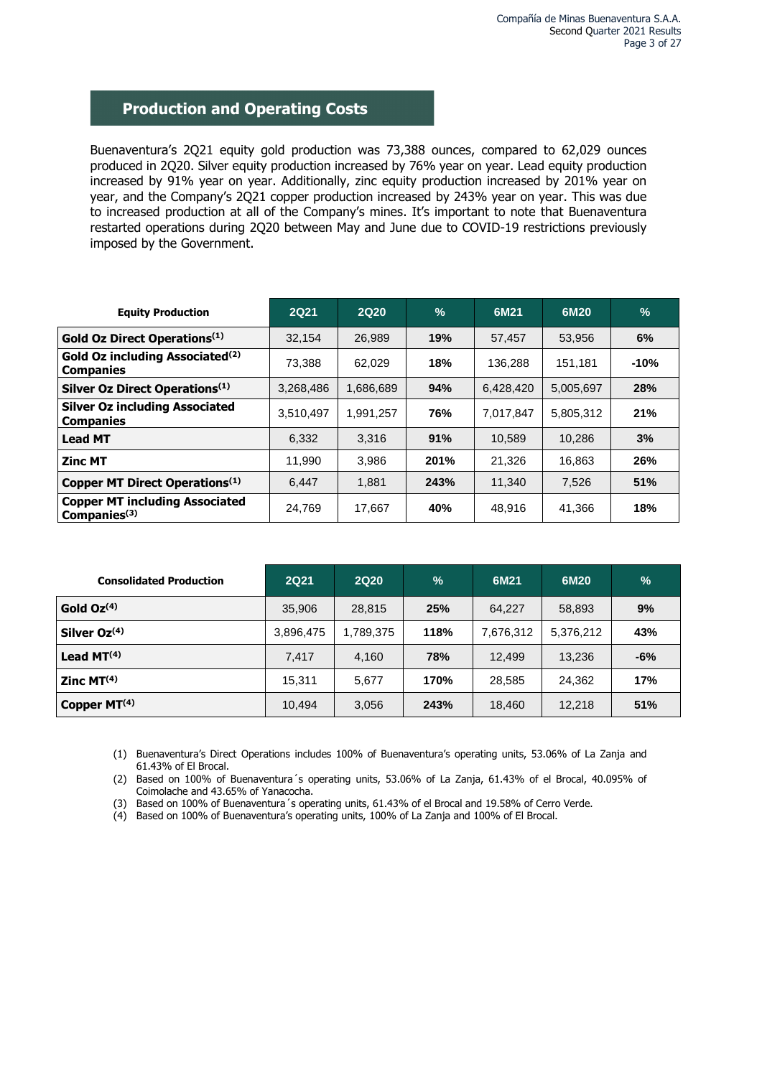# **Production and Operating Costs**

Buenaventura's 2Q21 equity gold production was 73,388 ounces, compared to 62,029 ounces produced in 2Q20. Silver equity production increased by 76% year on year. Lead equity production increased by 91% year on year. Additionally, zinc equity production increased by 201% year on year, and the Company's 2Q21 copper production increased by 243% year on year. This was due to increased production at all of the Company's mines. It's important to note that Buenaventura restarted operations during 2Q20 between May and June due to COVID-19 restrictions previously imposed by the Government.

| <b>Equity Production</b>                                        | 2Q21      | <b>2Q20</b> | $\%$ | 6M21      | 6M20      | $\frac{9}{6}$ |
|-----------------------------------------------------------------|-----------|-------------|------|-----------|-----------|---------------|
| Gold Oz Direct Operations <sup>(1)</sup>                        | 32,154    | 26,989      | 19%  | 57.457    | 53,956    | 6%            |
| Gold Oz including Associated <sup>(2)</sup><br><b>Companies</b> | 73.388    | 62.029      | 18%  | 136.288   | 151.181   | $-10%$        |
| Silver Oz Direct Operations <sup>(1)</sup>                      | 3,268,486 | 1.686.689   | 94%  | 6,428,420 | 5,005,697 | <b>28%</b>    |
| <b>Silver Oz including Associated</b><br><b>Companies</b>       | 3,510,497 | 1,991,257   | 76%  | 7.017.847 | 5,805,312 | 21%           |
| <b>Lead MT</b>                                                  | 6.332     | 3,316       | 91%  | 10.589    | 10.286    | 3%            |
| <b>Zinc MT</b>                                                  | 11.990    | 3,986       | 201% | 21.326    | 16.863    | 26%           |
| Copper MT Direct Operations <sup>(1)</sup>                      | 6.447     | 1.881       | 243% | 11.340    | 7.526     | 51%           |
| <b>Copper MT including Associated</b><br>Companies $(3)$        | 24,769    | 17,667      | 40%  | 48,916    | 41,366    | 18%           |

| <b>Consolidated Production</b> | <b>2Q21</b> | <b>2Q20</b> | $\frac{0}{0}$ | 6M21      | 6M20      | $\frac{0}{0}$ |
|--------------------------------|-------------|-------------|---------------|-----------|-----------|---------------|
| Gold Oz(4)                     | 35,906      | 28,815      | 25%           | 64.227    | 58,893    | 9%            |
| Silver Oz <sup>(4)</sup>       | 3,896,475   | 1,789,375   | 118%          | 7,676,312 | 5,376,212 | 43%           |
| Lead $MT(4)$                   | 7,417       | 4,160       | 78%           | 12,499    | 13.236    | $-6%$         |
| Zinc M T <sup>(4)</sup>        | 15.311      | 5.677       | 170%          | 28.585    | 24.362    | 17%           |
| Copper MT <sup>(4)</sup>       | 10,494      | 3,056       | 243%          | 18,460    | 12.218    | 51%           |

(1) Buenaventura's Direct Operations includes 100% of Buenaventura's operating units, 53.06% of La Zanja and 61.43% of El Brocal.

(2) Based on 100% of Buenaventura´s operating units, 53.06% of La Zanja, 61.43% of el Brocal, 40.095% of Coimolache and 43.65% of Yanacocha.

(3) Based on 100% of Buenaventura´s operating units, 61.43% of el Brocal and 19.58% of Cerro Verde.

(4) Based on 100% of Buenaventura's operating units, 100% of La Zanja and 100% of El Brocal.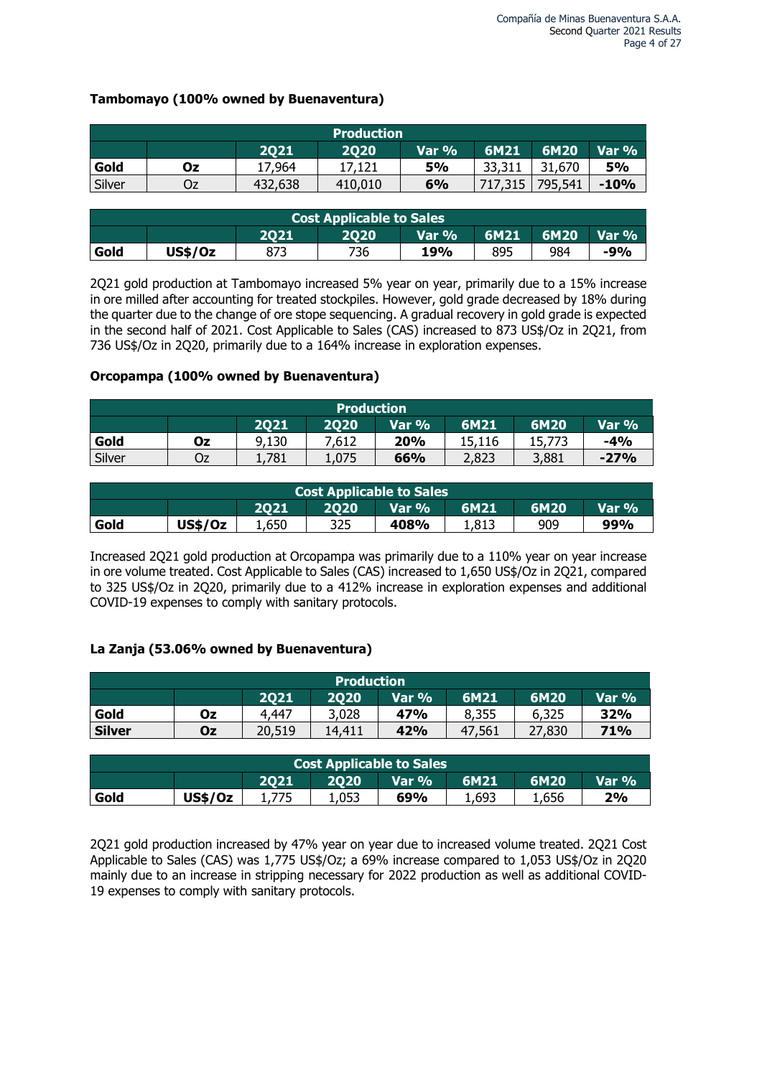## **Tambomayo (100% owned by Buenaventura)**

| <b>Production</b>                                   |    |         |         |           |         |         |        |  |  |  |
|-----------------------------------------------------|----|---------|---------|-----------|---------|---------|--------|--|--|--|
| 6M21<br>6M20<br>Var $\%$<br>2020<br>2021<br>Var $%$ |    |         |         |           |         |         |        |  |  |  |
| Gold                                                | Οz | 17,964  | 17,121  | <b>5%</b> | 33,311  | 31,670  | 5%     |  |  |  |
| Silver                                              | Oz | 432,638 | 410,010 | 6%        | 717,315 | 795,541 | $-10%$ |  |  |  |

| <b>Cost Applicable to Sales</b> |                                                  |  |     |     |     |     |       |  |  |  |
|---------------------------------|--------------------------------------------------|--|-----|-----|-----|-----|-------|--|--|--|
|                                 | 6M20<br>6M21<br>Var $%$<br>Var %<br>2020<br>2021 |  |     |     |     |     |       |  |  |  |
| Gold                            | <b>US\$/0z</b>                                   |  | 736 | 19% | 895 | 984 | $-9%$ |  |  |  |

2Q21 gold production at Tambomayo increased 5% year on year, primarily due to a 15% increase in ore milled after accounting for treated stockpiles. However, gold grade decreased by 18% during the quarter due to the change of ore stope sequencing. A gradual recovery in gold grade is expected in the second half of 2021. Cost Applicable to Sales (CAS) increased to 873 US\$/Oz in 2Q21, from 736 US\$/Oz in 2Q20, primarily due to a 164% increase in exploration expenses.

## **Orcopampa (100% owned by Buenaventura)**

| <b>Production</b> |    |       |       |       |        |        |        |  |  |
|-------------------|----|-------|-------|-------|--------|--------|--------|--|--|
|                   |    | 2021  | 2020  | Var % | 6M21   | 6M20   | Var %  |  |  |
| Gold              | Οz | 9,130 | 7,612 | 20%   | 15.116 | 15,773 | $-4%$  |  |  |
| Silver            | Oz | 1,781 | 1,075 | 66%   | 2,823  | 3,881  | $-27%$ |  |  |

| Cost Applicable to Sales                       |                |       |     |      |       |     |     |  |  |
|------------------------------------------------|----------------|-------|-----|------|-------|-----|-----|--|--|
| Var %<br>6M21<br>6M20<br>2021<br>2020<br>Var % |                |       |     |      |       |     |     |  |  |
| Gold                                           | <b>US\$/Oz</b> | 1,650 | 325 | 408% | 1,813 | 909 | 99% |  |  |

Increased 2Q21 gold production at Orcopampa was primarily due to a 110% year on year increase in ore volume treated. Cost Applicable to Sales (CAS) increased to 1,650 US\$/Oz in 2Q21, compared to 325 US\$/Oz in 2Q20, primarily due to a 412% increase in exploration expenses and additional COVID-19 expenses to comply with sanitary protocols.

## **La Zanja (53.06% owned by Buenaventura)**

| <b>Production</b>                              |    |        |        |     |        |        |     |  |  |  |
|------------------------------------------------|----|--------|--------|-----|--------|--------|-----|--|--|--|
| 6M20<br>6M21<br>2021<br>Var %<br>2020<br>Var % |    |        |        |     |        |        |     |  |  |  |
| Gold                                           | Oz | 4,447  | 3,028  | 47% | 8,355  | 6,325  | 32% |  |  |  |
| <b>Silver</b>                                  | Oz | 20,519 | 14,411 | 42% | 47,561 | 27,830 | 71% |  |  |  |

| <b>Cost Applicable to Sales</b>                   |                |  |       |     |       |       |    |  |  |  |
|---------------------------------------------------|----------------|--|-------|-----|-------|-------|----|--|--|--|
| Var $\%$<br>6M21<br>6M20<br>2021<br>2020<br>Var % |                |  |       |     |       |       |    |  |  |  |
| Gold                                              | <b>US\$/Oz</b> |  | 1,053 | 69% | 1,693 | 1,656 | 2% |  |  |  |

2Q21 gold production increased by 47% year on year due to increased volume treated. 2Q21 Cost Applicable to Sales (CAS) was 1,775 US\$/Oz; a 69% increase compared to 1,053 US\$/Oz in 2Q20 mainly due to an increase in stripping necessary for 2022 production as well as additional COVID-19 expenses to comply with sanitary protocols.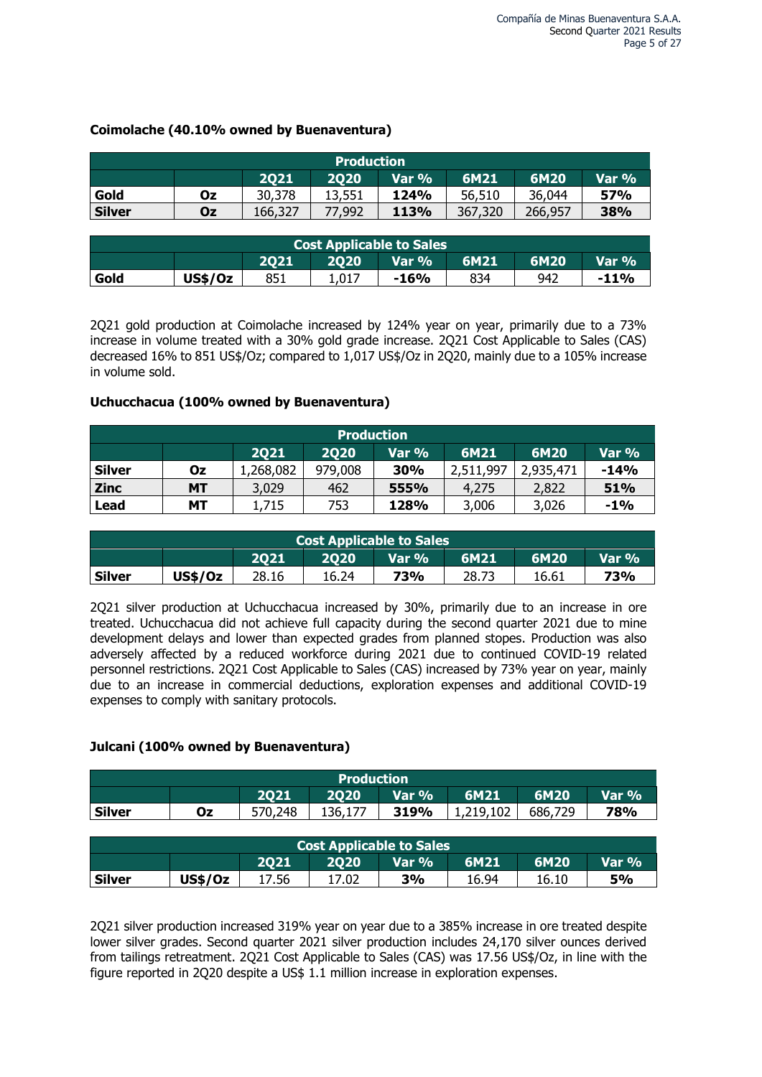## **Coimolache (40.10% owned by Buenaventura)**

| <b>Production</b>                                        |    |         |        |      |         |         |            |  |  |
|----------------------------------------------------------|----|---------|--------|------|---------|---------|------------|--|--|
| Var %<br>6M20<br><b>6M21</b><br>Var $\%$<br>2021<br>2020 |    |         |        |      |         |         |            |  |  |
| Gold                                                     | Oz | 30,378  | 13,551 | 124% | 56,510  | 36,044  | <b>57%</b> |  |  |
| <b>Silver</b>                                            | Oz | 166,327 | 77,992 | 113% | 367,320 | 266,957 | 38%        |  |  |

| <b>Cost Applicable to Sales</b> |                                                             |     |       |        |     |     |         |  |  |  |  |
|---------------------------------|-------------------------------------------------------------|-----|-------|--------|-----|-----|---------|--|--|--|--|
|                                 | 6M21<br>Var % <sup>1</sup><br>6M20<br>2020<br>Var %<br>2021 |     |       |        |     |     |         |  |  |  |  |
| Gold                            | <b>US\$/Oz</b>                                              | 851 | 1.017 | $-16%$ | 834 | 942 | $-11\%$ |  |  |  |  |

2Q21 gold production at Coimolache increased by 124% year on year, primarily due to a 73% increase in volume treated with a 30% gold grade increase. 2Q21 Cost Applicable to Sales (CAS) decreased 16% to 851 US\$/Oz; compared to 1,017 US\$/Oz in 2Q20, mainly due to a 105% increase in volume sold.

## **Uchucchacua (100% owned by Buenaventura)**

|                                                 | <b>Production</b> |           |         |      |           |           |        |  |  |  |  |  |  |
|-------------------------------------------------|-------------------|-----------|---------|------|-----------|-----------|--------|--|--|--|--|--|--|
| 6M21<br>6M20<br>2020<br>2021<br>Var %'<br>Var % |                   |           |         |      |           |           |        |  |  |  |  |  |  |
| <b>Silver</b>                                   | Οz                | 1,268,082 | 979,008 | 30%  | 2,511,997 | 2,935,471 | $-14%$ |  |  |  |  |  |  |
| <b>Zinc</b>                                     | <b>MT</b>         | 3,029     | 462     | 555% | 4,275     | 2,822     | 51%    |  |  |  |  |  |  |
| Lead                                            | МT                | 1,715     | 753     | 128% | 3,006     | 3,026     | $-1\%$ |  |  |  |  |  |  |

| <b>Cost Applicable to Sales</b> |                                                 |       |       |     |       |       |     |  |  |  |
|---------------------------------|-------------------------------------------------|-------|-------|-----|-------|-------|-----|--|--|--|
|                                 | 6M21<br>6M20<br>Var %'<br>Var %<br>2020<br>2021 |       |       |     |       |       |     |  |  |  |
| <b>Silver</b>                   | <b>US\$/0z</b>                                  | 28.16 | 16.24 | 73% | 28.73 | 16.61 | 73% |  |  |  |

2Q21 silver production at Uchucchacua increased by 30%, primarily due to an increase in ore treated. Uchucchacua did not achieve full capacity during the second quarter 2021 due to mine development delays and lower than expected grades from planned stopes. Production was also adversely affected by a reduced workforce during 2021 due to continued COVID-19 related personnel restrictions. 2Q21 Cost Applicable to Sales (CAS) increased by 73% year on year, mainly due to an increase in commercial deductions, exploration expenses and additional COVID-19 expenses to comply with sanitary protocols.

### **Julcani (100% owned by Buenaventura)**

|                                                       | <b>Production</b> |         |                                 |       |           |         |       |  |  |  |  |  |  |
|-------------------------------------------------------|-------------------|---------|---------------------------------|-------|-----------|---------|-------|--|--|--|--|--|--|
| <b>2Q20</b><br>6M20<br>Var %<br>6M21<br>2021<br>Var % |                   |         |                                 |       |           |         |       |  |  |  |  |  |  |
| <b>Silver</b>                                         | 0z                | 570,248 | 136,177                         | 319%  | 1,219,102 | 686,729 | 78%   |  |  |  |  |  |  |
|                                                       |                   |         |                                 |       |           |         |       |  |  |  |  |  |  |
|                                                       |                   |         | <b>Cost Applicable to Sales</b> |       |           |         |       |  |  |  |  |  |  |
|                                                       |                   | 2021    | <b>2Q20</b>                     | Var % | 6M21      | 6M20    | Var % |  |  |  |  |  |  |
| <b>Silver</b>                                         | US\$/Oz           | 17.56   | 17.02                           | 3%    | 16.94     | 16.10   | 5%    |  |  |  |  |  |  |

2Q21 silver production increased 319% year on year due to a 385% increase in ore treated despite lower silver grades. Second quarter 2021 silver production includes 24,170 silver ounces derived from tailings retreatment. 2Q21 Cost Applicable to Sales (CAS) was 17.56 US\$/Oz, in line with the figure reported in 2Q20 despite a US\$ 1.1 million increase in exploration expenses.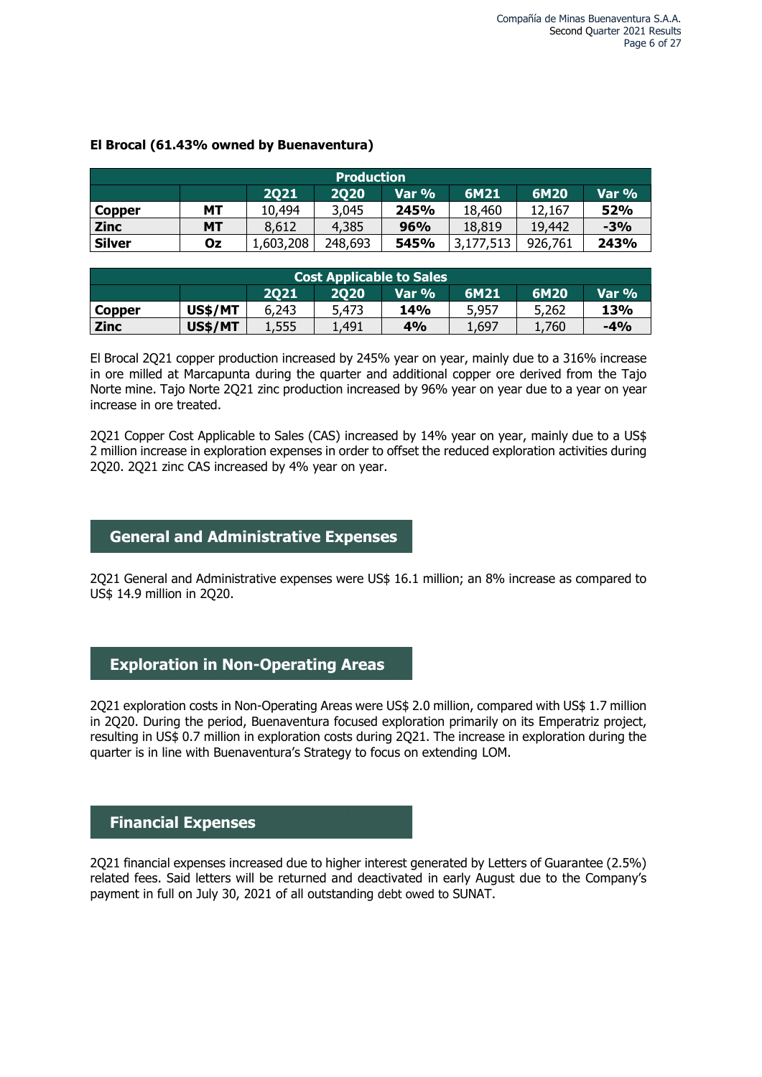|                                                | <b>Production</b> |           |         |      |           |         |       |  |  |  |  |  |  |
|------------------------------------------------|-------------------|-----------|---------|------|-----------|---------|-------|--|--|--|--|--|--|
| 6M21<br>6M20<br>2020<br>Var %<br>Var %<br>2021 |                   |           |         |      |           |         |       |  |  |  |  |  |  |
| <b>Copper</b>                                  | MТ                | 10,494    | 3,045   | 245% | 18,460    | 12.167  | 52%   |  |  |  |  |  |  |
| <b>Zinc</b>                                    | <b>MT</b>         | 8.612     | 4,385   | 96%  | 18,819    | 19,442  | $-3%$ |  |  |  |  |  |  |
| <b>Silver</b>                                  | Oz                | 1,603,208 | 248,693 | 545% | 3,177,513 | 926,761 | 243%  |  |  |  |  |  |  |

## **El Brocal (61.43% owned by Buenaventura)**

| <b>Cost Applicable to Sales</b>                |                |       |       |     |       |       |       |  |  |  |  |
|------------------------------------------------|----------------|-------|-------|-----|-------|-------|-------|--|--|--|--|
| 6M21<br>6M20<br>Var %<br>2020<br>Var %<br>2021 |                |       |       |     |       |       |       |  |  |  |  |
| <b>Copper</b>                                  | <b>US\$/MT</b> | 6,243 | 5,473 | 14% | 5,957 | 5,262 | 13%   |  |  |  |  |
| <b>Zinc</b>                                    | US\$/MT        | 1,555 | .,491 | 4%  | .,697 | .,760 | $-4%$ |  |  |  |  |

El Brocal 2Q21 copper production increased by 245% year on year, mainly due to a 316% increase in ore milled at Marcapunta during the quarter and additional copper ore derived from the Tajo Norte mine. Tajo Norte 2Q21 zinc production increased by 96% year on year due to a year on year increase in ore treated.

2Q21 Copper Cost Applicable to Sales (CAS) increased by 14% year on year, mainly due to a US\$ 2 million increase in exploration expenses in order to offset the reduced exploration activities during 2Q20. 2Q21 zinc CAS increased by 4% year on year.

## **General and Administrative Expenses**

2Q21 General and Administrative expenses were US\$ 16.1 million; an 8% increase as compared to US\$ 14.9 million in 2Q20.

# **Exploration in Non-Operating Areas**

2Q21 exploration costs in Non-Operating Areas were US\$ 2.0 million, compared with US\$ 1.7 million in 2Q20. During the period, Buenaventura focused exploration primarily on its Emperatriz project, resulting in US\$ 0.7 million in exploration costs during 2Q21. The increase in exploration during the quarter is in line with Buenaventura's Strategy to focus on extending LOM.

# **Financial Expenses**

2Q21 financial expenses increased due to higher interest generated by Letters of Guarantee (2.5%) related fees. Said letters will be returned and deactivated in early August due to the Company's payment in full on July 30, 2021 of all outstanding debt owed to SUNAT.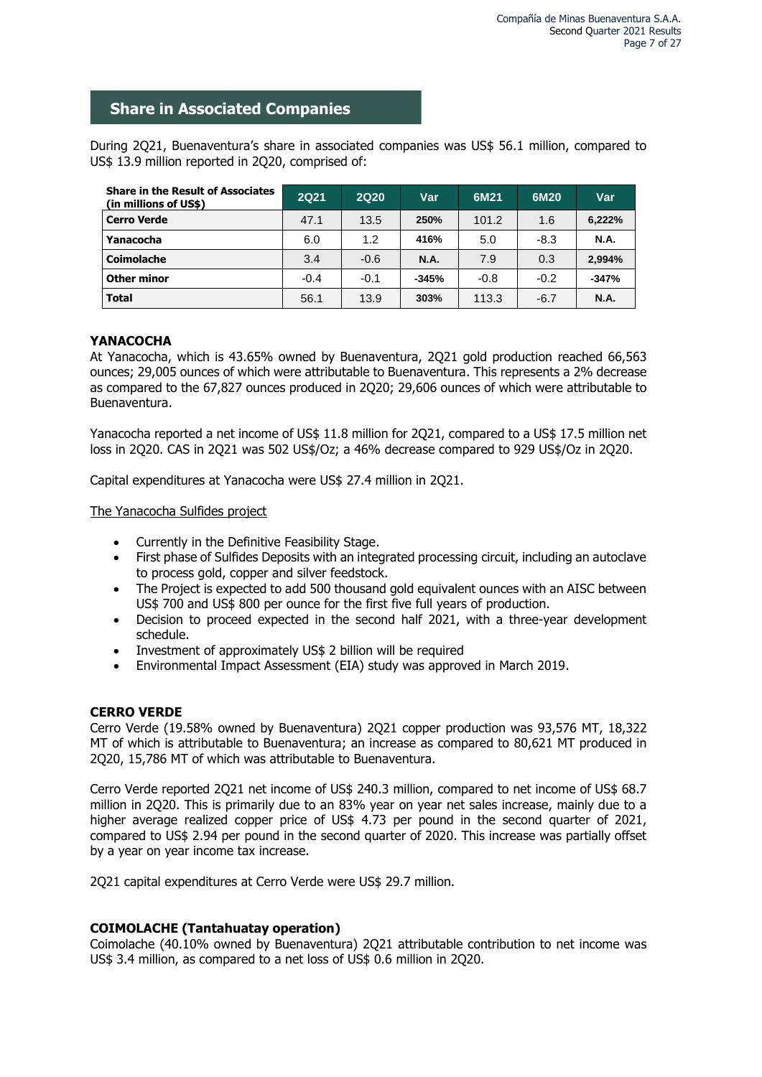# **Share in Associated Companies**

During 2Q21, Buenaventura's share in associated companies was US\$ 56.1 million, compared to US\$ 13.9 million reported in 2Q20, comprised of:

| <b>Share in the Result of Associates</b><br>(in millions of US\$) | <b>2Q21</b> | <b>2Q20</b> | Var         | 6M21   | 6M20   | Var         |
|-------------------------------------------------------------------|-------------|-------------|-------------|--------|--------|-------------|
| <b>Cerro Verde</b>                                                | 47.1        | 13.5        | 250%        | 101.2  | 1.6    | 6,222%      |
| Yanacocha                                                         | 6.0         | 1.2         | 416%        | 5.0    | $-8.3$ | <b>N.A.</b> |
| <b>Coimolache</b>                                                 | 3.4         | $-0.6$      | <b>N.A.</b> | 7.9    | 0.3    | 2.994%      |
| <b>Other minor</b>                                                | $-0.4$      | $-0.1$      | $-345%$     | $-0.8$ | $-0.2$ | $-347%$     |
| <b>Total</b>                                                      | 56.1        | 13.9        | 303%        | 113.3  | $-6.7$ | <b>N.A.</b> |

## **YANACOCHA**

At Yanacocha, which is 43.65% owned by Buenaventura, 2Q21 gold production reached 66,563 ounces; 29,005 ounces of which were attributable to Buenaventura. This represents a 2% decrease as compared to the 67,827 ounces produced in 2Q20; 29,606 ounces of which were attributable to Buenaventura.

Yanacocha reported a net income of US\$ 11.8 million for 2Q21, compared to a US\$ 17.5 million net loss in 2Q20. CAS in 2Q21 was 502 US\$/Oz; a 46% decrease compared to 929 US\$/Oz in 2Q20.

Capital expenditures at Yanacocha were US\$ 27.4 million in 2Q21.

The Yanacocha Sulfides project

- Currently in the Definitive Feasibility Stage.
- First phase of Sulfides Deposits with an integrated processing circuit, including an autoclave to process gold, copper and silver feedstock.
- The Project is expected to add 500 thousand gold equivalent ounces with an AISC between US\$ 700 and US\$ 800 per ounce for the first five full years of production.
- Decision to proceed expected in the second half 2021, with a three-year development schedule.
- Investment of approximately US\$ 2 billion will be required
- Environmental Impact Assessment (EIA) study was approved in March 2019.

### **CERRO VERDE**

Cerro Verde (19.58% owned by Buenaventura) 2Q21 copper production was 93,576 MT, 18,322 MT of which is attributable to Buenaventura; an increase as compared to 80,621 MT produced in 2Q20, 15,786 MT of which was attributable to Buenaventura.

Cerro Verde reported 2Q21 net income of US\$ 240.3 million, compared to net income of US\$ 68.7 million in 2Q20. This is primarily due to an 83% year on year net sales increase, mainly due to a higher average realized copper price of US\$ 4.73 per pound in the second quarter of 2021, compared to US\$ 2.94 per pound in the second quarter of 2020. This increase was partially offset by a year on year income tax increase.

2Q21 capital expenditures at Cerro Verde were US\$ 29.7 million.

## **COIMOLACHE (Tantahuatay operation)**

Coimolache (40.10% owned by Buenaventura) 2Q21 attributable contribution to net income was US\$ 3.4 million, as compared to a net loss of US\$ 0.6 million in 2Q20.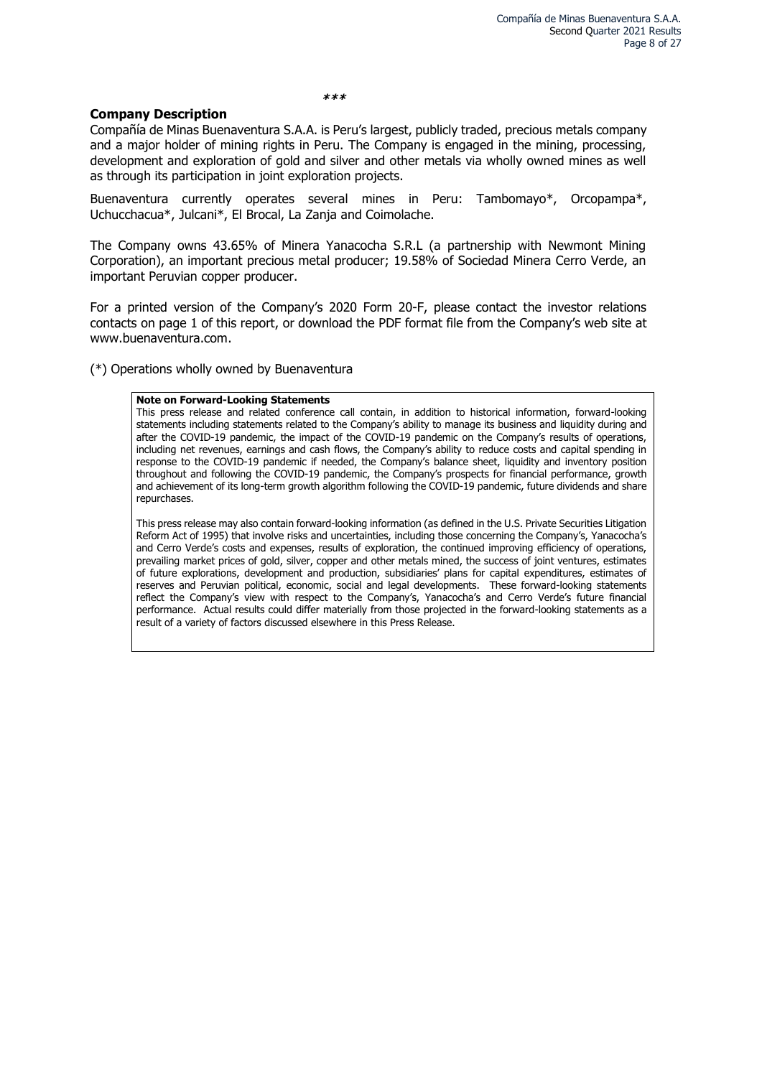**\*\*\***

#### **Company Description**

Compañía de Minas Buenaventura S.A.A. is Peru's largest, publicly traded, precious metals company and a major holder of mining rights in Peru. The Company is engaged in the mining, processing, development and exploration of gold and silver and other metals via wholly owned mines as well as through its participation in joint exploration projects.

Buenaventura currently operates several mines in Peru: Tambomayo\*, Orcopampa\*, Uchucchacua\*, Julcani\*, El Brocal, La Zanja and Coimolache.

The Company owns 43.65% of Minera Yanacocha S.R.L (a partnership with Newmont Mining Corporation), an important precious metal producer; 19.58% of Sociedad Minera Cerro Verde, an important Peruvian copper producer.

For a printed version of the Company's 2020 Form 20-F, please contact the investor relations contacts on page 1 of this report, or download the PDF format file from the Company's web site at www.buenaventura.com.

(\*) Operations wholly owned by Buenaventura

#### **Note on Forward-Looking Statements**

This press release and related conference call contain, in addition to historical information, forward-looking statements including statements related to the Company's ability to manage its business and liquidity during and after the COVID-19 pandemic, the impact of the COVID-19 pandemic on the Company's results of operations, including net revenues, earnings and cash flows, the Company's ability to reduce costs and capital spending in response to the COVID-19 pandemic if needed, the Company's balance sheet, liquidity and inventory position throughout and following the COVID-19 pandemic, the Company's prospects for financial performance, growth and achievement of its long-term growth algorithm following the COVID-19 pandemic, future dividends and share repurchases.

This press release may also contain forward-looking information (as defined in the U.S. Private Securities Litigation Reform Act of 1995) that involve risks and uncertainties, including those concerning the Company's, Yanacocha's and Cerro Verde's costs and expenses, results of exploration, the continued improving efficiency of operations, prevailing market prices of gold, silver, copper and other metals mined, the success of joint ventures, estimates of future explorations, development and production, subsidiaries' plans for capital expenditures, estimates of reserves and Peruvian political, economic, social and legal developments. These forward-looking statements reflect the Company's view with respect to the Company's, Yanacocha's and Cerro Verde's future financial performance. Actual results could differ materially from those projected in the forward-looking statements as a result of a variety of factors discussed elsewhere in this Press Release.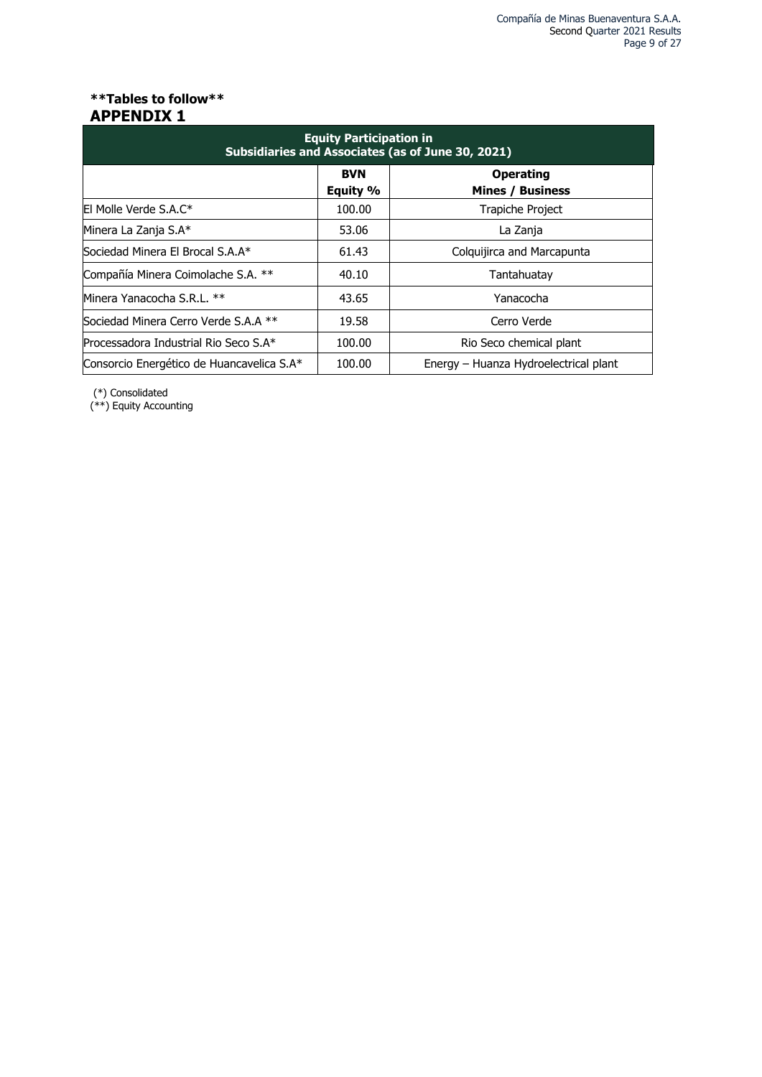## **\*\*Tables to follow\*\* APPENDIX 1**

| <b>Equity Participation in</b><br>Subsidiaries and Associates (as of June 30, 2021) |                        |                                             |  |  |  |  |  |  |  |  |
|-------------------------------------------------------------------------------------|------------------------|---------------------------------------------|--|--|--|--|--|--|--|--|
|                                                                                     | <b>BVN</b><br>Equity % | <b>Operating</b><br><b>Mines / Business</b> |  |  |  |  |  |  |  |  |
| El Molle Verde S.A.C*                                                               | 100.00                 | <b>Trapiche Project</b>                     |  |  |  |  |  |  |  |  |
| Minera La Zanja S.A*                                                                | 53.06                  | La Zanja                                    |  |  |  |  |  |  |  |  |
| Sociedad Minera El Brocal S.A.A*                                                    | 61.43                  | Colquijirca and Marcapunta                  |  |  |  |  |  |  |  |  |
| Compañía Minera Coimolache S.A. **                                                  | 40.10                  | Tantahuatay                                 |  |  |  |  |  |  |  |  |
| Minera Yanacocha S.R.L. **                                                          | 43.65                  | Yanacocha                                   |  |  |  |  |  |  |  |  |
| Sociedad Minera Cerro Verde S.A.A **                                                | 19.58                  | Cerro Verde                                 |  |  |  |  |  |  |  |  |
| Processadora Industrial Rio Seco S.A*                                               | 100.00                 | Rio Seco chemical plant                     |  |  |  |  |  |  |  |  |
| Consorcio Energético de Huancavelica S.A*                                           | 100.00                 | Energy – Huanza Hydroelectrical plant       |  |  |  |  |  |  |  |  |

(\*) Consolidated

(\*\*) Equity Accounting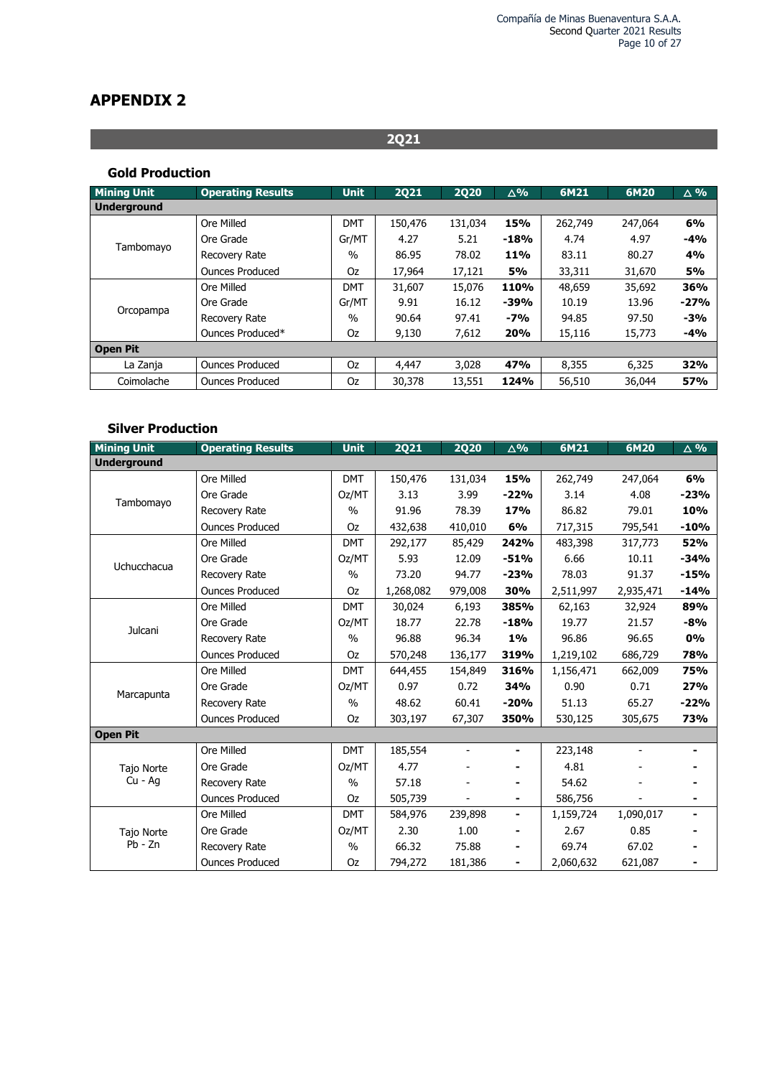# **APPENDIX 2**

### **Gold Production**

| <b>Mining Unit</b> | <b>Operating Results</b> | <b>Unit</b>   | <b>2Q21</b> | <b>2Q20</b> | $\Delta\%$ | 6M21    | 6M20    | $\triangle 9/6$ |
|--------------------|--------------------------|---------------|-------------|-------------|------------|---------|---------|-----------------|
| <b>Underground</b> |                          |               |             |             |            |         |         |                 |
|                    | Ore Milled               | <b>DMT</b>    | 150,476     | 131,034     | 15%        | 262,749 | 247,064 | 6%              |
|                    | Ore Grade                | Gr/MT         | 4.27        | 5.21        | $-18%$     | 4.74    | 4.97    | $-4%$           |
| Tambomayo          | Recovery Rate            | $\frac{0}{0}$ | 86.95       | 78.02       | 11%        | 83.11   | 80.27   | 4%              |
|                    | <b>Ounces Produced</b>   | Oz            | 17,964      | 17,121      | <b>5%</b>  | 33,311  | 31,670  | <b>5%</b>       |
|                    | Ore Milled               | <b>DMT</b>    | 31,607      | 15,076      | 110%       | 48,659  | 35,692  | 36%             |
|                    | Ore Grade                | Gr/MT         | 9.91        | 16.12       | $-39%$     | 10.19   | 13.96   | $-27%$          |
| Orcopampa          | Recovery Rate            | $\%$          | 90.64       | 97.41       | $-7%$      | 94.85   | 97.50   | $-3%$           |
|                    | Ounces Produced*         | Oz            | 9,130       | 7,612       | 20%        | 15,116  | 15,773  | $-4%$           |
| <b>Open Pit</b>    |                          |               |             |             |            |         |         |                 |
| La Zanja           | <b>Ounces Produced</b>   | Oz            | 4,447       | 3,028       | 47%        | 8,355   | 6,325   | 32%             |
| Coimolache         | <b>Ounces Produced</b>   | Oz            | 30,378      | 13,551      | 124%       | 56,510  | 36,044  | 57%             |

**2Q21**

## **Silver Production**

| <b>Mining Unit</b> | <b>Operating Results</b> | <b>Unit</b>   | <b>2Q21</b> | <b>2Q20</b> | $\Delta$ % | 6M21      | 6M20      | $\Delta$ % |
|--------------------|--------------------------|---------------|-------------|-------------|------------|-----------|-----------|------------|
| <b>Underground</b> |                          |               |             |             |            |           |           |            |
|                    | Ore Milled               | <b>DMT</b>    | 150,476     | 131,034     | 15%        | 262,749   | 247,064   | 6%         |
| Tambomayo          | Ore Grade                | Oz/MT         | 3.13        | 3.99        | $-22%$     | 3.14      | 4.08      | $-23%$     |
|                    | <b>Recovery Rate</b>     | $\frac{0}{0}$ | 91.96       | 78.39       | 17%        | 86.82     | 79.01     | 10%        |
|                    | <b>Ounces Produced</b>   | Oz            | 432,638     | 410,010     | 6%         | 717,315   | 795,541   | $-10%$     |
|                    | Ore Milled               | <b>DMT</b>    | 292,177     | 85,429      | 242%       | 483,398   | 317,773   | 52%        |
| Uchucchacua        | Ore Grade                | Oz/MT         | 5.93        | 12.09       | $-51%$     | 6.66      | 10.11     | $-34%$     |
|                    | Recovery Rate            | $\frac{0}{0}$ | 73.20       | 94.77       | $-23%$     | 78.03     | 91.37     | $-15%$     |
|                    | <b>Ounces Produced</b>   | Oz            | 1,268,082   | 979,008     | 30%        | 2,511,997 | 2,935,471 | $-14%$     |
|                    | Ore Milled               | <b>DMT</b>    | 30,024      | 6,193       | 385%       | 62,163    | 32,924    | 89%        |
| Julcani            | Ore Grade                | Oz/MT         | 18.77       | 22.78       | $-18%$     | 19.77     | 21.57     | $-8%$      |
|                    | <b>Recovery Rate</b>     | $\frac{0}{0}$ | 96.88       | 96.34       | 1%         | 96.86     | 96.65     | <b>0%</b>  |
|                    | <b>Ounces Produced</b>   | Oz            | 570,248     | 136,177     | 319%       | 1,219,102 | 686,729   | 78%        |
|                    | Ore Milled               | <b>DMT</b>    | 644,455     | 154,849     | 316%       | 1,156,471 | 662,009   | 75%        |
| Marcapunta         | Ore Grade                | Oz/MT         | 0.97        | 0.72        | 34%        | 0.90      | 0.71      | 27%        |
|                    | Recovery Rate            | $\frac{0}{0}$ | 48.62       | 60.41       | $-20%$     | 51.13     | 65.27     | $-22%$     |
|                    | <b>Ounces Produced</b>   | Oz            | 303,197     | 67,307      | 350%       | 530,125   | 305,675   | 73%        |
| <b>Open Pit</b>    |                          |               |             |             |            |           |           |            |
|                    | Ore Milled               | <b>DMT</b>    | 185,554     |             |            | 223,148   |           |            |
| Tajo Norte         | Ore Grade                | Oz/MT         | 4.77        |             | ۰          | 4.81      |           |            |
| $Cu - Aq$          | Recovery Rate            | $\frac{0}{0}$ | 57.18       |             |            | 54.62     |           |            |
|                    | <b>Ounces Produced</b>   | Oz            | 505,739     |             |            | 586,756   |           |            |
|                    | Ore Milled               | <b>DMT</b>    | 584,976     | 239,898     |            | 1,159,724 | 1,090,017 |            |
| Tajo Norte         | Ore Grade                | Oz/MT         | 2.30        | 1.00        |            | 2.67      | 0.85      |            |
| $Pb - Zn$          | Recovery Rate            | $\frac{0}{0}$ | 66.32       | 75.88       | ٠          | 69.74     | 67.02     |            |
|                    | <b>Ounces Produced</b>   | Oz            | 794,272     | 181,386     |            | 2,060,632 | 621,087   |            |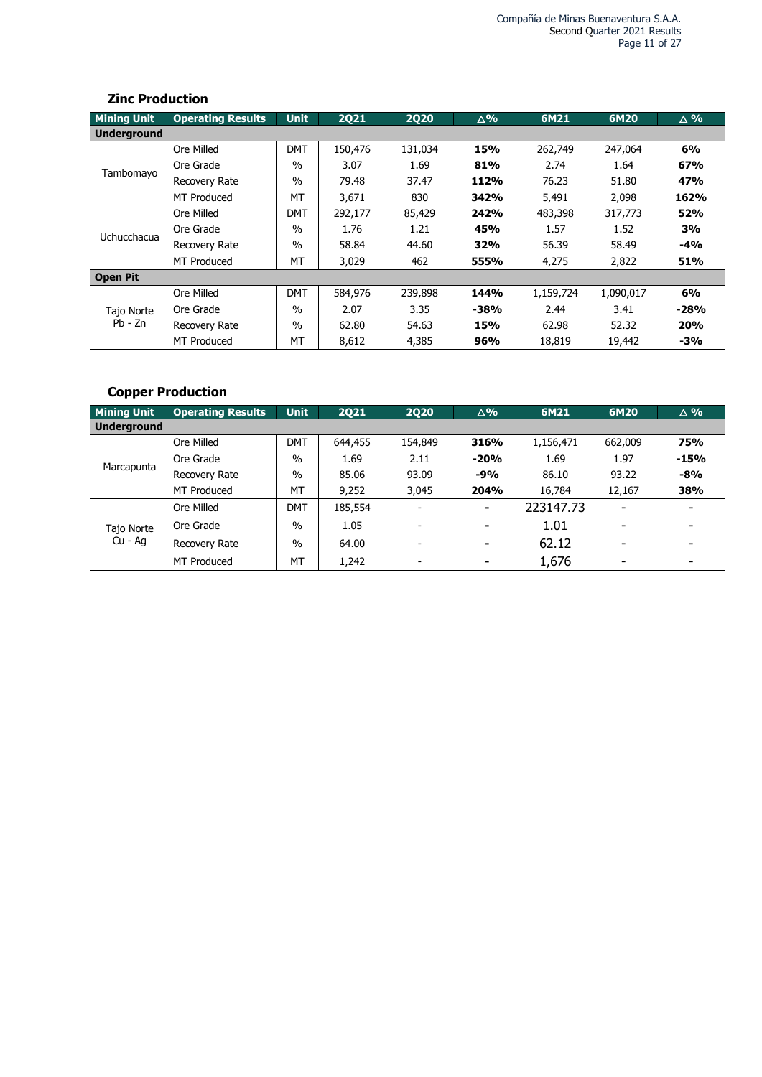### **Zinc Production**

| <b>Mining Unit</b> | <b>Operating Results</b> | <b>Unit</b>   | <b>2Q21</b> | <b>2Q20</b> | $\Delta\%$ | 6M21      | 6M20      | $\triangle$ % |
|--------------------|--------------------------|---------------|-------------|-------------|------------|-----------|-----------|---------------|
| Underground        |                          |               |             |             |            |           |           |               |
|                    | Ore Milled               | <b>DMT</b>    | 150,476     | 131,034     | 15%        | 262,749   | 247,064   | 6%            |
|                    | Ore Grade                | $\%$          | 3.07        | 1.69        | 81%        | 2.74      | 1.64      | 67%           |
| Tambomayo          | Recovery Rate            | $\frac{0}{0}$ | 79.48       | 37.47       | 112%       | 76.23     | 51.80     | 47%           |
|                    | <b>MT Produced</b>       | МT            | 3,671       | 830         | 342%       | 5,491     | 2,098     | 162%          |
|                    | Ore Milled               | <b>DMT</b>    | 292,177     | 85,429      | 242%       | 483,398   | 317,773   | 52%           |
|                    | Ore Grade                | $\%$          | 1.76        | 1.21        | 45%        | 1.57      | 1.52      | 3%            |
| Uchucchacua        | Recovery Rate            | $\frac{0}{0}$ | 58.84       | 44.60       | 32%        | 56.39     | 58.49     | -4%           |
|                    | <b>MT Produced</b>       | МT            | 3,029       | 462         | 555%       | 4,275     | 2,822     | 51%           |
| <b>Open Pit</b>    |                          |               |             |             |            |           |           |               |
|                    | Ore Milled               | <b>DMT</b>    | 584,976     | 239,898     | 144%       | 1,159,724 | 1,090,017 | 6%            |
| Tajo Norte         | Ore Grade                | $\%$          | 2.07        | 3.35        | $-38%$     | 2.44      | 3.41      | $-28%$        |
| $Pb - Zn$          | Recovery Rate            | $\%$          | 62.80       | 54.63       | 15%        | 62.98     | 52.32     | 20%           |
|                    | <b>MT Produced</b>       | МT            | 8,612       | 4,385       | 96%        | 18,819    | 19,442    | $-3%$         |

# **Copper Production**

| <b>Mining Unit</b> | <b>Operating Results</b> | <b>Unit</b>   | <b>2Q21</b> | <b>2Q20</b>              | $\Delta\%$     | 6M21      | 6M20                     | $\triangle$ % |
|--------------------|--------------------------|---------------|-------------|--------------------------|----------------|-----------|--------------------------|---------------|
| <b>Underground</b> |                          |               |             |                          |                |           |                          |               |
|                    | Ore Milled               | <b>DMT</b>    | 644,455     | 154,849                  | 316%           | 1,156,471 | 662,009                  | 75%           |
|                    | Ore Grade                | $\frac{0}{0}$ | 1.69        | 2.11                     | $-20%$         | 1.69      | 1.97                     | $-15%$        |
| Marcapunta         | Recovery Rate            | $\%$          | 85.06       | 93.09                    | $-9%$          | 86.10     | 93.22                    | $-8%$         |
|                    | <b>MT Produced</b>       | МT            | 9,252       | 3.045                    | 204%           | 16,784    | 12,167                   | 38%           |
|                    | Ore Milled               | <b>DMT</b>    | 185,554     | $\overline{\phantom{a}}$ | ۰              | 223147.73 | $\overline{\phantom{0}}$ | ۰             |
| Tajo Norte         | Ore Grade                | $\frac{0}{0}$ | 1.05        | $\overline{\phantom{a}}$ | $\blacksquare$ | 1.01      | $\overline{\phantom{0}}$ | ٠             |
| Cu - Ag            | Recovery Rate            | $\frac{0}{0}$ | 64.00       | $\overline{\phantom{a}}$ | $\blacksquare$ | 62.12     | $\overline{\phantom{0}}$ | ۰             |
|                    | <b>MT Produced</b>       | MT            | 1,242       | $\overline{\phantom{a}}$ | ۰              | 1,676     | ٠                        | ۰             |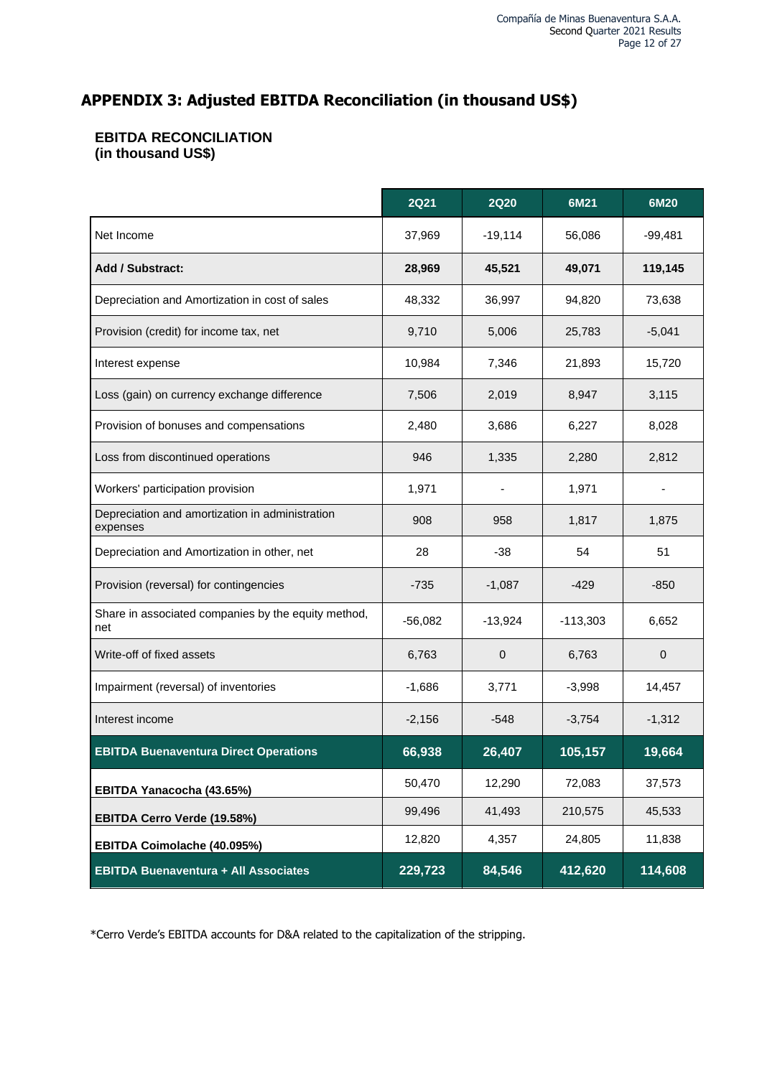# **APPENDIX 3: Adjusted EBITDA Reconciliation (in thousand US\$)**

# **EBITDA RECONCILIATION (in thousand US\$)**

|                                                             | <b>2Q21</b> | <b>2Q20</b> | 6M21       | 6M20      |
|-------------------------------------------------------------|-------------|-------------|------------|-----------|
| Net Income                                                  | 37,969      | $-19,114$   | 56,086     | $-99,481$ |
| <b>Add / Substract:</b>                                     | 28,969      | 45,521      | 49,071     | 119,145   |
| Depreciation and Amortization in cost of sales              | 48,332      | 36,997      | 94,820     | 73,638    |
| Provision (credit) for income tax, net                      | 9,710       | 5,006       | 25,783     | $-5,041$  |
| Interest expense                                            | 10,984      | 7,346       | 21,893     | 15,720    |
| Loss (gain) on currency exchange difference                 | 7,506       | 2,019       | 8,947      | 3,115     |
| Provision of bonuses and compensations                      | 2,480       | 3,686       | 6,227      | 8,028     |
| Loss from discontinued operations                           | 946         | 1,335       | 2,280      | 2,812     |
| Workers' participation provision                            | 1,971       |             | 1,971      |           |
| Depreciation and amortization in administration<br>expenses | 908         | 958         | 1,817      | 1,875     |
| Depreciation and Amortization in other, net                 | 28          | $-38$       | 54         | 51        |
| Provision (reversal) for contingencies                      | $-735$      | $-1,087$    | $-429$     | $-850$    |
| Share in associated companies by the equity method,<br>net  | $-56,082$   | $-13,924$   | $-113,303$ | 6,652     |
| Write-off of fixed assets                                   | 6,763       | $\mathbf 0$ | 6,763      | 0         |
| Impairment (reversal) of inventories                        | $-1,686$    | 3,771       | $-3,998$   | 14,457    |
| Interest income                                             | $-2,156$    | $-548$      | $-3,754$   | $-1,312$  |
| <b>EBITDA Buenaventura Direct Operations</b>                | 66,938      | 26,407      | 105,157    | 19,664    |
| EBITDA Yanacocha (43.65%)                                   | 50,470      | 12,290      | 72,083     | 37,573    |
| EBITDA Cerro Verde (19.58%)                                 | 99,496      | 41,493      | 210,575    | 45,533    |
| EBITDA Coimolache (40.095%)                                 | 12,820      | 4,357       | 24,805     | 11,838    |
| <b>EBITDA Buenaventura + All Associates</b>                 | 229,723     | 84,546      | 412,620    | 114,608   |

\*Cerro Verde's EBITDA accounts for D&A related to the capitalization of the stripping.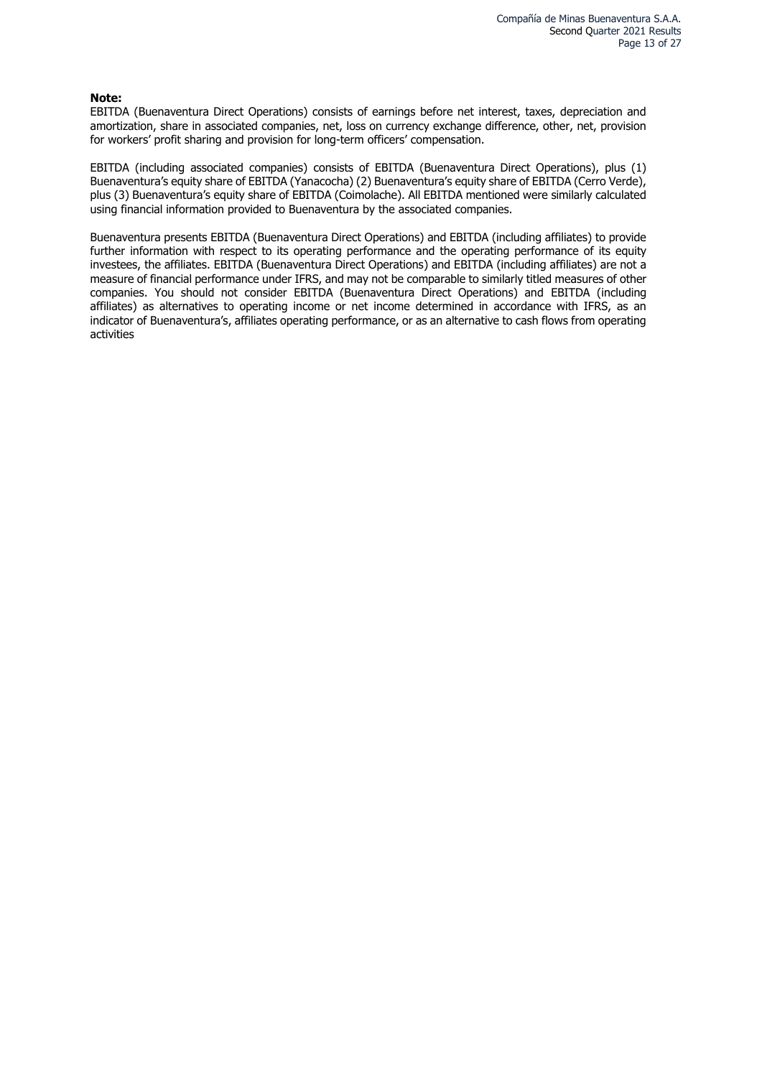#### **Note:**

EBITDA (Buenaventura Direct Operations) consists of earnings before net interest, taxes, depreciation and amortization, share in associated companies, net, loss on currency exchange difference, other, net, provision for workers' profit sharing and provision for long-term officers' compensation.

EBITDA (including associated companies) consists of EBITDA (Buenaventura Direct Operations), plus (1) Buenaventura's equity share of EBITDA (Yanacocha) (2) Buenaventura's equity share of EBITDA (Cerro Verde), plus (3) Buenaventura's equity share of EBITDA (Coimolache). All EBITDA mentioned were similarly calculated using financial information provided to Buenaventura by the associated companies.

Buenaventura presents EBITDA (Buenaventura Direct Operations) and EBITDA (including affiliates) to provide further information with respect to its operating performance and the operating performance of its equity investees, the affiliates. EBITDA (Buenaventura Direct Operations) and EBITDA (including affiliates) are not a measure of financial performance under IFRS, and may not be comparable to similarly titled measures of other companies. You should not consider EBITDA (Buenaventura Direct Operations) and EBITDA (including affiliates) as alternatives to operating income or net income determined in accordance with IFRS, as an indicator of Buenaventura's, affiliates operating performance, or as an alternative to cash flows from operating activities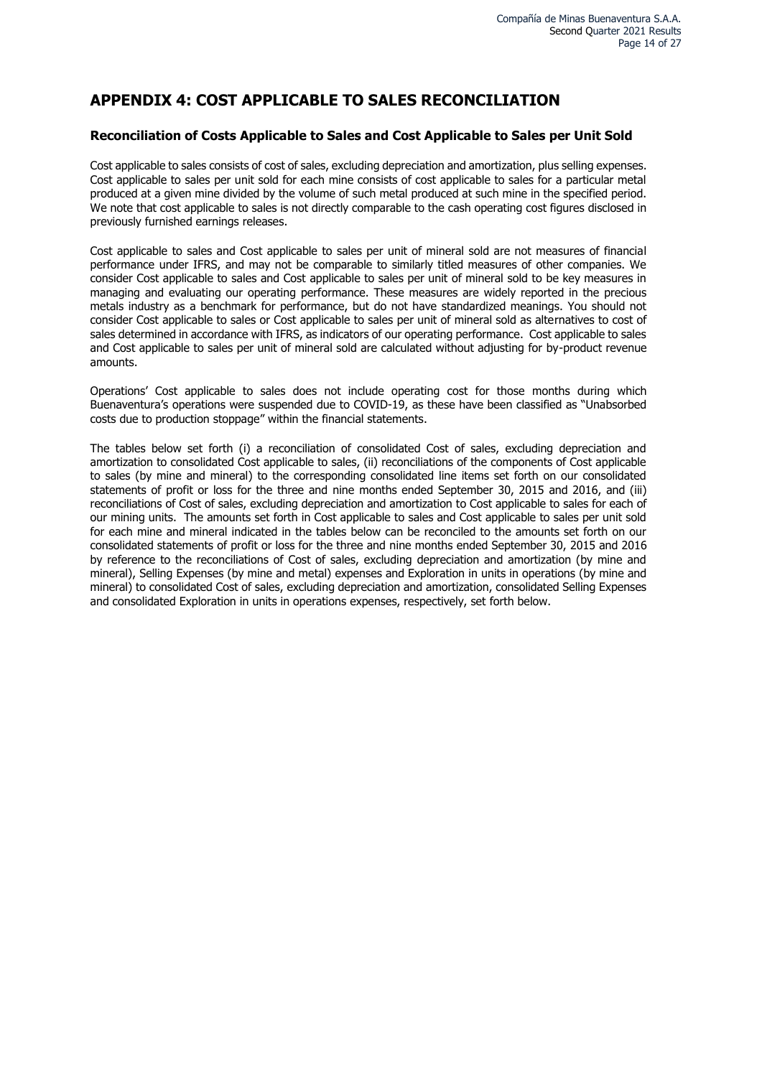# **APPENDIX 4: COST APPLICABLE TO SALES RECONCILIATION**

#### **Reconciliation of Costs Applicable to Sales and Cost Applicable to Sales per Unit Sold**

Cost applicable to sales consists of cost of sales, excluding depreciation and amortization, plus selling expenses. Cost applicable to sales per unit sold for each mine consists of cost applicable to sales for a particular metal produced at a given mine divided by the volume of such metal produced at such mine in the specified period. We note that cost applicable to sales is not directly comparable to the cash operating cost figures disclosed in previously furnished earnings releases.

Cost applicable to sales and Cost applicable to sales per unit of mineral sold are not measures of financial performance under IFRS, and may not be comparable to similarly titled measures of other companies. We consider Cost applicable to sales and Cost applicable to sales per unit of mineral sold to be key measures in managing and evaluating our operating performance. These measures are widely reported in the precious metals industry as a benchmark for performance, but do not have standardized meanings. You should not consider Cost applicable to sales or Cost applicable to sales per unit of mineral sold as alternatives to cost of sales determined in accordance with IFRS, as indicators of our operating performance. Cost applicable to sales and Cost applicable to sales per unit of mineral sold are calculated without adjusting for by-product revenue amounts.

Operations' Cost applicable to sales does not include operating cost for those months during which Buenaventura's operations were suspended due to COVID-19, as these have been classified as "Unabsorbed costs due to production stoppage" within the financial statements.

The tables below set forth (i) a reconciliation of consolidated Cost of sales, excluding depreciation and amortization to consolidated Cost applicable to sales, (ii) reconciliations of the components of Cost applicable to sales (by mine and mineral) to the corresponding consolidated line items set forth on our consolidated statements of profit or loss for the three and nine months ended September 30, 2015 and 2016, and (iii) reconciliations of Cost of sales, excluding depreciation and amortization to Cost applicable to sales for each of our mining units. The amounts set forth in Cost applicable to sales and Cost applicable to sales per unit sold for each mine and mineral indicated in the tables below can be reconciled to the amounts set forth on our consolidated statements of profit or loss for the three and nine months ended September 30, 2015 and 2016 by reference to the reconciliations of Cost of sales, excluding depreciation and amortization (by mine and mineral), Selling Expenses (by mine and metal) expenses and Exploration in units in operations (by mine and mineral) to consolidated Cost of sales, excluding depreciation and amortization, consolidated Selling Expenses and consolidated Exploration in units in operations expenses, respectively, set forth below.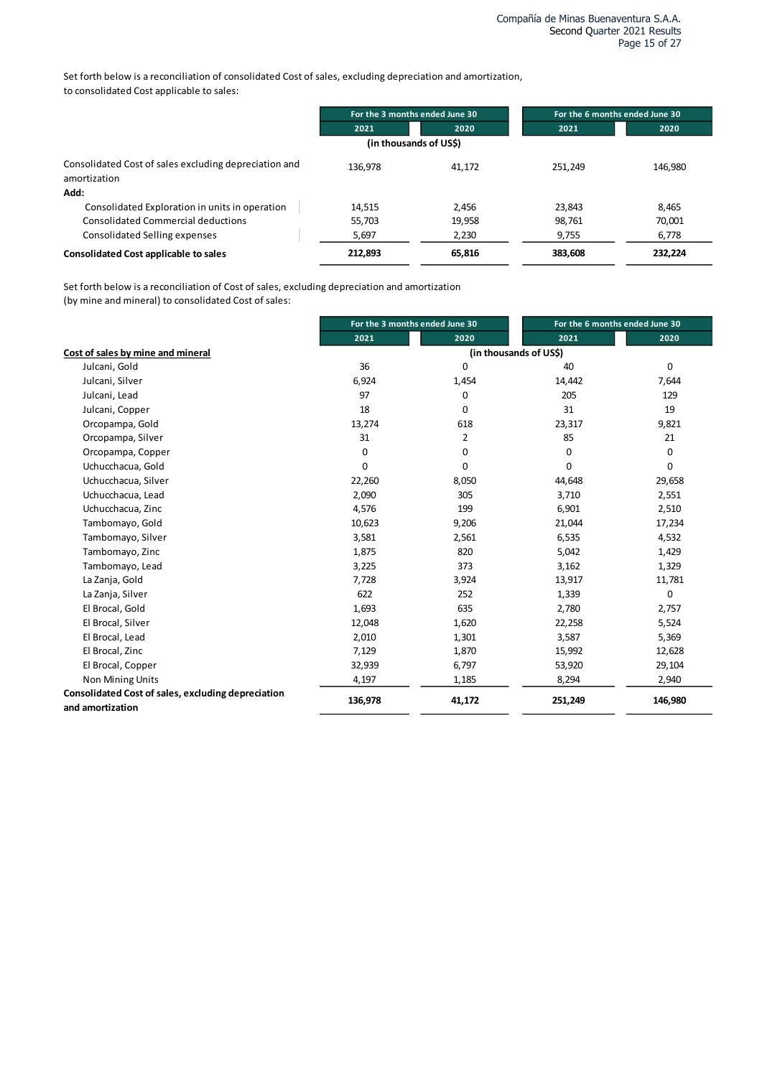Set forth below is a reconciliation of consolidated Cost of sales, excluding depreciation and amortization, to consolidated Cost applicable to sales:

|                                                                       | For the 3 months ended June 30 |        | For the 6 months ended June 30 |         |
|-----------------------------------------------------------------------|--------------------------------|--------|--------------------------------|---------|
|                                                                       | 2021                           | 2020   | 2021                           | 2020    |
|                                                                       | (in thousands of US\$)         |        |                                |         |
| Consolidated Cost of sales excluding depreciation and<br>amortization | 136.978                        | 41,172 | 251.249                        | 146.980 |
| Add:                                                                  |                                |        |                                |         |
| Consolidated Exploration in units in operation                        | 14.515                         | 2.456  | 23,843                         | 8,465   |
| <b>Consolidated Commercial deductions</b>                             | 55,703                         | 19,958 | 98,761                         | 70,001  |
| Consolidated Selling expenses                                         | 5,697                          | 2,230  | 9,755                          | 6,778   |
| <b>Consolidated Cost applicable to sales</b>                          | 212,893                        | 65,816 | 383.608                        | 232,224 |

Set forth below is a reconciliation of Cost of sales, excluding depreciation and amortization (by mine and mineral) to consolidated Cost of sales:

|                                                    |         | For the 3 months ended June 30 | For the 6 months ended June 30 |         |
|----------------------------------------------------|---------|--------------------------------|--------------------------------|---------|
|                                                    | 2021    | 2020                           | 2021                           | 2020    |
| Cost of sales by mine and mineral                  |         |                                | (in thousands of US\$)         |         |
| Julcani, Gold                                      | 36      | 0                              | 40                             | 0       |
| Julcani, Silver                                    | 6,924   | 1,454                          | 14,442                         | 7,644   |
| Julcani, Lead                                      | 97      | 0                              | 205                            | 129     |
| Julcani, Copper                                    | 18      | 0                              | 31                             | 19      |
| Orcopampa, Gold                                    | 13,274  | 618                            | 23,317                         | 9,821   |
| Orcopampa, Silver                                  | 31      | 2                              | 85                             | 21      |
| Orcopampa, Copper                                  | 0       | 0                              | 0                              | 0       |
| Uchucchacua, Gold                                  | 0       | 0                              | 0                              | 0       |
| Uchucchacua, Silver                                | 22,260  | 8,050                          | 44,648                         | 29,658  |
| Uchucchacua, Lead                                  | 2,090   | 305                            | 3,710                          | 2,551   |
| Uchucchacua, Zinc                                  | 4,576   | 199                            | 6,901                          | 2,510   |
| Tambomayo, Gold                                    | 10,623  | 9,206                          | 21,044                         | 17,234  |
| Tambomayo, Silver                                  | 3,581   | 2,561                          | 6,535                          | 4,532   |
| Tambomayo, Zinc                                    | 1,875   | 820                            | 5,042                          | 1,429   |
| Tambomayo, Lead                                    | 3,225   | 373                            | 3,162                          | 1,329   |
| La Zanja, Gold                                     | 7,728   | 3,924                          | 13,917                         | 11,781  |
| La Zanja, Silver                                   | 622     | 252                            | 1,339                          | 0       |
| El Brocal, Gold                                    | 1,693   | 635                            | 2,780                          | 2,757   |
| El Brocal, Silver                                  | 12,048  | 1,620                          | 22,258                         | 5,524   |
| El Brocal, Lead                                    | 2,010   | 1,301                          | 3,587                          | 5,369   |
| El Brocal, Zinc                                    | 7,129   | 1,870                          | 15,992                         | 12,628  |
| El Brocal, Copper                                  | 32,939  | 6,797                          | 53,920                         | 29,104  |
| Non Mining Units                                   | 4,197   | 1,185                          | 8,294                          | 2,940   |
| Consolidated Cost of sales, excluding depreciation | 136,978 | 41,172                         | 251,249                        | 146,980 |
| and amortization                                   |         |                                |                                |         |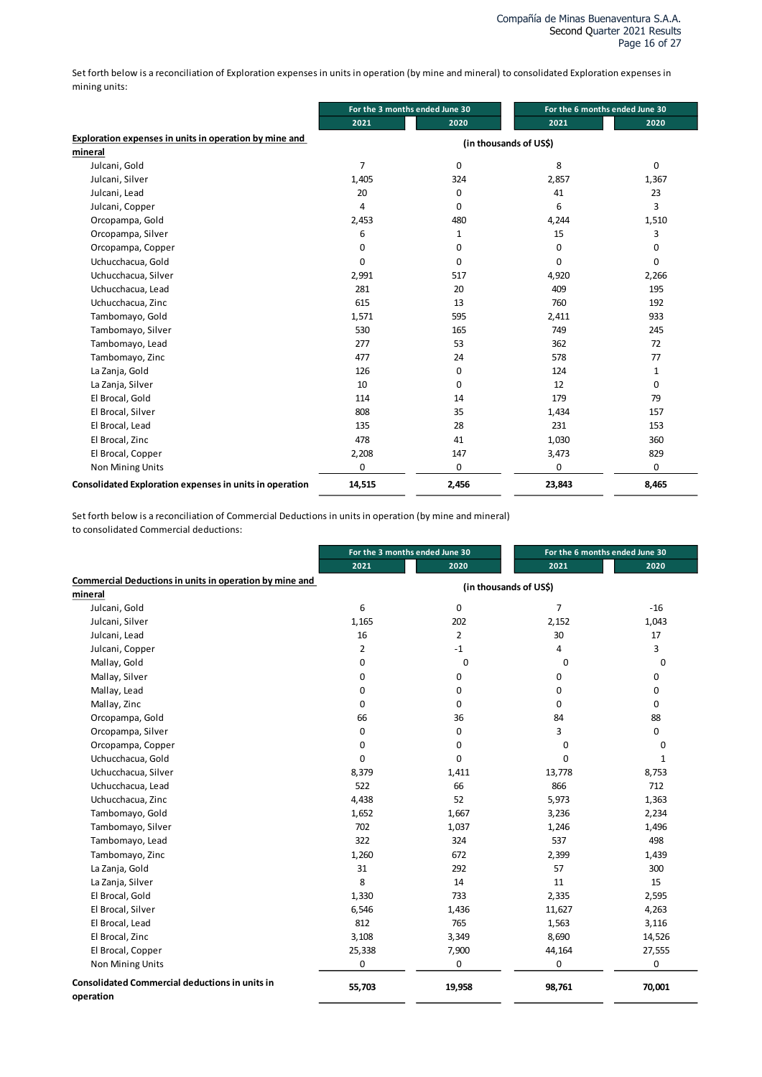Set forth below is a reconciliation of Exploration expenses in units in operation (by mine and mineral) to consolidated Exploration expenses in mining units:

|                                                         | For the 3 months ended June 30 |                        | For the 6 months ended June 30 |          |
|---------------------------------------------------------|--------------------------------|------------------------|--------------------------------|----------|
|                                                         | 2021                           | 2020                   | 2021                           | 2020     |
| Exploration expenses in units in operation by mine and  |                                | (in thousands of US\$) |                                |          |
| mineral                                                 |                                |                        |                                |          |
| Julcani, Gold                                           | 7                              | 0                      | 8                              | $\Omega$ |
| Julcani, Silver                                         | 1,405                          | 324                    | 2,857                          | 1,367    |
| Julcani, Lead                                           | 20                             | 0                      | 41                             | 23       |
| Julcani, Copper                                         | 4                              | $\mathbf 0$            | 6                              | 3        |
| Orcopampa, Gold                                         | 2,453                          | 480                    | 4,244                          | 1,510    |
| Orcopampa, Silver                                       | 6                              | 1                      | 15                             | 3        |
| Orcopampa, Copper                                       | 0                              | 0                      | 0                              | 0        |
| Uchucchacua, Gold                                       | $\Omega$                       | 0                      | 0                              | 0        |
| Uchucchacua, Silver                                     | 2,991                          | 517                    | 4,920                          | 2,266    |
| Uchucchacua, Lead                                       | 281                            | 20                     | 409                            | 195      |
| Uchucchacua, Zinc                                       | 615                            | 13                     | 760                            | 192      |
| Tambomayo, Gold                                         | 1,571                          | 595                    | 2,411                          | 933      |
| Tambomayo, Silver                                       | 530                            | 165                    | 749                            | 245      |
| Tambomayo, Lead                                         | 277                            | 53                     | 362                            | 72       |
| Tambomayo, Zinc                                         | 477                            | 24                     | 578                            | 77       |
| La Zanja, Gold                                          | 126                            | 0                      | 124                            | 1        |
| La Zanja, Silver                                        | 10                             | $\mathbf 0$            | 12                             | 0        |
| El Brocal, Gold                                         | 114                            | 14                     | 179                            | 79       |
| El Brocal, Silver                                       | 808                            | 35                     | 1,434                          | 157      |
| El Brocal, Lead                                         | 135                            | 28                     | 231                            | 153      |
| El Brocal, Zinc                                         | 478                            | 41                     | 1,030                          | 360      |
| El Brocal, Copper                                       | 2,208                          | 147                    | 3,473                          | 829      |
| Non Mining Units                                        | $\mathbf 0$                    | 0                      | 0                              | 0        |
| Consolidated Exploration expenses in units in operation | 14,515                         | 2,456                  | 23,843                         | 8,465    |

Set forth below is a reconciliation of Commercial Deductions in units in operation (by mine and mineral) to consolidated Commercial deductions:

|                                                                    |                | For the 3 months ended June 30 |                        | For the 6 months ended June 30 |
|--------------------------------------------------------------------|----------------|--------------------------------|------------------------|--------------------------------|
|                                                                    | 2021           | 2020                           | 2021                   | 2020                           |
| Commercial Deductions in units in operation by mine and            |                |                                | (in thousands of US\$) |                                |
| mineral                                                            |                |                                |                        |                                |
| Julcani, Gold                                                      | 6              | 0                              | $\overline{7}$         | $-16$                          |
| Julcani, Silver                                                    | 1,165          | 202                            | 2,152                  | 1,043                          |
| Julcani, Lead                                                      | 16             | $\overline{2}$                 | 30                     | 17                             |
| Julcani, Copper                                                    | $\overline{2}$ | $-1$                           | 4                      | 3                              |
| Mallay, Gold                                                       | 0              | $\mathbf 0$                    | 0                      | 0                              |
| Mallay, Silver                                                     | 0              | 0                              | 0                      | 0                              |
| Mallay, Lead                                                       | $\mathbf 0$    | 0                              | 0                      | 0                              |
| Mallay, Zinc                                                       | $\mathbf 0$    | 0                              | 0                      | 0                              |
| Orcopampa, Gold                                                    | 66             | 36                             | 84                     | 88                             |
| Orcopampa, Silver                                                  | 0              | 0                              | 3                      | 0                              |
| Orcopampa, Copper                                                  | 0              | 0                              | 0                      | 0                              |
| Uchucchacua, Gold                                                  | 0              | 0                              | 0                      | 1                              |
| Uchucchacua, Silver                                                | 8,379          | 1,411                          | 13,778                 | 8,753                          |
| Uchucchacua, Lead                                                  | 522            | 66                             | 866                    | 712                            |
| Uchucchacua, Zinc                                                  | 4,438          | 52                             | 5,973                  | 1,363                          |
| Tambomayo, Gold                                                    | 1,652          | 1,667                          | 3,236                  | 2,234                          |
| Tambomayo, Silver                                                  | 702            | 1,037                          | 1,246                  | 1,496                          |
| Tambomayo, Lead                                                    | 322            | 324                            | 537                    | 498                            |
| Tambomayo, Zinc                                                    | 1,260          | 672                            | 2,399                  | 1,439                          |
| La Zanja, Gold                                                     | 31             | 292                            | 57                     | 300                            |
| La Zanja, Silver                                                   | 8              | 14                             | 11                     | 15                             |
| El Brocal, Gold                                                    | 1,330          | 733                            | 2,335                  | 2,595                          |
| El Brocal, Silver                                                  | 6,546          | 1,436                          | 11,627                 | 4,263                          |
| El Brocal, Lead                                                    | 812            | 765                            | 1,563                  | 3,116                          |
| El Brocal, Zinc                                                    | 3,108          | 3,349                          | 8,690                  | 14,526                         |
| El Brocal, Copper                                                  | 25,338         | 7,900                          | 44,164                 | 27,555                         |
| Non Mining Units                                                   | 0              | 0                              | 0                      | 0                              |
| <b>Consolidated Commercial deductions in units in</b><br>operation | 55,703         | 19,958                         | 98,761                 | 70,001                         |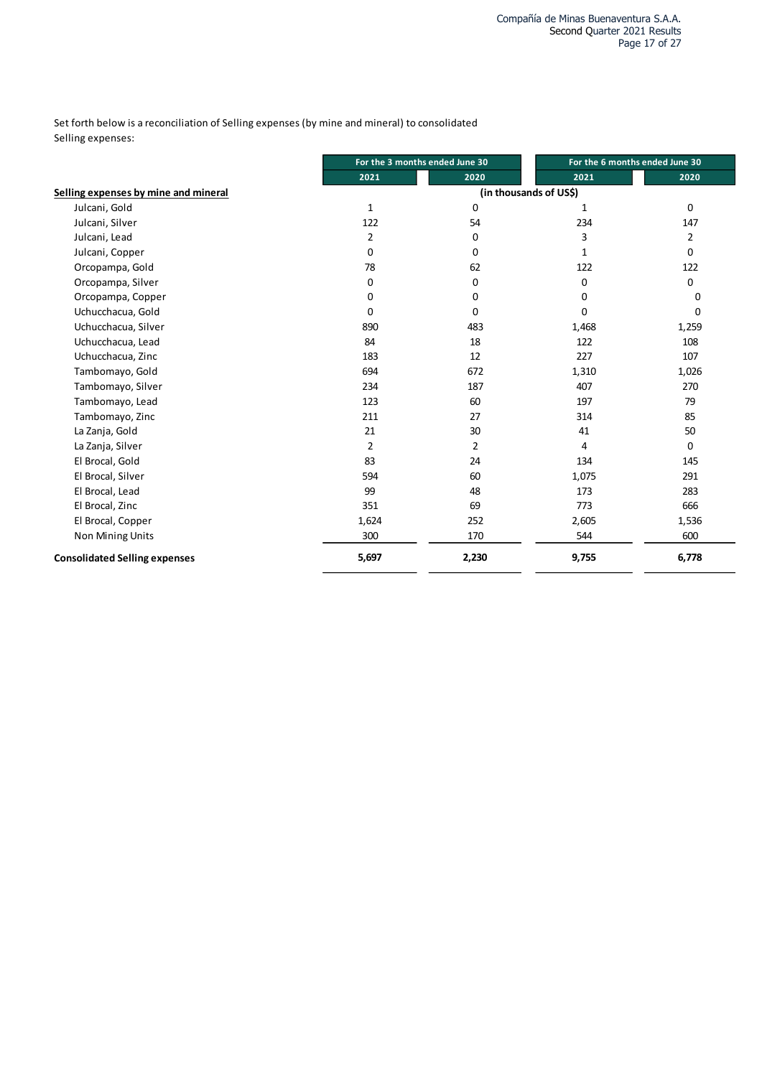Set forth below is a reconciliation of Selling expenses (by mine and mineral) to consolidated Selling expenses:

|                                      | For the 3 months ended June 30 |                | For the 6 months ended June 30 |          |
|--------------------------------------|--------------------------------|----------------|--------------------------------|----------|
|                                      | 2021                           | 2020           | 2021                           | 2020     |
| Selling expenses by mine and mineral |                                |                | (in thousands of US\$)         |          |
| Julcani, Gold                        | 1                              | 0              | 1                              | 0        |
| Julcani, Silver                      | 122                            | 54             | 234                            | 147      |
| Julcani, Lead                        | $\overline{2}$                 | 0              | 3                              | 2        |
| Julcani, Copper                      | 0                              | 0              | 1                              | 0        |
| Orcopampa, Gold                      | 78                             | 62             | 122                            | 122      |
| Orcopampa, Silver                    | 0                              | 0              | 0                              | 0        |
| Orcopampa, Copper                    | 0                              | 0              | 0                              | 0        |
| Uchucchacua, Gold                    | 0                              | 0              | 0                              | $\Omega$ |
| Uchucchacua, Silver                  | 890                            | 483            | 1,468                          | 1,259    |
| Uchucchacua, Lead                    | 84                             | 18             | 122                            | 108      |
| Uchucchacua, Zinc                    | 183                            | 12             | 227                            | 107      |
| Tambomayo, Gold                      | 694                            | 672            | 1,310                          | 1,026    |
| Tambomayo, Silver                    | 234                            | 187            | 407                            | 270      |
| Tambomayo, Lead                      | 123                            | 60             | 197                            | 79       |
| Tambomayo, Zinc                      | 211                            | 27             | 314                            | 85       |
| La Zanja, Gold                       | 21                             | 30             | 41                             | 50       |
| La Zanja, Silver                     | $\overline{2}$                 | $\overline{2}$ | 4                              | $\Omega$ |
| El Brocal, Gold                      | 83                             | 24             | 134                            | 145      |
| El Brocal, Silver                    | 594                            | 60             | 1,075                          | 291      |
| El Brocal, Lead                      | 99                             | 48             | 173                            | 283      |
| El Brocal, Zinc                      | 351                            | 69             | 773                            | 666      |
| El Brocal, Copper                    | 1,624                          | 252            | 2,605                          | 1,536    |
| <b>Non Mining Units</b>              | 300                            | 170            | 544                            | 600      |
| <b>Consolidated Selling expenses</b> | 5,697                          | 2,230          | 9,755                          | 6,778    |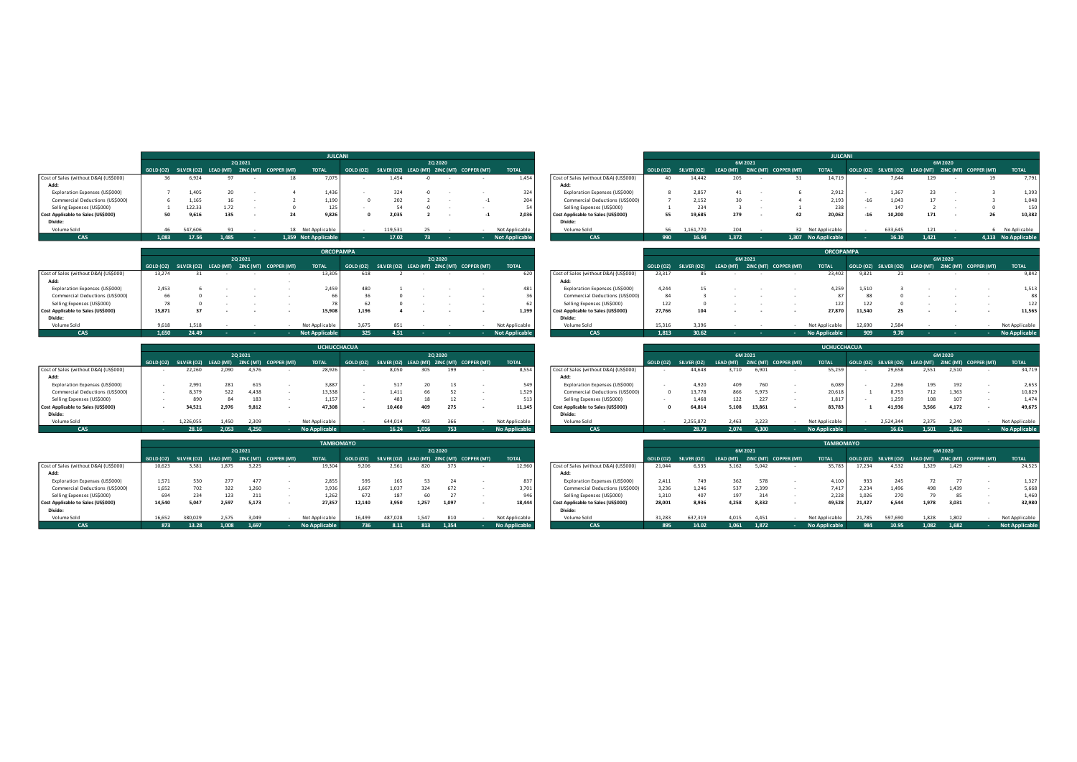|                                       |                                 |       |         |       |          |                                                       |                      | <b>JULCANI</b> |        |          |                                             |                       |                                       |           |             |       |         |                                 | <b>JULCANI</b>      |     |         |       |         |                                                       |                     |
|---------------------------------------|---------------------------------|-------|---------|-------|----------|-------------------------------------------------------|----------------------|----------------|--------|----------|---------------------------------------------|-----------------------|---------------------------------------|-----------|-------------|-------|---------|---------------------------------|---------------------|-----|---------|-------|---------|-------------------------------------------------------|---------------------|
|                                       |                                 |       |         |       | 20 20 21 |                                                       |                      |                |        | 20 20 20 |                                             |                       |                                       |           |             |       | 6M 2021 |                                 |                     |     |         |       | 6M 2020 |                                                       |                     |
|                                       |                                 |       |         |       |          | GOLD (OZ) SILVER (OZ) LEAD (MT) ZINC (MT) COPPER (MT) | <b>TOTAL</b>         | GOLD (OZ)      |        |          | SILVER (OZ) LEAD (MT) ZINC (MT) COPPER (MT) | <b>TOTAL</b>          |                                       | GOLD (OZ) | SILVER (OZ) |       |         | LEAD (MT) ZINC (MT) COPPER (MT) | <b>TOTAL</b>        |     |         |       |         | GOLD (OZ) SILVER (OZ) LEAD (MT) ZINC (MT) COPPER (MT) | <b>TOTAL</b>        |
| Cost of Sales (without D&A) (US\$000) |                                 | 36    | 6,924   |       |          |                                                       | 7,075                |                | 1,454  |          |                                             | 1,454                 | Cost of Sales (without D&A) (US\$000) | 40        | 14,442      | 205   |         | 31.                             | 14.719              |     | 7.644   | 129   |         |                                                       | 7,791               |
| Add:                                  |                                 |       |         |       |          |                                                       |                      |                |        |          |                                             |                       | Add:                                  |           |             |       |         |                                 |                     |     |         |       |         |                                                       |                     |
| Exploration Expenses (US\$000)        |                                 |       | 405ء    |       |          |                                                       | 1,436                |                |        |          |                                             | 324                   | Exploration Expenses (US\$000)        |           | 2,857       |       |         |                                 | 2,912               |     | 1.367   | 23    |         |                                                       | 1,393               |
|                                       | Commercial Deductions (US\$000) |       | 1,165   |       |          |                                                       | 1.190                |                | 202    |          |                                             | 204                   | Commercial Deductions (US\$000)       |           | 2.152       | 30    |         |                                 | 2.193               | -16 | 1.043   |       |         |                                                       | 1,048               |
| Selling Expenses (US\$000)            |                                 |       | 122.33  | 1.72  |          |                                                       | 125                  |                | 54     |          |                                             |                       | Selling Expenses (US\$000)            |           | 234         |       |         |                                 | 238                 |     | 147     |       |         |                                                       | 150                 |
| Cost Applicable to Sales (US\$000)    |                                 | 50    | 9,616   | 135   |          |                                                       | 9,826                |                | 2,035  |          |                                             | 2,036                 | Cost Applicable to Sales (US\$000)    | 55        | 19,685      | 279   |         |                                 | 20,062              | -16 | 10,200  | 171   |         | 26                                                    | 10,382              |
| Divide:                               |                                 |       |         |       |          |                                                       |                      |                |        |          |                                             |                       | Divide:                               |           |             |       |         |                                 |                     |     |         |       |         |                                                       |                     |
| Volume Sold                           |                                 | 46    | 547.606 |       |          |                                                       | 18 Not Applicable    |                | 119.53 |          |                                             | Not Applicable        | Volume Sold                           | 56        | 1.161.770   | 204   |         |                                 | 32 Not Applicable   |     | 633.645 |       |         |                                                       | No Aplicable        |
| <b>CAS</b>                            |                                 | 1.083 | 17.56   | 1.485 |          |                                                       | 1.359 Not Applicable |                | 17.02  |          |                                             | <b>Not Applicable</b> | <b>CAS</b>                            | 990-      | 16.94       | 1.372 |         |                                 | 1.307 No Applicable |     | 16.10   | 1.421 |         |                                                       | 4.113 No Applicable |

|                                       |        |       |          |                                                       | <b>ORCOPAMPA</b>      |       |      |          |                                                       |                       |                                       |        |                       |           |         |                       | <b>ORCOPAMPA</b> |        |                                                       |         |                |
|---------------------------------------|--------|-------|----------|-------------------------------------------------------|-----------------------|-------|------|----------|-------------------------------------------------------|-----------------------|---------------------------------------|--------|-----------------------|-----------|---------|-----------------------|------------------|--------|-------------------------------------------------------|---------|----------------|
|                                       |        |       | 20 20 21 |                                                       |                       |       |      | 20 20 20 |                                                       |                       |                                       |        |                       |           | 6M 2021 |                       |                  |        |                                                       | 6M 2020 |                |
|                                       |        |       |          | GOLD (OZ) SILVER (OZ) LEAD (MT) ZINC (MT) COPPER (MT) | <b>TOTAL</b>          |       |      |          | GOLD (OZ) SILVER (OZ) LEAD (MT) ZINC (MT) COPPER (MT) | <b>TOTAL</b>          |                                       |        | GOLD (OZ) SILVER (OZ) | LEAD (MT) |         | ZINC (MT) COPPER (MT) | <b>TOTAL</b>     |        | GOLD (OZ) SILVER (OZ) LEAD (MT) ZINC (MT) COPPER (MT) |         | <b>TOTAL</b>   |
| Cost of Sales (without D&A) (US\$000) | 13,274 |       |          |                                                       | 13,305                |       |      |          |                                                       | 620                   | Cost of Sales (without D&A) (US\$000) | 23.317 | 85.                   |           |         |                       | 23,402           |        |                                                       |         | 9,842          |
| Add:                                  |        |       |          |                                                       |                       |       |      |          |                                                       |                       | Add:                                  |        |                       |           |         |                       |                  |        |                                                       |         |                |
| Exploration Expenses (US\$000)        | 2.453  |       |          |                                                       | 2.459                 |       |      |          |                                                       | 481                   | Exploration Expenses (US\$000)        | 4.244  |                       |           |         |                       | 4.259            | 1.510  |                                                       |         | 1,513          |
| Commercial Deductions (US\$000)       |        |       |          |                                                       |                       |       |      |          |                                                       |                       | Commercial Deductions (US\$000)       |        |                       |           |         |                       |                  |        |                                                       |         | 88             |
| Selling Expenses (US\$000)            |        |       |          |                                                       |                       |       |      |          |                                                       |                       | Selling Expenses (US\$000)            | 122    |                       |           |         |                       | 122              | 122    |                                                       |         | 122            |
| Cost Applicable to Sales (US\$000)    | 15,871 |       |          |                                                       | 15,908                | 1,196 |      |          |                                                       | 1,199                 | Cost Applicable to Sales (US\$000)    | 27,766 | 104                   |           |         |                       | 27,870           | 11,540 |                                                       |         | 11,565         |
| Divide:                               |        |       |          |                                                       |                       |       |      |          |                                                       |                       | Divide:                               |        |                       |           |         |                       |                  |        |                                                       |         |                |
| Volume Sold                           | 9.618  | 1.518 |          |                                                       | Not Applicable        | 3.675 |      |          |                                                       | Not Applicable        | Volume Sold                           | 15.316 | 3.396                 |           |         |                       | Not Applicable   | 12.690 | 2.584                                                 |         | Not Applicable |
| CAS                                   | 1,650  | 24.49 |          |                                                       | <b>Not Applicable</b> |       | 4.51 |          |                                                       | <b>Not Applicable</b> | <b>CAS</b>                            | 1,813  | 30.62                 |           |         |                       | No Applicable    | 909    | 9.70                                                  |         | No Applicable  |

|                                       |                                                       |       |              | <b>UCHUCCHACUA</b>                |           |                                             |       |          |                             |                                       |           |                    |           |        |                       | <b>UCHUCCHACUA</b>        |                                                       |       |         |                                   |
|---------------------------------------|-------------------------------------------------------|-------|--------------|-----------------------------------|-----------|---------------------------------------------|-------|----------|-----------------------------|---------------------------------------|-----------|--------------------|-----------|--------|-----------------------|---------------------------|-------------------------------------------------------|-------|---------|-----------------------------------|
|                                       |                                                       |       | 20 20 21     |                                   |           |                                             |       | 20 20 20 |                             |                                       |           |                    | 6M 2021   |        |                       |                           |                                                       |       | 6M 2020 |                                   |
|                                       | GOLD (OZ) SILVER (OZ) LEAD (MT) ZINC (MT) COPPER (MT) |       |              | <b>TOTAL</b>                      | GOLD (OZ) | SILVER (OZ) LEAD (MT) ZINC (MT) COPPER (MT) |       |          | <b>TOTAL</b>                |                                       | GOLD (OZ) | <b>SILVER (OZ)</b> | LEAD (MT) |        | ZINC (MT) COPPER (MT) | <b>TOTAL</b>              | GOLD (OZ) SILVER (OZ) LEAD (MT) ZINC (MT) COPPER (MT) |       |         | <b>TOTAL</b>                      |
| Cost of Sales (without D&A) (US\$000) | 22,260                                                | 2,090 | 4,576        | 28,926                            |           | 8,050                                       | 305   |          | 8,554                       | Cost of Sales (without D&A) (US\$000) |           | 44,648             | 3,710     | 6,901  |                       | 55,259                    | 29,658                                                | 2,551 | 2,510   | 34,719                            |
| Add:                                  |                                                       |       |              |                                   |           |                                             |       |          |                             | Add:                                  |           |                    |           |        |                       |                           |                                                       |       |         |                                   |
| Exploration Expenses (US\$000)        | 2,991                                                 | 281   | 615          | 3,887                             |           | 517                                         | zu    |          | 549                         | Exploration Expenses (US\$000)        |           | 4.920              | 409       | 760    |                       | 6.089                     | 2,266                                                 | 195   | 192     | 2,653                             |
| Commercial Deductions (US\$000)       | 8,379                                                 | 522   | 4,438        | 13,338                            |           | 1,411                                       | 66    |          | 1,529                       | Commercial Deductions (US\$000)       |           | 13,778             | 866       | 5,973  |                       | 20,618                    | 8,753                                                 |       | 1,363   | 10,829                            |
| Selling Expenses (US\$000)            |                                                       |       | 183          | 1,157                             |           | 483                                         |       |          | 513                         | Selling Expenses (US\$000)            |           | 1.468              | 122       | 227    |                       | 1,817                     | 1,259                                                 | 108   | 107     | 1,474                             |
| Cost Applicable to Sales (US\$000)    | 34,52:                                                | 2,976 | 9,812        | 47,308                            |           | 10,460                                      | 409   | 275      | 11,145                      | Cost Applicable to Sales (US\$000)    |           | 64,814             | 5,108     | 13,861 |                       | 83,783                    | 11,936                                                | 3,566 | 4,172   | 49,675                            |
| Divide:                               |                                                       |       |              |                                   |           |                                             |       |          |                             | Divide:                               |           |                    |           |        |                       |                           |                                                       |       |         |                                   |
| Volume Sold                           | 1.226.055                                             | 1.450 | 2.309        | Not Applicable                    |           | 644.014                                     | 403   | 366      | Not Applicable              | Volume Sold                           |           | 2.255.872          | 2.463     | 3.223  |                       | Not Applicable            | 2.524.344                                             | 2.375 | 2.240   | Not Applicable                    |
| 0.055                                 | 20.10                                                 | 2002  | <b>A</b> SEO | <b>Allen American Information</b> |           | AC                                          | 1.01c | 700      | <b>Allen Aussitzerblurg</b> |                                       |           | 20.72              | 2.024     | 0.300  |                       | Also Association in Links | ACCA                                                  | 1.001 | 1002    | <b>Allen American Information</b> |

| Cost of Sales (without D&A) (US\$000)<br>36<br>6,924<br>97<br>Add:<br>Exploration Expenses (US\$000)<br>1,405<br>20<br>$\overline{7}$<br>Commercial Deductions (US\$000)<br>1.165<br>16<br>-6<br>122.33<br>1.72<br>Selling Expenses (US\$000)<br>$\mathbf{1}$<br>Cost Applicable to Sales (US\$000)<br>50<br>9,616<br>135<br>Divide:<br>Volume Sold<br>46<br>547,606<br>91<br><b>CAS</b><br>1,083<br>17.56<br>1,485<br>2Q 2021<br>GOLD (OZ)<br>SILVER (OZ) LEAD (MT) ZINC (MT) COPPER (MT)<br>Cost of Sales (without D&A) (US\$000)<br>13.274<br>31<br>Add:<br>Exploration Expenses (US\$000)<br>2,453<br>6<br>Commercial Deductions (US\$000)<br>66<br>$\overline{0}$<br>Selling Expenses (US\$000)<br>78<br>$\circ$<br>Cost Applicable to Sales (US\$000)<br>15,871<br>37<br>Divide:<br>Volume Sold<br>9,618<br>1,518<br>24.49<br><b>CAS</b><br>1,650<br>2Q 2021<br>GOLD (OZ) SILVER (OZ) LEAD (MT) ZINC (MT) COPPER (MT)<br>Cost of Sales (without D&A) (US\$000)<br>22,260<br>2,090<br>Add:<br>281<br>Exploration Expenses (US\$000)<br>2,991<br>Commercial Deductions (US\$000)<br>522<br>8,379 | 18<br>7,075<br>1,436<br>1,190<br>$\overline{z}$<br>$\overline{\phantom{a}}$<br>125<br>$\Omega$<br>$\sim$<br>24<br>9,826<br>18 Not Applicable<br>1,359 Not Applicable<br><b>TOTAL</b><br>13,305<br>2,459<br>66<br>78<br>$\sim$<br>$\sim$<br>15,908<br>÷<br>÷<br>Not Applicable<br><b>Not Applicable</b><br><b>UCHUCCHACUA</b> | 1,454<br>1,454<br>$-0$<br>324<br>324<br>$-0$<br>202<br>204<br>$\Omega$<br>$\overline{z}$<br>$-1$<br>54<br>54<br>$-0$<br>$\mathbf 0$<br>2,035<br>2,036<br>$\overline{2}$<br>$-1$<br>119,531<br>25<br>Not Applicable<br><b>Not Applicable</b><br>17.02<br>73<br><b>ORCOPAMPA</b><br>2Q 2020<br>GOLD (OZ) SILVER (OZ) LEAD (MT) ZINC (MT) COPPER (MT)<br><b>TOTAL</b><br>618<br>620<br>$\overline{\phantom{a}}$<br>480<br>481<br>$\mathbf{1}$<br>36<br>36<br>$\Omega$<br>62<br>62 <sub>1</sub><br>$\circ$<br>$\sim$<br>1,196<br>$\overline{a}$<br>1,199<br>$\overline{\phantom{a}}$<br>3,675<br>851<br>Not Applicable<br><b>Not Applicable</b><br>325<br>4.51 | 7.644<br>7,791<br>Cost of Sales (without D&A) (US\$000)<br>40<br>14,442<br>205<br>14,719<br>129<br>19<br>31<br>Add:<br>Exploration Expenses (US\$000)<br>2,857<br>41<br>2,912<br>1,367<br>23<br>1,393<br>$\overline{\mathbf{3}}$<br>2.152<br>30<br>2,193<br>1.043<br>17<br>1,048<br>Commercial Deductions (US\$000)<br>$-16$<br>$\overline{A}$<br>$\sim$<br>$\overline{\mathbf{3}}$<br>234<br>238<br>150<br>Selling Expenses (US\$000)<br>$\overline{\mathbf{3}}$<br>147<br>$\overline{2}$<br>$\overline{1}$<br>$\overline{1}$<br>$\overline{0}$<br>÷<br>$\sim$<br>Cost Applicable to Sales (US\$000)<br>55<br>19,685<br>279<br>42<br>20,062<br>$-16$<br>10,200<br>171<br>26<br>10,382<br>$\sim$<br>Divide:<br>Volume Sold<br>56<br>1,161,770<br>204<br>32 Not Applicable<br>633,645<br>121<br>6<br>No Aplicable<br>1,372<br>16.10<br>4,113 No Applicable<br>CAS<br>990<br>16.94<br>1,307 No Applicable<br>1,421<br><b>ORCOPAMPA</b><br>6M 2021<br>6M 2020<br>GOLD (OZ)<br>SILVER (OZ)<br>LEAD (MT) ZINC (MT) COPPER (MT)<br>GOLD (OZ) SILVER (OZ) LEAD (MT) ZINC (MT) COPPER (MT)<br><b>TOTAL</b><br><b>TOTAL</b><br>Cost of Sales (without D&A) (US\$000)<br>23,317<br>85<br>23,402<br>9,821<br>21<br>9,842<br>Add:<br>Exploration Expenses (US\$000)<br>4,244<br>4,259<br>1,513<br>15<br>1,510<br>Commercial Deductions (US\$000)<br>84<br>87<br>88<br>$\overline{\mathbf{3}}$<br>$\Omega$<br>$\overline{\phantom{a}}$<br>122<br>122<br>Selling Expenses (US\$000)<br>122<br>$\mathbb O$<br>122<br>$\overline{0}$<br>$\sim$<br>$\sim$<br>11,565<br>Cost Applicable to Sales (US\$000)<br>27,766<br>104<br>27,870<br>11,540<br>25<br>$\overline{\phantom{a}}$<br>Divide:<br>Volume Sold<br>15,316<br>3,396<br>12,690<br>2,584<br>Not Applicable<br>Not Applicable<br>1,813<br>30.62<br>No Applicable<br><b>CAS</b><br><b>No Applicable</b><br>909<br>9.70 |
|------------------------------------------------------------------------------------------------------------------------------------------------------------------------------------------------------------------------------------------------------------------------------------------------------------------------------------------------------------------------------------------------------------------------------------------------------------------------------------------------------------------------------------------------------------------------------------------------------------------------------------------------------------------------------------------------------------------------------------------------------------------------------------------------------------------------------------------------------------------------------------------------------------------------------------------------------------------------------------------------------------------------------------------------------------------------------------------------------|------------------------------------------------------------------------------------------------------------------------------------------------------------------------------------------------------------------------------------------------------------------------------------------------------------------------------|------------------------------------------------------------------------------------------------------------------------------------------------------------------------------------------------------------------------------------------------------------------------------------------------------------------------------------------------------------------------------------------------------------------------------------------------------------------------------------------------------------------------------------------------------------------------------------------------------------------------------------------------------------|-------------------------------------------------------------------------------------------------------------------------------------------------------------------------------------------------------------------------------------------------------------------------------------------------------------------------------------------------------------------------------------------------------------------------------------------------------------------------------------------------------------------------------------------------------------------------------------------------------------------------------------------------------------------------------------------------------------------------------------------------------------------------------------------------------------------------------------------------------------------------------------------------------------------------------------------------------------------------------------------------------------------------------------------------------------------------------------------------------------------------------------------------------------------------------------------------------------------------------------------------------------------------------------------------------------------------------------------------------------------------------------------------------------------------------------------------------------------------------------------------------------------------------------------------------------------------------------------------------------------------------------------------------------------------------------------------------------------------------------------------------------------------------------------------------------------------------------------------------------|
|                                                                                                                                                                                                                                                                                                                                                                                                                                                                                                                                                                                                                                                                                                                                                                                                                                                                                                                                                                                                                                                                                                      |                                                                                                                                                                                                                                                                                                                              |                                                                                                                                                                                                                                                                                                                                                                                                                                                                                                                                                                                                                                                            |                                                                                                                                                                                                                                                                                                                                                                                                                                                                                                                                                                                                                                                                                                                                                                                                                                                                                                                                                                                                                                                                                                                                                                                                                                                                                                                                                                                                                                                                                                                                                                                                                                                                                                                                                                                                                                                             |
|                                                                                                                                                                                                                                                                                                                                                                                                                                                                                                                                                                                                                                                                                                                                                                                                                                                                                                                                                                                                                                                                                                      |                                                                                                                                                                                                                                                                                                                              |                                                                                                                                                                                                                                                                                                                                                                                                                                                                                                                                                                                                                                                            |                                                                                                                                                                                                                                                                                                                                                                                                                                                                                                                                                                                                                                                                                                                                                                                                                                                                                                                                                                                                                                                                                                                                                                                                                                                                                                                                                                                                                                                                                                                                                                                                                                                                                                                                                                                                                                                             |
|                                                                                                                                                                                                                                                                                                                                                                                                                                                                                                                                                                                                                                                                                                                                                                                                                                                                                                                                                                                                                                                                                                      |                                                                                                                                                                                                                                                                                                                              |                                                                                                                                                                                                                                                                                                                                                                                                                                                                                                                                                                                                                                                            |                                                                                                                                                                                                                                                                                                                                                                                                                                                                                                                                                                                                                                                                                                                                                                                                                                                                                                                                                                                                                                                                                                                                                                                                                                                                                                                                                                                                                                                                                                                                                                                                                                                                                                                                                                                                                                                             |
|                                                                                                                                                                                                                                                                                                                                                                                                                                                                                                                                                                                                                                                                                                                                                                                                                                                                                                                                                                                                                                                                                                      |                                                                                                                                                                                                                                                                                                                              |                                                                                                                                                                                                                                                                                                                                                                                                                                                                                                                                                                                                                                                            |                                                                                                                                                                                                                                                                                                                                                                                                                                                                                                                                                                                                                                                                                                                                                                                                                                                                                                                                                                                                                                                                                                                                                                                                                                                                                                                                                                                                                                                                                                                                                                                                                                                                                                                                                                                                                                                             |
|                                                                                                                                                                                                                                                                                                                                                                                                                                                                                                                                                                                                                                                                                                                                                                                                                                                                                                                                                                                                                                                                                                      |                                                                                                                                                                                                                                                                                                                              |                                                                                                                                                                                                                                                                                                                                                                                                                                                                                                                                                                                                                                                            |                                                                                                                                                                                                                                                                                                                                                                                                                                                                                                                                                                                                                                                                                                                                                                                                                                                                                                                                                                                                                                                                                                                                                                                                                                                                                                                                                                                                                                                                                                                                                                                                                                                                                                                                                                                                                                                             |
|                                                                                                                                                                                                                                                                                                                                                                                                                                                                                                                                                                                                                                                                                                                                                                                                                                                                                                                                                                                                                                                                                                      |                                                                                                                                                                                                                                                                                                                              |                                                                                                                                                                                                                                                                                                                                                                                                                                                                                                                                                                                                                                                            |                                                                                                                                                                                                                                                                                                                                                                                                                                                                                                                                                                                                                                                                                                                                                                                                                                                                                                                                                                                                                                                                                                                                                                                                                                                                                                                                                                                                                                                                                                                                                                                                                                                                                                                                                                                                                                                             |
|                                                                                                                                                                                                                                                                                                                                                                                                                                                                                                                                                                                                                                                                                                                                                                                                                                                                                                                                                                                                                                                                                                      |                                                                                                                                                                                                                                                                                                                              |                                                                                                                                                                                                                                                                                                                                                                                                                                                                                                                                                                                                                                                            |                                                                                                                                                                                                                                                                                                                                                                                                                                                                                                                                                                                                                                                                                                                                                                                                                                                                                                                                                                                                                                                                                                                                                                                                                                                                                                                                                                                                                                                                                                                                                                                                                                                                                                                                                                                                                                                             |
|                                                                                                                                                                                                                                                                                                                                                                                                                                                                                                                                                                                                                                                                                                                                                                                                                                                                                                                                                                                                                                                                                                      |                                                                                                                                                                                                                                                                                                                              |                                                                                                                                                                                                                                                                                                                                                                                                                                                                                                                                                                                                                                                            |                                                                                                                                                                                                                                                                                                                                                                                                                                                                                                                                                                                                                                                                                                                                                                                                                                                                                                                                                                                                                                                                                                                                                                                                                                                                                                                                                                                                                                                                                                                                                                                                                                                                                                                                                                                                                                                             |
|                                                                                                                                                                                                                                                                                                                                                                                                                                                                                                                                                                                                                                                                                                                                                                                                                                                                                                                                                                                                                                                                                                      |                                                                                                                                                                                                                                                                                                                              |                                                                                                                                                                                                                                                                                                                                                                                                                                                                                                                                                                                                                                                            |                                                                                                                                                                                                                                                                                                                                                                                                                                                                                                                                                                                                                                                                                                                                                                                                                                                                                                                                                                                                                                                                                                                                                                                                                                                                                                                                                                                                                                                                                                                                                                                                                                                                                                                                                                                                                                                             |
|                                                                                                                                                                                                                                                                                                                                                                                                                                                                                                                                                                                                                                                                                                                                                                                                                                                                                                                                                                                                                                                                                                      |                                                                                                                                                                                                                                                                                                                              |                                                                                                                                                                                                                                                                                                                                                                                                                                                                                                                                                                                                                                                            |                                                                                                                                                                                                                                                                                                                                                                                                                                                                                                                                                                                                                                                                                                                                                                                                                                                                                                                                                                                                                                                                                                                                                                                                                                                                                                                                                                                                                                                                                                                                                                                                                                                                                                                                                                                                                                                             |
|                                                                                                                                                                                                                                                                                                                                                                                                                                                                                                                                                                                                                                                                                                                                                                                                                                                                                                                                                                                                                                                                                                      |                                                                                                                                                                                                                                                                                                                              |                                                                                                                                                                                                                                                                                                                                                                                                                                                                                                                                                                                                                                                            |                                                                                                                                                                                                                                                                                                                                                                                                                                                                                                                                                                                                                                                                                                                                                                                                                                                                                                                                                                                                                                                                                                                                                                                                                                                                                                                                                                                                                                                                                                                                                                                                                                                                                                                                                                                                                                                             |
|                                                                                                                                                                                                                                                                                                                                                                                                                                                                                                                                                                                                                                                                                                                                                                                                                                                                                                                                                                                                                                                                                                      |                                                                                                                                                                                                                                                                                                                              |                                                                                                                                                                                                                                                                                                                                                                                                                                                                                                                                                                                                                                                            |                                                                                                                                                                                                                                                                                                                                                                                                                                                                                                                                                                                                                                                                                                                                                                                                                                                                                                                                                                                                                                                                                                                                                                                                                                                                                                                                                                                                                                                                                                                                                                                                                                                                                                                                                                                                                                                             |
|                                                                                                                                                                                                                                                                                                                                                                                                                                                                                                                                                                                                                                                                                                                                                                                                                                                                                                                                                                                                                                                                                                      |                                                                                                                                                                                                                                                                                                                              |                                                                                                                                                                                                                                                                                                                                                                                                                                                                                                                                                                                                                                                            |                                                                                                                                                                                                                                                                                                                                                                                                                                                                                                                                                                                                                                                                                                                                                                                                                                                                                                                                                                                                                                                                                                                                                                                                                                                                                                                                                                                                                                                                                                                                                                                                                                                                                                                                                                                                                                                             |
|                                                                                                                                                                                                                                                                                                                                                                                                                                                                                                                                                                                                                                                                                                                                                                                                                                                                                                                                                                                                                                                                                                      |                                                                                                                                                                                                                                                                                                                              |                                                                                                                                                                                                                                                                                                                                                                                                                                                                                                                                                                                                                                                            |                                                                                                                                                                                                                                                                                                                                                                                                                                                                                                                                                                                                                                                                                                                                                                                                                                                                                                                                                                                                                                                                                                                                                                                                                                                                                                                                                                                                                                                                                                                                                                                                                                                                                                                                                                                                                                                             |
|                                                                                                                                                                                                                                                                                                                                                                                                                                                                                                                                                                                                                                                                                                                                                                                                                                                                                                                                                                                                                                                                                                      |                                                                                                                                                                                                                                                                                                                              |                                                                                                                                                                                                                                                                                                                                                                                                                                                                                                                                                                                                                                                            |                                                                                                                                                                                                                                                                                                                                                                                                                                                                                                                                                                                                                                                                                                                                                                                                                                                                                                                                                                                                                                                                                                                                                                                                                                                                                                                                                                                                                                                                                                                                                                                                                                                                                                                                                                                                                                                             |
|                                                                                                                                                                                                                                                                                                                                                                                                                                                                                                                                                                                                                                                                                                                                                                                                                                                                                                                                                                                                                                                                                                      |                                                                                                                                                                                                                                                                                                                              |                                                                                                                                                                                                                                                                                                                                                                                                                                                                                                                                                                                                                                                            |                                                                                                                                                                                                                                                                                                                                                                                                                                                                                                                                                                                                                                                                                                                                                                                                                                                                                                                                                                                                                                                                                                                                                                                                                                                                                                                                                                                                                                                                                                                                                                                                                                                                                                                                                                                                                                                             |
|                                                                                                                                                                                                                                                                                                                                                                                                                                                                                                                                                                                                                                                                                                                                                                                                                                                                                                                                                                                                                                                                                                      |                                                                                                                                                                                                                                                                                                                              |                                                                                                                                                                                                                                                                                                                                                                                                                                                                                                                                                                                                                                                            |                                                                                                                                                                                                                                                                                                                                                                                                                                                                                                                                                                                                                                                                                                                                                                                                                                                                                                                                                                                                                                                                                                                                                                                                                                                                                                                                                                                                                                                                                                                                                                                                                                                                                                                                                                                                                                                             |
|                                                                                                                                                                                                                                                                                                                                                                                                                                                                                                                                                                                                                                                                                                                                                                                                                                                                                                                                                                                                                                                                                                      |                                                                                                                                                                                                                                                                                                                              |                                                                                                                                                                                                                                                                                                                                                                                                                                                                                                                                                                                                                                                            |                                                                                                                                                                                                                                                                                                                                                                                                                                                                                                                                                                                                                                                                                                                                                                                                                                                                                                                                                                                                                                                                                                                                                                                                                                                                                                                                                                                                                                                                                                                                                                                                                                                                                                                                                                                                                                                             |
|                                                                                                                                                                                                                                                                                                                                                                                                                                                                                                                                                                                                                                                                                                                                                                                                                                                                                                                                                                                                                                                                                                      |                                                                                                                                                                                                                                                                                                                              |                                                                                                                                                                                                                                                                                                                                                                                                                                                                                                                                                                                                                                                            |                                                                                                                                                                                                                                                                                                                                                                                                                                                                                                                                                                                                                                                                                                                                                                                                                                                                                                                                                                                                                                                                                                                                                                                                                                                                                                                                                                                                                                                                                                                                                                                                                                                                                                                                                                                                                                                             |
|                                                                                                                                                                                                                                                                                                                                                                                                                                                                                                                                                                                                                                                                                                                                                                                                                                                                                                                                                                                                                                                                                                      |                                                                                                                                                                                                                                                                                                                              |                                                                                                                                                                                                                                                                                                                                                                                                                                                                                                                                                                                                                                                            |                                                                                                                                                                                                                                                                                                                                                                                                                                                                                                                                                                                                                                                                                                                                                                                                                                                                                                                                                                                                                                                                                                                                                                                                                                                                                                                                                                                                                                                                                                                                                                                                                                                                                                                                                                                                                                                             |
|                                                                                                                                                                                                                                                                                                                                                                                                                                                                                                                                                                                                                                                                                                                                                                                                                                                                                                                                                                                                                                                                                                      |                                                                                                                                                                                                                                                                                                                              |                                                                                                                                                                                                                                                                                                                                                                                                                                                                                                                                                                                                                                                            |                                                                                                                                                                                                                                                                                                                                                                                                                                                                                                                                                                                                                                                                                                                                                                                                                                                                                                                                                                                                                                                                                                                                                                                                                                                                                                                                                                                                                                                                                                                                                                                                                                                                                                                                                                                                                                                             |
|                                                                                                                                                                                                                                                                                                                                                                                                                                                                                                                                                                                                                                                                                                                                                                                                                                                                                                                                                                                                                                                                                                      |                                                                                                                                                                                                                                                                                                                              |                                                                                                                                                                                                                                                                                                                                                                                                                                                                                                                                                                                                                                                            |                                                                                                                                                                                                                                                                                                                                                                                                                                                                                                                                                                                                                                                                                                                                                                                                                                                                                                                                                                                                                                                                                                                                                                                                                                                                                                                                                                                                                                                                                                                                                                                                                                                                                                                                                                                                                                                             |
|                                                                                                                                                                                                                                                                                                                                                                                                                                                                                                                                                                                                                                                                                                                                                                                                                                                                                                                                                                                                                                                                                                      |                                                                                                                                                                                                                                                                                                                              |                                                                                                                                                                                                                                                                                                                                                                                                                                                                                                                                                                                                                                                            |                                                                                                                                                                                                                                                                                                                                                                                                                                                                                                                                                                                                                                                                                                                                                                                                                                                                                                                                                                                                                                                                                                                                                                                                                                                                                                                                                                                                                                                                                                                                                                                                                                                                                                                                                                                                                                                             |
|                                                                                                                                                                                                                                                                                                                                                                                                                                                                                                                                                                                                                                                                                                                                                                                                                                                                                                                                                                                                                                                                                                      |                                                                                                                                                                                                                                                                                                                              |                                                                                                                                                                                                                                                                                                                                                                                                                                                                                                                                                                                                                                                            |                                                                                                                                                                                                                                                                                                                                                                                                                                                                                                                                                                                                                                                                                                                                                                                                                                                                                                                                                                                                                                                                                                                                                                                                                                                                                                                                                                                                                                                                                                                                                                                                                                                                                                                                                                                                                                                             |
|                                                                                                                                                                                                                                                                                                                                                                                                                                                                                                                                                                                                                                                                                                                                                                                                                                                                                                                                                                                                                                                                                                      |                                                                                                                                                                                                                                                                                                                              |                                                                                                                                                                                                                                                                                                                                                                                                                                                                                                                                                                                                                                                            |                                                                                                                                                                                                                                                                                                                                                                                                                                                                                                                                                                                                                                                                                                                                                                                                                                                                                                                                                                                                                                                                                                                                                                                                                                                                                                                                                                                                                                                                                                                                                                                                                                                                                                                                                                                                                                                             |
|                                                                                                                                                                                                                                                                                                                                                                                                                                                                                                                                                                                                                                                                                                                                                                                                                                                                                                                                                                                                                                                                                                      |                                                                                                                                                                                                                                                                                                                              |                                                                                                                                                                                                                                                                                                                                                                                                                                                                                                                                                                                                                                                            | <b>UCHUCCHACUA</b>                                                                                                                                                                                                                                                                                                                                                                                                                                                                                                                                                                                                                                                                                                                                                                                                                                                                                                                                                                                                                                                                                                                                                                                                                                                                                                                                                                                                                                                                                                                                                                                                                                                                                                                                                                                                                                          |
|                                                                                                                                                                                                                                                                                                                                                                                                                                                                                                                                                                                                                                                                                                                                                                                                                                                                                                                                                                                                                                                                                                      |                                                                                                                                                                                                                                                                                                                              | 2Q 2020                                                                                                                                                                                                                                                                                                                                                                                                                                                                                                                                                                                                                                                    | 6M 2020<br>6M 2021                                                                                                                                                                                                                                                                                                                                                                                                                                                                                                                                                                                                                                                                                                                                                                                                                                                                                                                                                                                                                                                                                                                                                                                                                                                                                                                                                                                                                                                                                                                                                                                                                                                                                                                                                                                                                                          |
|                                                                                                                                                                                                                                                                                                                                                                                                                                                                                                                                                                                                                                                                                                                                                                                                                                                                                                                                                                                                                                                                                                      | <b>TOTAL</b>                                                                                                                                                                                                                                                                                                                 | <b>TOTAL</b><br>GOLD (OZ) SILVER (OZ) LEAD (MT) ZINC (MT) COPPER (MT)                                                                                                                                                                                                                                                                                                                                                                                                                                                                                                                                                                                      | GOLD (OZ)<br>SILVER (OZ)<br>LEAD (MT) ZINC (MT) COPPER (MT)<br><b>TOTAL</b><br>GOLD (OZ) SILVER (OZ) LEAD (MT) ZINC (MT) COPPER (MT)<br><b>TOTAL</b>                                                                                                                                                                                                                                                                                                                                                                                                                                                                                                                                                                                                                                                                                                                                                                                                                                                                                                                                                                                                                                                                                                                                                                                                                                                                                                                                                                                                                                                                                                                                                                                                                                                                                                        |
|                                                                                                                                                                                                                                                                                                                                                                                                                                                                                                                                                                                                                                                                                                                                                                                                                                                                                                                                                                                                                                                                                                      | 28,926<br>4,576                                                                                                                                                                                                                                                                                                              | 8,050<br>305<br>199<br>8,554                                                                                                                                                                                                                                                                                                                                                                                                                                                                                                                                                                                                                               | Cost of Sales (without D&A) (US\$000)<br>44,648<br>29,658<br>2,551<br>34,719<br>3,710<br>6,901<br>55,259<br>2,510                                                                                                                                                                                                                                                                                                                                                                                                                                                                                                                                                                                                                                                                                                                                                                                                                                                                                                                                                                                                                                                                                                                                                                                                                                                                                                                                                                                                                                                                                                                                                                                                                                                                                                                                           |
|                                                                                                                                                                                                                                                                                                                                                                                                                                                                                                                                                                                                                                                                                                                                                                                                                                                                                                                                                                                                                                                                                                      |                                                                                                                                                                                                                                                                                                                              |                                                                                                                                                                                                                                                                                                                                                                                                                                                                                                                                                                                                                                                            | Add:                                                                                                                                                                                                                                                                                                                                                                                                                                                                                                                                                                                                                                                                                                                                                                                                                                                                                                                                                                                                                                                                                                                                                                                                                                                                                                                                                                                                                                                                                                                                                                                                                                                                                                                                                                                                                                                        |
|                                                                                                                                                                                                                                                                                                                                                                                                                                                                                                                                                                                                                                                                                                                                                                                                                                                                                                                                                                                                                                                                                                      | 3,887<br>615<br>$\sim$                                                                                                                                                                                                                                                                                                       | 549<br>517<br>20<br>13                                                                                                                                                                                                                                                                                                                                                                                                                                                                                                                                                                                                                                     | 195<br>2,653<br>Exploration Expenses (US\$000)<br>4,920<br>409<br>760<br>6,089<br>2,266<br>192                                                                                                                                                                                                                                                                                                                                                                                                                                                                                                                                                                                                                                                                                                                                                                                                                                                                                                                                                                                                                                                                                                                                                                                                                                                                                                                                                                                                                                                                                                                                                                                                                                                                                                                                                              |
|                                                                                                                                                                                                                                                                                                                                                                                                                                                                                                                                                                                                                                                                                                                                                                                                                                                                                                                                                                                                                                                                                                      | 4,438<br>13,338<br>$\sim$                                                                                                                                                                                                                                                                                                    | 1,529<br>1,411<br>66<br>52                                                                                                                                                                                                                                                                                                                                                                                                                                                                                                                                                                                                                                 | 10,829<br>13,778<br>712<br>1,363<br>Commercial Deductions (US\$000)<br>$\overline{0}$<br>866<br>5,973<br>20,618<br>$\overline{1}$<br>8,753<br>$\sim$<br>$\overline{\phantom{a}}$                                                                                                                                                                                                                                                                                                                                                                                                                                                                                                                                                                                                                                                                                                                                                                                                                                                                                                                                                                                                                                                                                                                                                                                                                                                                                                                                                                                                                                                                                                                                                                                                                                                                            |
| Selling Expenses (US\$000)<br>890<br>84                                                                                                                                                                                                                                                                                                                                                                                                                                                                                                                                                                                                                                                                                                                                                                                                                                                                                                                                                                                                                                                              | 183<br>1,157<br>$\sim$                                                                                                                                                                                                                                                                                                       | 483<br>18<br>12<br>513<br>$\sim$<br>$\sim$                                                                                                                                                                                                                                                                                                                                                                                                                                                                                                                                                                                                                 | 107<br>Selling Expenses (US\$000)<br>1.468<br>122<br>227<br>1,817<br>1,259<br>108<br>1,474<br>$\overline{\phantom{a}}$<br>$\overline{\phantom{a}}$                                                                                                                                                                                                                                                                                                                                                                                                                                                                                                                                                                                                                                                                                                                                                                                                                                                                                                                                                                                                                                                                                                                                                                                                                                                                                                                                                                                                                                                                                                                                                                                                                                                                                                          |
| Cost Applicable to Sales (US\$000)<br>34,521<br>2,976                                                                                                                                                                                                                                                                                                                                                                                                                                                                                                                                                                                                                                                                                                                                                                                                                                                                                                                                                                                                                                                | 9,812<br>47,308<br>$\sim$                                                                                                                                                                                                                                                                                                    | 10,460<br>409<br>275<br>11,145<br>$\overline{\phantom{a}}$                                                                                                                                                                                                                                                                                                                                                                                                                                                                                                                                                                                                 | 3,566<br>49,675<br>Cost Applicable to Sales (US\$000)<br>64,814<br>5,108<br>83,783<br>41,936<br>4,172<br>13,861<br>$\mathbf{1}$<br>$\Omega$                                                                                                                                                                                                                                                                                                                                                                                                                                                                                                                                                                                                                                                                                                                                                                                                                                                                                                                                                                                                                                                                                                                                                                                                                                                                                                                                                                                                                                                                                                                                                                                                                                                                                                                 |
|                                                                                                                                                                                                                                                                                                                                                                                                                                                                                                                                                                                                                                                                                                                                                                                                                                                                                                                                                                                                                                                                                                      |                                                                                                                                                                                                                                                                                                                              |                                                                                                                                                                                                                                                                                                                                                                                                                                                                                                                                                                                                                                                            |                                                                                                                                                                                                                                                                                                                                                                                                                                                                                                                                                                                                                                                                                                                                                                                                                                                                                                                                                                                                                                                                                                                                                                                                                                                                                                                                                                                                                                                                                                                                                                                                                                                                                                                                                                                                                                                             |
| Divide:                                                                                                                                                                                                                                                                                                                                                                                                                                                                                                                                                                                                                                                                                                                                                                                                                                                                                                                                                                                                                                                                                              |                                                                                                                                                                                                                                                                                                                              |                                                                                                                                                                                                                                                                                                                                                                                                                                                                                                                                                                                                                                                            | Divide:                                                                                                                                                                                                                                                                                                                                                                                                                                                                                                                                                                                                                                                                                                                                                                                                                                                                                                                                                                                                                                                                                                                                                                                                                                                                                                                                                                                                                                                                                                                                                                                                                                                                                                                                                                                                                                                     |
| Volume Sold<br>1.226.055<br>1.450                                                                                                                                                                                                                                                                                                                                                                                                                                                                                                                                                                                                                                                                                                                                                                                                                                                                                                                                                                                                                                                                    | 2.309<br>Not Applicable                                                                                                                                                                                                                                                                                                      | 644.014<br>403<br>366<br>Not Applicable                                                                                                                                                                                                                                                                                                                                                                                                                                                                                                                                                                                                                    | Volume Sold<br>2,255,872<br>2,463<br>3,223<br>Not Applicable<br>2,524,344<br>2,375<br>2.240<br>Not Applicable                                                                                                                                                                                                                                                                                                                                                                                                                                                                                                                                                                                                                                                                                                                                                                                                                                                                                                                                                                                                                                                                                                                                                                                                                                                                                                                                                                                                                                                                                                                                                                                                                                                                                                                                               |
| 2.053<br><b>CAS</b><br>28.16                                                                                                                                                                                                                                                                                                                                                                                                                                                                                                                                                                                                                                                                                                                                                                                                                                                                                                                                                                                                                                                                         | No Applicable<br>4.250                                                                                                                                                                                                                                                                                                       | 16.24<br><b>No Applicable</b><br>1.016<br>753                                                                                                                                                                                                                                                                                                                                                                                                                                                                                                                                                                                                              | No Applicable<br><b>No Applicable</b><br>2.074<br>1.501<br>28.73<br>4.300<br>16.61<br>1.862<br><b>CAS</b>                                                                                                                                                                                                                                                                                                                                                                                                                                                                                                                                                                                                                                                                                                                                                                                                                                                                                                                                                                                                                                                                                                                                                                                                                                                                                                                                                                                                                                                                                                                                                                                                                                                                                                                                                   |
|                                                                                                                                                                                                                                                                                                                                                                                                                                                                                                                                                                                                                                                                                                                                                                                                                                                                                                                                                                                                                                                                                                      |                                                                                                                                                                                                                                                                                                                              |                                                                                                                                                                                                                                                                                                                                                                                                                                                                                                                                                                                                                                                            |                                                                                                                                                                                                                                                                                                                                                                                                                                                                                                                                                                                                                                                                                                                                                                                                                                                                                                                                                                                                                                                                                                                                                                                                                                                                                                                                                                                                                                                                                                                                                                                                                                                                                                                                                                                                                                                             |
|                                                                                                                                                                                                                                                                                                                                                                                                                                                                                                                                                                                                                                                                                                                                                                                                                                                                                                                                                                                                                                                                                                      |                                                                                                                                                                                                                                                                                                                              | <b>TAMBOMAYO</b>                                                                                                                                                                                                                                                                                                                                                                                                                                                                                                                                                                                                                                           | <b>TAMBOMAYO</b>                                                                                                                                                                                                                                                                                                                                                                                                                                                                                                                                                                                                                                                                                                                                                                                                                                                                                                                                                                                                                                                                                                                                                                                                                                                                                                                                                                                                                                                                                                                                                                                                                                                                                                                                                                                                                                            |
| 2Q 2021                                                                                                                                                                                                                                                                                                                                                                                                                                                                                                                                                                                                                                                                                                                                                                                                                                                                                                                                                                                                                                                                                              |                                                                                                                                                                                                                                                                                                                              | 2Q 2020                                                                                                                                                                                                                                                                                                                                                                                                                                                                                                                                                                                                                                                    | 6M 2021<br>6M 2020                                                                                                                                                                                                                                                                                                                                                                                                                                                                                                                                                                                                                                                                                                                                                                                                                                                                                                                                                                                                                                                                                                                                                                                                                                                                                                                                                                                                                                                                                                                                                                                                                                                                                                                                                                                                                                          |
| GOLD (OZ) SILVER (OZ) LEAD (MT) ZINC (MT)                                                                                                                                                                                                                                                                                                                                                                                                                                                                                                                                                                                                                                                                                                                                                                                                                                                                                                                                                                                                                                                            | <b>COPPER (MT)</b><br><b>TOTAL</b>                                                                                                                                                                                                                                                                                           | GOLD (OZ) SILVER (OZ) LEAD (MT) ZINC (MT) COPPER (MT)<br><b>TOTAL</b>                                                                                                                                                                                                                                                                                                                                                                                                                                                                                                                                                                                      | <b>TOTAL</b><br>GOLD (OZ)<br>SILVER (OZ)<br>LEAD (MT) ZINC (MT) COPPER (MT)<br><b>TOTAL</b><br>GOLD (OZ) SILVER (OZ) LEAD (MT) ZINC (MT) COPPER (MT)                                                                                                                                                                                                                                                                                                                                                                                                                                                                                                                                                                                                                                                                                                                                                                                                                                                                                                                                                                                                                                                                                                                                                                                                                                                                                                                                                                                                                                                                                                                                                                                                                                                                                                        |
| Cost of Sales (without D&A) (US\$000)<br>3,581<br>1,875<br>10,623                                                                                                                                                                                                                                                                                                                                                                                                                                                                                                                                                                                                                                                                                                                                                                                                                                                                                                                                                                                                                                    | 19,304<br>3,225                                                                                                                                                                                                                                                                                                              | 9,206<br>2,561<br>12,960<br>820<br>373                                                                                                                                                                                                                                                                                                                                                                                                                                                                                                                                                                                                                     | Cost of Sales (without D&A) (US\$000)<br>24,525<br>21,044<br>6,535<br>5,042<br>17,234<br>1,329<br>1,429<br>3,162<br>35,783<br>4,532                                                                                                                                                                                                                                                                                                                                                                                                                                                                                                                                                                                                                                                                                                                                                                                                                                                                                                                                                                                                                                                                                                                                                                                                                                                                                                                                                                                                                                                                                                                                                                                                                                                                                                                         |
| Add:                                                                                                                                                                                                                                                                                                                                                                                                                                                                                                                                                                                                                                                                                                                                                                                                                                                                                                                                                                                                                                                                                                 |                                                                                                                                                                                                                                                                                                                              |                                                                                                                                                                                                                                                                                                                                                                                                                                                                                                                                                                                                                                                            | Add:                                                                                                                                                                                                                                                                                                                                                                                                                                                                                                                                                                                                                                                                                                                                                                                                                                                                                                                                                                                                                                                                                                                                                                                                                                                                                                                                                                                                                                                                                                                                                                                                                                                                                                                                                                                                                                                        |
| Exploration Expenses (US\$000)<br>1,571<br>530<br>277                                                                                                                                                                                                                                                                                                                                                                                                                                                                                                                                                                                                                                                                                                                                                                                                                                                                                                                                                                                                                                                | 477<br>2,855<br>۰.                                                                                                                                                                                                                                                                                                           | 595<br>165<br>53<br>24<br>837                                                                                                                                                                                                                                                                                                                                                                                                                                                                                                                                                                                                                              | Exploration Expenses (US\$000)<br>749<br>362<br>578<br>4,100<br>933<br>245<br>72<br>77<br>1,327<br>2,411                                                                                                                                                                                                                                                                                                                                                                                                                                                                                                                                                                                                                                                                                                                                                                                                                                                                                                                                                                                                                                                                                                                                                                                                                                                                                                                                                                                                                                                                                                                                                                                                                                                                                                                                                    |
| 322<br>702<br>Commercial Deductions (US\$000)<br>1,652                                                                                                                                                                                                                                                                                                                                                                                                                                                                                                                                                                                                                                                                                                                                                                                                                                                                                                                                                                                                                                               | 1,260<br>3,936                                                                                                                                                                                                                                                                                                               | 1,667<br>1,037<br>672<br>3,701<br>324                                                                                                                                                                                                                                                                                                                                                                                                                                                                                                                                                                                                                      | 5,668<br>1,246<br>537<br>7,417<br>1,496<br>498<br>1,439<br>Commercial Deductions (US\$000)<br>3,236<br>2,399<br>2,234                                                                                                                                                                                                                                                                                                                                                                                                                                                                                                                                                                                                                                                                                                                                                                                                                                                                                                                                                                                                                                                                                                                                                                                                                                                                                                                                                                                                                                                                                                                                                                                                                                                                                                                                       |
| Selling Expenses (US\$000)<br>694<br>234<br>123                                                                                                                                                                                                                                                                                                                                                                                                                                                                                                                                                                                                                                                                                                                                                                                                                                                                                                                                                                                                                                                      | 1,262<br>211<br>$\sim$                                                                                                                                                                                                                                                                                                       | 672<br>187<br>60<br>27<br>946                                                                                                                                                                                                                                                                                                                                                                                                                                                                                                                                                                                                                              | 197<br>2,228<br>1,026<br>1,460<br>Selling Expenses (US\$000)<br>1,310<br>407<br>314<br>270<br>79<br>85<br>$\overline{\phantom{a}}$<br>$\overline{\phantom{a}}$                                                                                                                                                                                                                                                                                                                                                                                                                                                                                                                                                                                                                                                                                                                                                                                                                                                                                                                                                                                                                                                                                                                                                                                                                                                                                                                                                                                                                                                                                                                                                                                                                                                                                              |
| 2,597<br>Cost Applicable to Sales (US\$000)<br>14,540<br>5,047                                                                                                                                                                                                                                                                                                                                                                                                                                                                                                                                                                                                                                                                                                                                                                                                                                                                                                                                                                                                                                       | 27,357<br>5,173<br>$\sim$                                                                                                                                                                                                                                                                                                    | 3,950<br>1,257<br>18,444<br>12,140<br>1,097                                                                                                                                                                                                                                                                                                                                                                                                                                                                                                                                                                                                                | 32,980<br>Cost Applicable to Sales (US\$000)<br>49,528<br>21,427<br>1,978<br>3,031<br>28,001<br>8,936<br>4,258<br>8,332<br>6,544<br>$\sim$                                                                                                                                                                                                                                                                                                                                                                                                                                                                                                                                                                                                                                                                                                                                                                                                                                                                                                                                                                                                                                                                                                                                                                                                                                                                                                                                                                                                                                                                                                                                                                                                                                                                                                                  |
| Divide:                                                                                                                                                                                                                                                                                                                                                                                                                                                                                                                                                                                                                                                                                                                                                                                                                                                                                                                                                                                                                                                                                              |                                                                                                                                                                                                                                                                                                                              |                                                                                                                                                                                                                                                                                                                                                                                                                                                                                                                                                                                                                                                            | Divide:                                                                                                                                                                                                                                                                                                                                                                                                                                                                                                                                                                                                                                                                                                                                                                                                                                                                                                                                                                                                                                                                                                                                                                                                                                                                                                                                                                                                                                                                                                                                                                                                                                                                                                                                                                                                                                                     |
| 16,652<br>380,029<br>2,575<br>Volume Sold                                                                                                                                                                                                                                                                                                                                                                                                                                                                                                                                                                                                                                                                                                                                                                                                                                                                                                                                                                                                                                                            | 3,049<br>Not Applicable                                                                                                                                                                                                                                                                                                      | 16,499<br>487,028<br>1,547<br>810<br>Not Applicable                                                                                                                                                                                                                                                                                                                                                                                                                                                                                                                                                                                                        | Volume Sold<br>31,283<br>637,319<br>21,785<br>597,690<br>1,828<br>1,802<br>Not Applicable<br>4,015<br>4,451<br>Not Applicable                                                                                                                                                                                                                                                                                                                                                                                                                                                                                                                                                                                                                                                                                                                                                                                                                                                                                                                                                                                                                                                                                                                                                                                                                                                                                                                                                                                                                                                                                                                                                                                                                                                                                                                               |
|                                                                                                                                                                                                                                                                                                                                                                                                                                                                                                                                                                                                                                                                                                                                                                                                                                                                                                                                                                                                                                                                                                      |                                                                                                                                                                                                                                                                                                                              |                                                                                                                                                                                                                                                                                                                                                                                                                                                                                                                                                                                                                                                            | 1.082                                                                                                                                                                                                                                                                                                                                                                                                                                                                                                                                                                                                                                                                                                                                                                                                                                                                                                                                                                                                                                                                                                                                                                                                                                                                                                                                                                                                                                                                                                                                                                                                                                                                                                                                                                                                                                                       |
| 873<br>13.28<br>1.008<br><b>CAS</b>                                                                                                                                                                                                                                                                                                                                                                                                                                                                                                                                                                                                                                                                                                                                                                                                                                                                                                                                                                                                                                                                  | <b>No Applicable</b><br>1.697                                                                                                                                                                                                                                                                                                | 813<br>1.354<br><b>No Applicable</b><br>736<br>8.11                                                                                                                                                                                                                                                                                                                                                                                                                                                                                                                                                                                                        | <b>Not Applicable</b><br>895<br>14.02<br>1.061<br><b>No Applicable</b><br>984<br>10.95<br>1.682<br>CAS<br>1.872                                                                                                                                                                                                                                                                                                                                                                                                                                                                                                                                                                                                                                                                                                                                                                                                                                                                                                                                                                                                                                                                                                                                                                                                                                                                                                                                                                                                                                                                                                                                                                                                                                                                                                                                             |

|                                  |       |         |       |          |                                                       | <b>JULCANI</b>       |                                                       |          |  |                       |                                       |      |                       |                                 |    | <b>JULCANI</b>      |     |         |       |         |                                                       |                     |
|----------------------------------|-------|---------|-------|----------|-------------------------------------------------------|----------------------|-------------------------------------------------------|----------|--|-----------------------|---------------------------------------|------|-----------------------|---------------------------------|----|---------------------|-----|---------|-------|---------|-------------------------------------------------------|---------------------|
|                                  |       |         |       | 20 20 21 |                                                       |                      |                                                       | 20 20 20 |  |                       |                                       |      |                       | 6M 2021                         |    |                     |     |         |       | 6M 2020 |                                                       |                     |
|                                  |       |         |       |          | GOLD (OZ) SILVER (OZ) LEAD (MT) ZINC (MT) COPPER (MT) | <b>TOTAL</b>         | GOLD (OZ) SILVER (OZ) LEAD (MT) ZINC (MT) COPPER (MT) |          |  | <b>TOTAL</b>          |                                       |      | GOLD (OZ) SILVER (OZ) | LEAD (MT) ZINC (MT) COPPER (MT) |    | <b>TOTAL</b>        |     |         |       |         | GOLD (OZ) SILVER (OZ) LEAD (MT) ZINC (MT) COPPER (MT) | <b>TOTAL</b>        |
| of Sales (without D&A) (US\$000) | 36    | 6,924   |       |          |                                                       | 7.075                | 1.454                                                 |          |  | 1.454                 | Cost of Sales (without D&A) (US\$000) | 40   | 14.442                | 205                             |    | 14,719              |     | 7.644   | 129   |         |                                                       | 7,791               |
|                                  |       |         |       |          |                                                       |                      |                                                       |          |  |                       | Add:                                  |      |                       |                                 |    |                     |     |         |       |         |                                                       |                     |
| Exploration Expenses (US\$000)   |       | 1.405   | 20    |          |                                                       | 1.436                | 324                                                   |          |  | 324                   | Exploration Expenses (US\$000)        |      | 2.857                 |                                 |    | 2.912               |     | 1.367   |       |         |                                                       | 1,393               |
| Commercial Deductions (US\$000)  |       | 1,165   |       |          |                                                       | 1.190                | 202                                                   |          |  | 204                   | Commercial Deductions (US\$000)       |      | 2.152                 |                                 |    | 2,193               | -16 | 1.043   |       |         |                                                       | 1,048               |
| Selling Expenses (US\$000)       |       | 122.33  | 1.72  |          |                                                       |                      | 54                                                    |          |  |                       | Selling Expenses (US\$000)            |      | 234                   |                                 |    | 238                 |     | 147     |       |         |                                                       | 150                 |
| Applicable to Sales (US\$000)    | 50    | 9,616   | 135   |          | 24                                                    | 9.826                | 2.035                                                 |          |  | 2.036                 | Cost Applicable to Sales (US\$000)    | 55   | 19,685                | 279                             | 42 | 20.062              | -16 | 10,200  | 171   |         |                                                       | 10,382              |
| ivide:                           |       |         |       |          |                                                       |                      |                                                       |          |  |                       | Divide:                               |      |                       |                                 |    |                     |     |         |       |         |                                                       |                     |
| Volume Sold                      | 46    | 547.606 |       |          |                                                       | 18 Not Applicable    | 119.531                                               |          |  | Not Applicable        | Volume Sold                           | 56   | 1.161.770             | 204                             |    | 32 Not Applicable   |     | 633.645 |       |         |                                                       | No Aplicable        |
| CAS                              | 1,083 | 17.56   | 1,485 |          |                                                       | 1,359 Not Applicable | 17.02                                                 |          |  | <b>Not Applicable</b> | <b>CAS</b>                            | .990 | 16.94                 | 1.372                           |    | 1,307 No Applicable |     | 16.10   | 1.421 |         |                                                       | 4,113 No Applicable |

|                                  |        |       |          |                                                               | <b>ORCOPAMPA</b> |       |                                                       |          |                |                                       |        |                       |                                 |  | <b>ORCOPAMPA</b> |        |                                                       |         |                |
|----------------------------------|--------|-------|----------|---------------------------------------------------------------|------------------|-------|-------------------------------------------------------|----------|----------------|---------------------------------------|--------|-----------------------|---------------------------------|--|------------------|--------|-------------------------------------------------------|---------|----------------|
|                                  |        |       | 20 20 21 |                                                               |                  |       |                                                       | 20 20 20 |                |                                       |        |                       | 6M 2021                         |  |                  |        |                                                       | 6M 2020 |                |
|                                  |        |       |          | GOLD (OZ)   SILVER (OZ)   LEAD (MT)   ZINC (MT)   COPPER (MT) | <b>TOTAL</b>     |       | GOLD (OZ) SILVER (OZ) LEAD (MT) ZINC (MT) COPPER (MT) |          | <b>TOTAL</b>   |                                       |        | GOLD (OZ) SILVER (OZ) | LEAD (MT) ZINC (MT) COPPER (MT) |  | <b>TOTAL</b>     |        | GOLD (OZ) SILVER (OZ) LEAD (MT) ZINC (MT) COPPER (MT) |         | <b>TOTAL</b>   |
| of Sales (without D&A) (US\$000) | 13.274 |       |          |                                                               | 13,305           | 618   |                                                       |          | 620            | Cost of Sales (without D&A) (US\$000) | 23,317 | 85                    |                                 |  | 23,402           | 9.821  | 21                                                    |         | 9,842          |
|                                  |        |       |          |                                                               |                  |       |                                                       |          |                | Add:                                  |        |                       |                                 |  |                  |        |                                                       |         |                |
| Exploration Expenses (US\$000)   | 2,453  |       |          |                                                               | 2.459            | 480   |                                                       |          | 481            | Exploration Expenses (US\$000)        | 4.244  |                       |                                 |  | 4,259            | 1,510  |                                                       |         | 1,513          |
| Commercial Deductions (US\$000)  | 66     |       |          |                                                               |                  |       |                                                       |          |                | Commercial Deductions (US\$000)       | 84     |                       |                                 |  |                  | 88     |                                                       |         | 88             |
| Selling Expenses (US\$000)       | 78     |       |          |                                                               |                  |       |                                                       |          | 62             | Selling Expenses (US\$000)            | 122    |                       |                                 |  | 122              |        |                                                       |         | 122            |
| Applicable to Sales (US\$000)    | 15,871 |       |          |                                                               | 15,908           | 1,196 |                                                       |          | 1,199          | Cost Applicable to Sales (US\$000)    | 27,766 | 104                   |                                 |  | 27,870           | 11,540 | 25                                                    |         | 11,565         |
| ivide:                           |        |       |          |                                                               |                  |       |                                                       |          |                | Divide:                               |        |                       |                                 |  |                  |        |                                                       |         |                |
| Volume Sold                      | 9.618  | 1.518 |          |                                                               | Not Applicable   | 3.675 | 851                                                   |          | Not Applicable | Volume Sold                           | 15,316 | 3.396                 |                                 |  | Not Applicable   | 12.690 | 2.584                                                 |         | Not Applicable |
|                                  |        |       |          |                                                               |                  |       |                                                       |          |                |                                       |        |                       |                                 |  |                  |        |                                                       |         |                |

|                                  |                                                       |       |          | <b>UCHUCCHACUA</b> |           |                                             |          |     |                |                                       |           |             |                                 |        | <b>UCHUCCHACUA</b>   |                                                       |       |         |                      |
|----------------------------------|-------------------------------------------------------|-------|----------|--------------------|-----------|---------------------------------------------|----------|-----|----------------|---------------------------------------|-----------|-------------|---------------------------------|--------|----------------------|-------------------------------------------------------|-------|---------|----------------------|
|                                  |                                                       |       | 20 20 21 |                    |           |                                             | 20 20 20 |     |                |                                       |           |             | 6M 2021                         |        |                      |                                                       |       | 6M 2020 |                      |
|                                  | GOLD (OZ) SILVER (OZ) LEAD (MT) ZINC (MT) COPPER (MT) |       |          | <b>TOTAL</b>       | GOLD (OZ) | SILVER (OZ) LEAD (MT) ZINC (MT) COPPER (MT) |          |     | <b>TOTAL</b>   |                                       | GOLD (OZ) | SILVER (OZ) | LEAD (MT) ZINC (MT) COPPER (MT) |        | <b>TOTAL</b>         | GOLD (OZ) SILVER (OZ) LEAD (MT) ZINC (MT) COPPER (MT) |       |         | <b>TOTAL</b>         |
| of Sales (without D&A) (US\$000) | 22,260                                                | 2,090 | 4,576    | 28,926             |           | 8,050                                       | 305      | 199 | 8,554          | Cost of Sales (without D&A) (US\$000) |           | 44.648      | 3,710                           | 6,901  | 55,259               | 29,658                                                | 2,551 | 2,510   | 34,719               |
| ł۳                               |                                                       |       |          |                    |           |                                             |          |     |                | Add:                                  |           |             |                                 |        |                      |                                                       |       |         |                      |
| Exploration Expenses (US\$000)   | 2,991                                                 | 281   | 615      | 3,887              |           | 517                                         |          | 13  | 549            | Exploration Expenses (US\$000)        |           | 4.920       | 409                             |        | 6,089                | 2.266                                                 | 195   | 192     | 2,653                |
| Commercial Deductions (US\$000)  | 8.379                                                 | 522   | 4.438    | 13.338             |           | 1.411                                       | 66       | 52  | 1,529          | Commercial Deductions (US\$000)       |           | 13.778      | 866                             | 5,973  | 20,618               | 8.753                                                 | 712   | 1,363   | 10,829               |
| Selling Expenses (US\$000)       | 890                                                   |       | 183      | 1.157              |           | 483                                         |          | 12  | 513            | Selling Expenses (US\$000)            |           | 1.468       | 122                             | 227    | 1,817                | 1.259                                                 | 108   | 107     | 1,474                |
| Applicable to Sales (US\$000)    | 34.521                                                | 2.976 | 9,812    | 47.308             |           | 10,460                                      | 409      | 275 | 11,145         | Cost Applicable to Sales (US\$000)    |           | 64,814      | 5,108                           | 13,861 | 83,783               | 41.936                                                | 3,566 | 4.172   | 49,675               |
| ivide:                           |                                                       |       |          |                    |           |                                             |          |     |                | Divide:                               |           |             |                                 |        |                      |                                                       |       |         |                      |
| Volume Sold                      | 1.226.055                                             | 1.450 | 2.309    | Not Applicable     |           | 644.014                                     | 403      | 366 | Not Applicable | Volume Sold                           |           | 2.255.872   | 2.463                           | 3.223  | Not Applicable       | 2.524.344                                             | 2.375 | 2.240   | Not Applicable       |
| CAS                              | 28.16                                                 | 2.053 | 4,250    | No Applicable      |           | 16.24                                       | 1.016    | 753 | No Applicable  | <b>CAS</b>                            |           | 28.73       | 2.074                           | 4.300  | <b>No Applicable</b> | 16.61                                                 | 501   | 1.862   | <b>No Applicable</b> |

|                                  |        | <b>TAMBOMAYO</b>                                      |       |          |  |                      |        |                                                       |       |          |                      |                                       |        |                       |       |                                 | <b>TAMBOMAYO</b>     |        |         |                                                       |         |                       |
|----------------------------------|--------|-------------------------------------------------------|-------|----------|--|----------------------|--------|-------------------------------------------------------|-------|----------|----------------------|---------------------------------------|--------|-----------------------|-------|---------------------------------|----------------------|--------|---------|-------------------------------------------------------|---------|-----------------------|
|                                  |        |                                                       |       | 20 20 21 |  |                      |        |                                                       |       | 20 20 20 |                      |                                       |        |                       |       | 6M 2021                         |                      |        |         |                                                       | 6M 2020 |                       |
|                                  |        | GOLD (OZ) SILVER (OZ) LEAD (MT) ZINC (MT) COPPER (MT) |       |          |  | <b>TOTAL</b>         |        | GOLD (OZ) SILVER (OZ) LEAD (MT) ZINC (MT) COPPER (MT) |       |          | <b>TOTAL</b>         |                                       |        | GOLD (OZ) SILVER (OZ) |       | LEAD (MT) ZINC (MT) COPPER (MT) | <b>TOTAL</b>         |        |         | GOLD (OZ) SILVER (OZ) LEAD (MT) ZINC (MT) COPPER (MT) |         | <b>TOTAL</b>          |
| of Sales (without D&A) (US\$000) | 10.623 | 3.581                                                 | 1,875 | 3,225    |  | 19.304               | 9,206  | 2.561                                                 | 820   | 373      | 12,960               | Cost of Sales (without D&A) (US\$000) | 21.044 | 6.535                 | 3,162 | 5,042                           | 35.783               | 17,234 | 4.532   | 1,329                                                 | 1,429   | 24,525                |
| dd:                              |        |                                                       |       |          |  |                      |        |                                                       |       |          |                      | Add:                                  |        |                       |       |                                 |                      |        |         |                                                       |         |                       |
| Exploration Expenses (US\$000)   | 1.571  | 530                                                   | 277   | 477      |  | 2.855                | 595    | 165                                                   | 53    | 24       | 837                  | Exploration Expenses (US\$000)        | 2,411  | 749                   | 362   | 578                             | 4.100                |        | 245     |                                                       |         | 1,327                 |
| Commercial Deductions (US\$000)  | 1,652  |                                                       | 322   | 1,260    |  | 3.936                | 1.667  | 1.037                                                 | 324   | 672      | 3,701                | Commercial Deductions (US\$000)       | 3,236  | 1.246                 | 537   | 2,399                           | 7.417                | 2.234  | L.496   | 498                                                   | 1,439   | 5,668                 |
| Selling Expenses (US\$000)       | 694    | 234                                                   | 123   | 211      |  | 1.262                | 672    | 187                                                   |       |          | 946                  | Selling Expenses (US\$000)            | 1,310  | 407                   | 197   |                                 | 2.228                | 1.026  | 270     |                                                       |         | 1,460                 |
| Applicable to Sales (US\$000)    | 14,540 | 5.047                                                 | 2,597 | 5,173    |  | 27,357               | 12,140 | 3,950                                                 | 1,257 | 1,097    | 18,444               | Cost Applicable to Sales (US\$000)    | 28,001 | 8,936                 | 4,258 | 8,332                           | 49,528               | 21,427 | 6.544   | 1,978                                                 | 3,031   | 32,980                |
| ivide:                           |        |                                                       |       |          |  |                      |        |                                                       |       |          |                      | Divide:                               |        |                       |       |                                 |                      |        |         |                                                       |         |                       |
| Volume Sold                      | 16.652 | 380.029                                               | 2.575 | 3.049    |  | Not Applicable       | 16.499 | 487.028                                               | .547  | 810      | Not Applicable       | Volume Sold                           | 31.283 | 637.319               | 4.015 | 4.451                           | Not Applicable       | 21.785 | 597.690 | 1.828                                                 | 1.802   | Not Applicable        |
| CAS                              | 873    | 13.28                                                 | 1.008 | 1.697    |  | <b>No Applicable</b> |        | 8.11                                                  | 813   | 1.354    | <b>No Applicable</b> | <b>CAS</b>                            | 895    | 14.02                 | 1.061 | 1.872                           | <b>No Applicable</b> |        | LO.95   | 1.082                                                 | 1.682   | <b>Not Applicable</b> |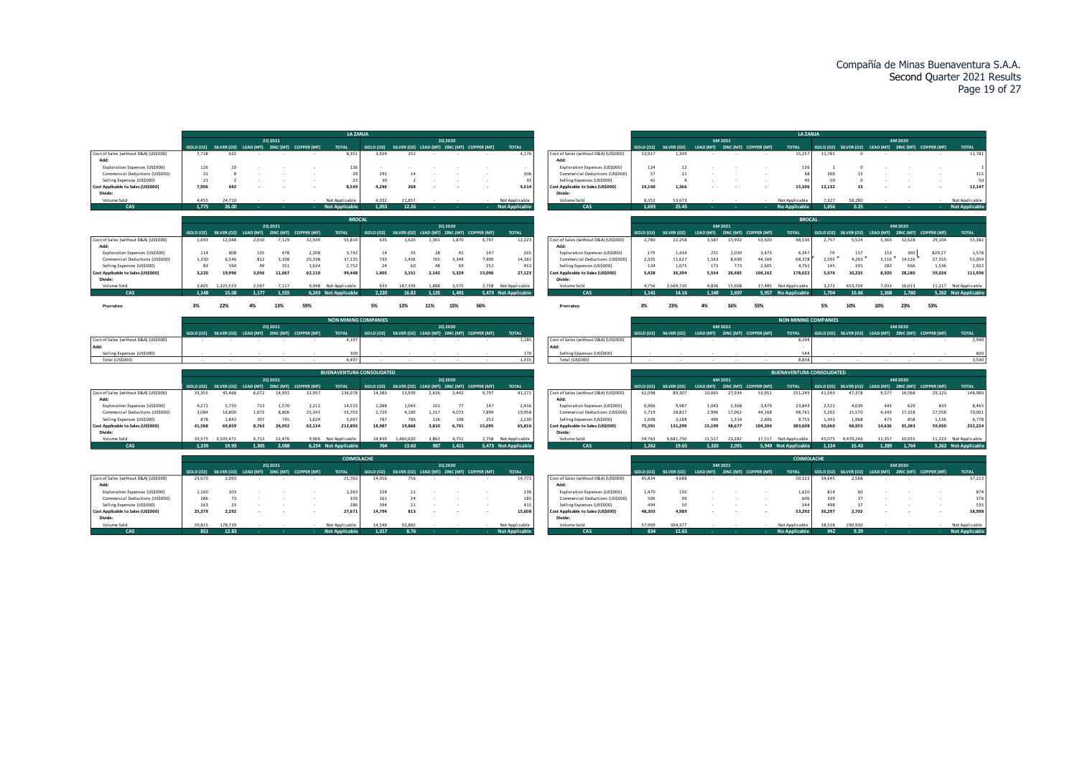|                                       |                |                                                                |                |                |                                                       | <b>LA ZANJA</b>                              |                     |                                                       |                |                |        |                                              |                                       |                            |                             |                                 |                 |                       | <b>LA ZANJA</b>                  |                |                                                       |                |                 |                                                       |                                               |
|---------------------------------------|----------------|----------------------------------------------------------------|----------------|----------------|-------------------------------------------------------|----------------------------------------------|---------------------|-------------------------------------------------------|----------------|----------------|--------|----------------------------------------------|---------------------------------------|----------------------------|-----------------------------|---------------------------------|-----------------|-----------------------|----------------------------------|----------------|-------------------------------------------------------|----------------|-----------------|-------------------------------------------------------|-----------------------------------------------|
|                                       |                |                                                                |                | 2Q 2021        |                                                       |                                              |                     |                                                       |                | 20 20 20       |        |                                              |                                       |                            |                             | 6M 2021                         |                 |                       |                                  |                |                                                       |                | 6M 2020         |                                                       |                                               |
|                                       |                |                                                                |                |                | GOLD (OZ) SILVER (OZ) LEAD (MT) ZINC (MT) COPPER (MT) | <b>TOTAL</b>                                 |                     | GOLD (OZ) SILVER (OZ) LEAD (MT) ZINC (MT) COPPER (MT) |                |                |        | <b>TOTAL</b>                                 |                                       | GOLD (OZ)                  | SILVER (OZ)                 | LEAD (MT) ZINC (MT) COPPER (MT) |                 |                       | <b>TOTAL</b>                     |                | GOLD (OZ) SILVER (OZ) LEAD (MT) ZINC (MT) COPPER (MT) |                |                 |                                                       | <b>TOTAL</b>                                  |
| Cost of Sales (without D&A) (US\$000) | 7.728          | 622                                                            |                |                |                                                       | 8,351                                        | 3.924               | 252                                                   |                |                |        | 4,176                                        | Cost of Sales (without D&A) (US\$000) | 13,917                     | 1.339                       |                                 |                 |                       | 15,257                           | 11,781         |                                                       |                |                 |                                                       | 11,781                                        |
| Add:                                  |                |                                                                |                |                |                                                       |                                              |                     |                                                       |                |                |        |                                              | Add:                                  |                            |                             |                                 |                 |                       |                                  |                |                                                       |                |                 |                                                       |                                               |
| Exploration Expenses (US\$000)        | 126            | 10                                                             |                |                |                                                       | 136                                          |                     |                                                       |                |                |        | $\sim$                                       | Exploration Expenses (US\$000)        | 124                        | 12                          |                                 |                 |                       | 136                              |                |                                                       |                |                 |                                                       | 1                                             |
| Commercial Deductions (US\$000)       | 31             |                                                                |                |                |                                                       | 39                                           | 292                 |                                                       |                |                |        | 306                                          | Commercial Deductions (US\$000)       | 57                         | 11                          |                                 |                 |                       | 68                               | 300            |                                                       |                |                 |                                                       | 315                                           |
| Selling Expenses (US\$000)            | 21             |                                                                |                |                |                                                       | 23                                           | 30                  |                                                       |                |                |        | 32                                           | Selling Expenses (US\$000)            | 41                         | $\Delta$                    |                                 |                 |                       | 45                               | 50             |                                                       |                |                 |                                                       | 50                                            |
| Cost Applicable to Sales (US\$000)    | 7.906          | 642                                                            |                |                |                                                       | 8,549                                        | 4,246               | 268                                                   |                |                |        | 4,514                                        | Cost Applicable to Sales (US\$000)    | 14,140                     | 1.366                       |                                 |                 |                       | 15,506                           | 12,132         | 15                                                    |                |                 |                                                       | 12,147                                        |
| Divide:                               |                |                                                                |                |                |                                                       |                                              |                     |                                                       |                |                |        |                                              | Divide:                               |                            |                             |                                 |                 |                       |                                  |                |                                                       |                |                 |                                                       |                                               |
| Volume Sold                           | 4.455          | 24,710                                                         |                |                |                                                       | Not Applicable                               | 4.032               | 21.857                                                |                |                |        | Not Applicable                               | Volume Sold                           | 8.352                      | 53.673                      |                                 |                 |                       | Not Applicable                   | 7.327          | 58.280                                                |                |                 |                                                       | Not Applicable                                |
| CAS                                   | 1.775          | 26.00                                                          |                |                |                                                       | <b>Not Applicable</b>                        | 1.053               | 12.26                                                 |                |                |        | <b>Not Applicabl</b>                         | CAS                                   | 1.693                      | 25.45                       |                                 |                 |                       | <b>No Applicable</b>             | 1.656          | 0.25                                                  |                |                 |                                                       | <b>Not Applicable</b>                         |
|                                       |                |                                                                |                |                |                                                       | <b>BROCAL</b>                                |                     |                                                       |                |                |        |                                              |                                       |                            |                             |                                 |                 |                       | <b>BROCAL</b>                    |                |                                                       |                |                 |                                                       |                                               |
|                                       |                |                                                                |                | 20 20 21       |                                                       |                                              |                     |                                                       |                | 20 20 20       |        |                                              |                                       |                            |                             | 6M 2021                         |                 |                       |                                  |                |                                                       |                | 6M 2020         |                                                       |                                               |
|                                       |                | GOLD (OZ) SILVER (OZ) LEAD (MT)                                |                | ZINC (MT)      | <b>COPPER (MT)</b>                                    | <b>TOTAL</b>                                 | GOLD (OZ)           | SILVER (OZ) LEAD (MT) ZINC (MT) COPPER (MT)           |                |                |        | <b>TOTAL</b>                                 |                                       | <b>GOLD (OZ)</b>           | SILVER (OZ)                 | LEAD (MT)                       |                 | ZINC (MT) COPPER (MT) | <b>TOTAL</b>                     |                | GOLD (OZ) SILVER (OZ) LEAD (MT)                       |                | ZINC (MT)       |                                                       | <b>TOTAL</b>                                  |
| Cost of Sales (without D&A) (US\$000) | 1.693          | 12.048                                                         | 2.010          | 7,129          | 32.939                                                | 55,819                                       | 635                 | 1.620                                                 | 1.301          | 1,870          | 6,797  | 12,223                                       | Cost of Sales (without D&A) (US\$000) | 2,780                      | 22,258                      | 3.587                           | 15,992          | 53,920                | 98,536                           | 2.757          | 5.524                                                 | 5.369          | 12.628          | <b>COPPER (MT)</b><br>29,104                          | 55,382                                        |
| Add:                                  |                |                                                                |                |                |                                                       |                                              |                     |                                                       |                |                |        |                                              | Add:                                  |                            |                             |                                 |                 |                       |                                  |                |                                                       |                |                 |                                                       |                                               |
| Exploration Expenses (US\$000)        | 114            | 808                                                            | 135            | 478            | 2.208                                                 | 3,742                                        | 14                  | 35                                                    | 28             | $-41$          | 147    | 265                                          | Exploration Expenses (US\$000)        | 179                        | 1.434                       | 231                             | 1.030           | 3.473                 | 6,347                            | 79             | 157                                                   | 153            | 360             | 829.27                                                | 1,578                                         |
| Commercial Deductions (US\$000)       | 1.330          | 6.546                                                          | 812            | 3,108          | 25,338                                                | 37,135                                       | 733                 | 1.436                                                 | 765            | 3,349          | 7.900  | 14,182                                       | Commercial Deductions (US\$000)       | 2,335                      | 11,627                      | 1,563                           | 8,690           | 44,164                | 68,378                           | 2,595          | 4,263                                                 | 3,116          | 14,526          | 27,555                                                | 52,054                                        |
| Selling Expenses (US\$000)            | 83             | 594                                                            | 99             | 351            | 1,624                                                 | 2,752                                        | 24                  | 60                                                    | 48             | 69             | 252    | 453                                          | Selling Expenses (US\$000)            | 134                        | 1,075                       | 173                             | 773             | 2,605                 | 4,761                            | 145            | 291                                                   | 283            | 666             | 1,536                                                 | 2,922                                         |
| Cost Applicable to Sales (US\$000)    | 3,220          | 19.996                                                         | 3.056          | 11.067         | 62.110                                                | 99,448                                       | 1,405               | 3,151                                                 | 2.142          | 5,329          | 15.096 | 27,123                                       | Cost Applicable to Sales (US\$000)    | 5.428                      | 36.394                      | 5,554                           | 26,485          | 104,162               | 178,022                          | 5,576          | 10,235                                                | 8.920          | 28,180          | 59,024                                                | 111,936                                       |
| Divide:                               |                |                                                                |                |                |                                                       |                                              |                     |                                                       |                |                |        |                                              | Divide:                               |                            |                             |                                 |                 |                       |                                  |                |                                                       |                |                 |                                                       |                                               |
| Volume Sold<br>CAS                    | 2.805<br>1.148 | 1.325.553<br>15.08                                             | 2.597<br>1.177 | 7.117<br>1.555 |                                                       | 9,948 Not Applicable<br>6.243 Not Applicable | 633<br>2.220        | 187.339<br>16.82                                      | 1,888<br>1.135 | 3.575<br>1.491 |        | 2,758 Not Applicable<br>5.473 Not Applicable | Volume Sold<br>CAS                    | 4.756<br>1.141             | 569.720<br>14.16            | 4.836<br>1.148                  | 15,608<br>1.697 | 17,485<br>5.957       | Not Applicable<br>No Applicable  | 3.272<br>1.704 | 653,704<br>15.66                                      | 7.033<br>1.268 | 16.013<br>1.760 |                                                       | 11,217 Not Applicable<br>5.262 Not Applicable |
|                                       |                |                                                                |                |                |                                                       |                                              |                     |                                                       |                |                |        |                                              |                                       |                            |                             |                                 |                 |                       |                                  |                |                                                       |                |                 |                                                       |                                               |
| Prorrateo                             | 3%             | 22%                                                            | 4%             | 13%            | 59%                                                   |                                              | 5%                  | 13%                                                   | 11%            | 15%            | 56%    |                                              | Prorrateo                             | 3%                         | 23%                         |                                 | 169             | 55%                   |                                  | 5%             |                                                       | 10%            | 23%             | 53%                                                   |                                               |
|                                       |                |                                                                |                |                |                                                       |                                              |                     |                                                       |                |                |        |                                              |                                       |                            |                             |                                 |                 |                       |                                  |                |                                                       |                |                 |                                                       |                                               |
|                                       |                |                                                                |                |                |                                                       | <b>NON MINING COMPANIES</b>                  |                     |                                                       |                |                |        |                                              |                                       |                            |                             |                                 |                 |                       | <b>NON MINING COMPANIES</b>      |                |                                                       |                |                 |                                                       |                                               |
|                                       |                |                                                                |                | 20 20 21       |                                                       |                                              |                     |                                                       |                | 20 20 20       |        |                                              |                                       |                            |                             | 6M 2021                         |                 |                       |                                  |                |                                                       |                | 6M 2020         |                                                       |                                               |
|                                       |                |                                                                |                |                | GOLD (OZ) SILVER (OZ) LEAD (MT) ZINC (MT) COPPER (MT) | <b>TOTAL</b>                                 | GOLD (OZ)           | SILVER (OZ) LEAD (MT) ZINC (MT) COPPER (MT)           |                |                |        | <b>TOTAL</b>                                 |                                       | <b>GOLD (OZ)</b>           | SILVER (OZ)                 | LEAD (MT) ZINC (MT) COPPER (MT) |                 |                       | <b>TOTAL</b>                     |                | GOLD (OZ) SILVER (OZ) LEAD (MT) ZINC (MT) COPPER (MT) |                |                 |                                                       | <b>TOTAL</b>                                  |
| Cost of Sales (without D&A) (US\$000) |                |                                                                |                |                |                                                       | 4,197                                        |                     |                                                       |                |                |        | 1,185                                        | Cost of Sales (without D&A) (US\$000) |                            |                             |                                 |                 |                       | 8,294                            |                |                                                       |                |                 |                                                       | 2,940                                         |
| Add:                                  |                |                                                                |                |                |                                                       |                                              |                     |                                                       |                |                |        |                                              | Add                                   |                            |                             |                                 |                 |                       |                                  |                |                                                       |                |                 |                                                       |                                               |
| Selling Expenses (US\$000             |                |                                                                |                |                |                                                       | 300<br>4.497                                 |                     |                                                       |                |                |        | 170<br>1,355                                 | Selling Expenses (US\$000)            |                            |                             |                                 |                 |                       | 544<br>8.838                     |                |                                                       |                |                 |                                                       | 600                                           |
| Total (US\$000)                       |                |                                                                |                |                |                                                       |                                              |                     |                                                       |                |                |        |                                              | Total (US\$000)                       |                            |                             |                                 |                 |                       |                                  |                |                                                       |                |                 |                                                       | 3,540                                         |
|                                       |                |                                                                |                |                |                                                       | <b>BUENAVENTURA CONSOLIDATED</b>             |                     |                                                       |                |                |        |                                              |                                       |                            |                             |                                 |                 |                       | <b>BUENAVENTURA CONSOLIDATED</b> |                |                                                       |                |                 |                                                       |                                               |
|                                       |                |                                                                |                | 2Q 2021        |                                                       |                                              |                     |                                                       |                | 2Q 2020        |        |                                              |                                       |                            |                             | 6M 2021                         |                 |                       |                                  |                |                                                       |                | 6M 2020         |                                                       |                                               |
|                                       |                | GOLD (OZ) SILVER (OZ) LEAD (MT) ZINC (MT)                      |                |                | <b>COPPER (MT)</b>                                    | <b>TOTAL</b>                                 | GOLD (OZ)           | SILVER (OZ) LEAD (MT) ZINC (MT) COPPER (MT)           |                |                |        | <b>TOTAL</b>                                 |                                       | <b>GOLD (OZ)</b>           | SILVER (OZ)                 | LEAD (MT)                       |                 | ZINC (MT) COPPER (MT) | <b>TOTAL</b>                     |                | GOLD (OZ) SILVER (OZ) LEAD (MT) ZINC (MT)             |                |                 | <b>COPPER (MT)</b>                                    | <b>TOTAL</b>                                  |
| Cost of Sales (without D&A) (US\$000) | 33,355         | 45.466                                                         | 6.072          | 14.931         | 32,957                                                | 136,978                                      | 14,383              | 13.939                                                | 2.426          | 2.442          | 6,797  | 41,172                                       | Cost of Sales (without D&A) (US\$000) | 61,098                     | 89.307                      | 10,665                          | 27,934          | 53,951                | 251,249                          | 41,593         | 47,378                                                | 9.377          | 16.568          | 29,123                                                | 146,980                                       |
| Add:                                  |                |                                                                |                |                |                                                       |                                              |                     |                                                       |                |                |        |                                              | Add:                                  |                            |                             |                                 |                 |                       |                                  |                |                                                       |                |                 |                                                       |                                               |
| Exploration Expenses (US\$000)        | 4,271          | 5,750                                                          | 713            | 1,570          | 2,212                                                 | 14,515                                       | 1,088               | 1,043                                                 | 101            | 77             | 147    | 2,456                                        | Exploration Expenses (US\$000)        | 6.966                      | 9.987                       | 1,043                           | 2.368           | 3.479                 | 23,843                           | 2,522          | 4.039                                                 | 443            | 629             | 833                                                   | 8,465                                         |
| Commercial Deductions (US\$000)       | 3.084          | 16,800                                                         | 1,672          | 8,806          | 25,341                                                | 55,703                                       | 2,729               | 4.100                                                 | 1.157          | 4.073          | 7.899  | 19,958                                       | Commercial Deductions (US\$000)       | 5,719                      | 28.817                      | 2,996                           | 17.062          | 44,168                | 98,761                           | 5,202          | 15,570                                                | 4.343          | 17.328          | 27,558                                                | 70,001                                        |
| Selling Expenses (US\$000)            | 878            | 1,843                                                          | 307            | 745            | 1.624                                                 | 5,697                                        | 787                 | 786                                                   | 126            | 108            | 252    | 2,230                                        | Selling Expenses (US\$000)            | 1,608                      | 3,188                       | 496                             | 1,314           | 2,606                 | 9,755                            | 1,343          | 1,968                                                 | 473            | 858             | 1,536                                                 | 6,778                                         |
| Cost Applicable to Sales (US\$000)    | 41,588         | 69,859                                                         | 8.763          | 26,052         | 62,134                                                | 212,893                                      | 18,987              | 19,868                                                | 3,810          | 6,701          | 15.095 | 65,816                                       | Cost Applicable to Sales (US\$000)    | 75,391                     | 131,299                     | 15,199                          | 48,677          | 104,204               | 383,608                          | 50,660         | 68,955                                                | 14,636         | 35,383          | 59,050                                                | 232,224                                       |
| Divide:                               |                |                                                                |                |                |                                                       |                                              |                     |                                                       |                |                |        |                                              | Divide:                               |                            |                             |                                 |                 |                       |                                  |                |                                                       |                |                 |                                                       |                                               |
| Volume Sold                           | 33.575         | 3.505.471                                                      | 6.713          | 12,476         |                                                       | 9,966 Not Applicable                         | 24,839              | 1.460.620                                             | 3.862          | 4.751          |        | 2,758 Not Applicable                         | Volume Sold                           | 59.763                     | 6.681.750                   | 11.517                          | 23,282          | 17.517                | Not Applicable                   | 45.075         | 4.470.246                                             | 11.357         | 20.055          |                                                       | 11,223 Not Applicable                         |
| CAS                                   | 1.239          | 19.93                                                          | 1.305          | 2.088          |                                                       | 6,234 Not Applicable                         | 764                 | 13.60                                                 | 987            | 1.411          |        | 5,473 Not Applicable                         | CAS                                   | 1.262                      | 19.65                       | 1.320                           | 2.091           |                       | 5.949 Not Applicable             | 1.124          | 15.43                                                 | 1.289          | 1.764           |                                                       | 5,262 Not Applicable                          |
|                                       |                |                                                                |                |                |                                                       |                                              |                     |                                                       |                |                |        |                                              |                                       |                            |                             |                                 |                 |                       |                                  |                |                                                       |                |                 |                                                       |                                               |
|                                       |                |                                                                |                |                |                                                       | <b>COIMOLACHE</b>                            |                     |                                                       |                |                |        |                                              |                                       |                            |                             |                                 |                 |                       | <b>COIMOLACHE</b>                |                |                                                       |                |                 |                                                       |                                               |
|                                       |                |                                                                |                | 2Q 2021        |                                                       |                                              |                     |                                                       |                | 2Q 2020        |        |                                              |                                       |                            |                             | 6M 2021                         |                 |                       |                                  |                |                                                       |                | 6M 2020         |                                                       |                                               |
|                                       |                |                                                                |                |                |                                                       |                                              |                     |                                                       |                |                |        |                                              |                                       |                            |                             |                                 |                 |                       | <b>TOTAL</b>                     |                |                                                       |                |                 | GOLD (OZ) SILVER (OZ) LEAD (MT) ZINC (MT) COPPER (MT) | <b>TOTAL</b>                                  |
| Cost of Sales (without D&A) (US\$000) | 23,670         | GOLD (OZ) SILVER (OZ) LEAD (MT) ZINC (MT) COPPER (MT)<br>2.093 |                |                |                                                       | <b>TOTAL</b><br>25.763                       | GOLD (OZ)<br>14.016 | SILVER (OZ) LEAD (MT) ZINC (MT) COPPER (MT)<br>756    |                |                |        | <b>TOTAL</b><br>14,772                       | Cost of Sales (without D&A) (US\$000) | <b>GOLD (OZ)</b><br>45.834 | <b>SILVER (OZ)</b><br>4.688 | LEAD (MT) ZINC (MT) COPPER (MT) |                 |                       | 50.522                           | 34.645         | 2.568                                                 |                |                 |                                                       | 37,213                                        |

|                                     |           |             |                          |                          |                    | <b>COIMOLACHE</b> |           |        |                          |          |                                             |                |
|-------------------------------------|-----------|-------------|--------------------------|--------------------------|--------------------|-------------------|-----------|--------|--------------------------|----------|---------------------------------------------|----------------|
|                                     |           |             |                          | 20 20 21                 |                    |                   |           |        |                          | 20 20 20 |                                             |                |
|                                     | GOLD (OZ) | SILVER (OZ) | LEAD (MT)                | ZINC (MT)                | <b>COPPER (MT)</b> | <b>TOTAL</b>      | GOLD (OZ) |        |                          |          | SILVER (OZ) LEAD (MT) ZINC (MT) COPPER (MT) | <b>TOTAL</b>   |
| st of Sales (without D&A) (US\$000) | 23,670    | 2.093       | $\sim$                   | $\overline{\phantom{a}}$ |                    | 25.763            | 14.016    | 756    |                          |          |                                             | 14,772         |
| Add:                                |           |             |                          |                          |                    |                   |           |        |                          |          |                                             |                |
| Exploration Expenses (US\$000)      | 1.160     | 103         |                          |                          |                    | 1.263             | 224       | 12     |                          |          |                                             | 236            |
| Commercial Deductions (US\$000)     | 286       | 73          |                          | ۰                        |                    | 359               | 161       | 24     |                          |          | ۰                                           | 185            |
| Selling Expenses (US\$000)          | 263       | 23          | $\overline{\phantom{a}}$ | $\overline{\phantom{a}}$ |                    | 286               | 394       | 21     | $\overline{\phantom{a}}$ |          |                                             | 415            |
| st Applicable to Sales (US\$000)    | 25.379    | 2.292       | $\overline{\phantom{a}}$ | $\overline{\phantom{a}}$ |                    | 27.671            | 14,794    | 813    | ۰                        | ٠.       |                                             | 15,608         |
| Divide:                             |           |             |                          |                          |                    |                   |           |        |                          |          |                                             |                |
| Volume Sold                         | 29.815    | 178,729     | $\overline{\phantom{a}}$ |                          |                    | Not Applicable    | 14.549    | 92.860 |                          |          |                                             | Not Applicable |

|                                       |           |             |          |           |             | <b>COIMOLACHE</b>     |           |             |          |                                 |                |                                       |           |                    |           |                      | <b>COIMOLACHE</b>    |           |             |           |         |                       |                       |
|---------------------------------------|-----------|-------------|----------|-----------|-------------|-----------------------|-----------|-------------|----------|---------------------------------|----------------|---------------------------------------|-----------|--------------------|-----------|----------------------|----------------------|-----------|-------------|-----------|---------|-----------------------|-----------------------|
|                                       |           |             |          | 20 20 21  |             |                       |           |             | 20 20 20 |                                 |                |                                       |           |                    |           | 6M 2021              |                      |           |             |           | 6M 2020 |                       |                       |
|                                       | GOLD (OZ) | SILVER (OZ) | EAD (MT) | ZINC (MT) | COPPER (MT) | <b>TOTAL</b>          | GOLD (OZ) | SILVER (OZ) |          | LEAD (MT) ZINC (MT) COPPER (MT) | <b>TOTAL</b>   |                                       | GOLD (OZ) | <b>SILVER (OZ)</b> | LEAD (MT) | INC (MT) COPPER (MT) | <b>TOTAL</b>         | GOLD (OZ) | SILVER (OZ) | LEAD (MT) |         | ZINC (MT) COPPER (MT) | <b>TOTAL</b>          |
| Cost of Sales (without D&A) (US\$000) | 23.670    | 2.093       |          |           |             | 25,763                | 14.016    | 756         |          |                                 | 14,772         | Cost of Sales (without D&A) (US\$000) | 45.834    | 4.688              |           |                      | 50,522               | 34,645    | 2.568       |           |         |                       | 37,213                |
| Add:                                  |           |             |          |           |             |                       |           |             |          |                                 |                | Add:                                  |           |                    |           |                      |                      |           |             |           |         |                       |                       |
| Exploration Expenses (US\$000)        | 1.160     | 103         |          |           |             | 1.263                 | 224       |             |          |                                 | 236            | Exploration Expenses (US\$000)        | 1,470     | 150                |           |                      | 1.620                | 814       |             |           |         |                       | 874                   |
| Commercial Deductions (US\$000)       | 286       |             |          |           |             | 359                   | 161       |             |          |                                 | 185            | Commercial Deductions (US\$000)       | 506       | 99                 |           |                      | 606                  | 339       |             |           |         |                       | 376                   |
| Selling Expenses (US\$000)            | 263       |             |          |           |             | 286                   | 394       |             |          |                                 | 415            | Selling Expenses (US\$000)            | 494       | 50                 |           |                      | 544                  | 498       |             |           |         |                       | 535                   |
| Cost Applicable to Sales (US\$000)    | 25,379    | 2,292       |          |           |             | 27,671                | 14.794    | 813         |          |                                 | 15,608         | Cost Applicable to Sales (US\$000)    | 48,303    | 4.989              |           |                      | 53,292               | 36,297    | 2.702       |           |         |                       | 38,998                |
| Divide:                               |           |             |          |           |             |                       |           |             |          |                                 |                | Divide:                               |           |                    |           |                      |                      |           |             |           |         |                       |                       |
| Volume Sold                           | 29.815    | 178 729     |          |           |             | Not Applicable        | 14.549    | 92.860      |          |                                 | Not Applicable | Volume Sold                           | 57,909    | 394377             |           |                      | Not Applicable       | 38,528    | 290.930     |           |         |                       | Not Applicable        |
| CAS                                   | 851       | 12.83       |          |           |             | <b>Not Applicable</b> | 1.017     | 8.76        |          |                                 | Not Applicable | CAS <sup>1</sup>                      | 834       | 12.65              |           |                      | <b>No Applicable</b> | 942       | 9.29        |           |         |                       | <b>Not Applicable</b> |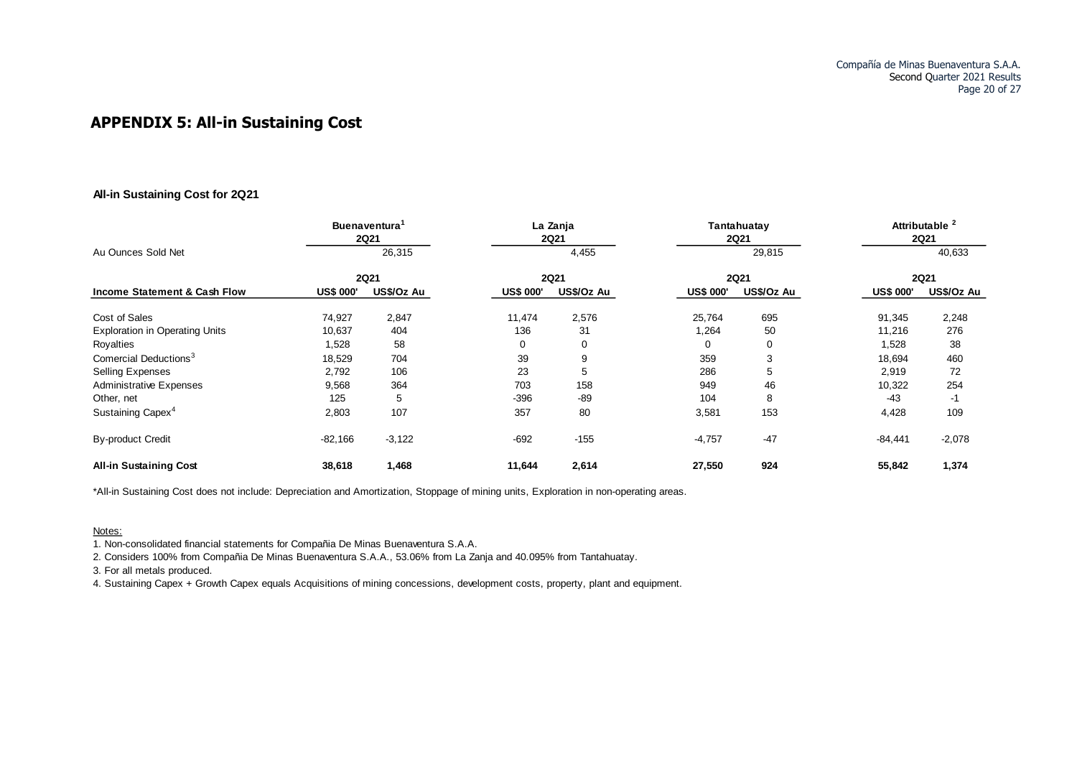## **APPENDIX 5: All -in Sustaining Cost**

#### **All-in Sustaining Cost for 2Q21**

|                                         |                  | <b>Buenaventura</b><br><b>2Q21</b> |                  | La Zanja<br><b>2Q21</b> |                  | Tantahuatay<br><b>2Q21</b> |                  | Attributable <sup>2</sup><br><b>2Q21</b> |
|-----------------------------------------|------------------|------------------------------------|------------------|-------------------------|------------------|----------------------------|------------------|------------------------------------------|
| Au Ounces Sold Net                      |                  | 26,315                             |                  | 4,455                   |                  | 29,815                     |                  | 40,633                                   |
|                                         |                  | <b>2Q21</b>                        |                  | <b>2Q21</b>             |                  | <b>2Q21</b>                |                  | <b>2Q21</b>                              |
| <b>Income Statement &amp; Cash Flow</b> | <b>US\$ 000'</b> | US\$/Oz Au                         | <b>US\$ 000'</b> | US\$/Oz Au              | <b>US\$ 000'</b> | US\$/Oz Au                 | <b>US\$ 000'</b> | US\$/Oz Au                               |
| Cost of Sales                           | 74,927           | 2,847                              | 11,474           | 2,576                   | 25,764           | 695                        | 91,345           | 2,248                                    |
| <b>Exploration in Operating Units</b>   | 10,637           | 404                                | 136              | 31                      | 1,264            | 50                         | 11,216           | 276                                      |
| Royalties                               | 1,528            | 58                                 | 0                | $\mathbf 0$             | 0                | $\mathbf 0$                | 1,528            | 38                                       |
| Comercial Deductions <sup>3</sup>       | 18,529           | 704                                | 39               | 9                       | 359              | 3                          | 18,694           | 460                                      |
| <b>Selling Expenses</b>                 | 2,792            | 106                                | 23               | 5                       | 286              | 5                          | 2,919            | 72                                       |
| <b>Administrative Expenses</b>          | 9,568            | 364                                | 703              | 158                     | 949              | 46                         | 10,322           | 254                                      |
| Other, net                              | 125              | 5                                  | $-396$           | $-89$                   | 104              | 8                          | $-43$            | -1                                       |
| Sustaining Capex <sup>4</sup>           | 2,803            | 107                                | 357              | 80                      | 3,581            | 153                        | 4,428            | 109                                      |
| <b>By-product Credit</b>                | $-82,166$        | $-3,122$                           | $-692$           | $-155$                  | $-4,757$         | $-47$                      | $-84,441$        | $-2,078$                                 |
| <b>All-in Sustaining Cost</b>           | 38,618           | 1,468                              | 11,644           | 2,614                   | 27,550           | 924                        | 55,842           | 1,374                                    |

\*All-in Sustaining Cost does not include: Depreciation and Amortization, Stoppage of mining units, Exploration in non-operating areas.

#### Notes:

1. Non-consolidated financial statements for Compañia De Minas Buenaventura S.A.A.

2. Considers 100% from Compañia De Minas Buenaventura S.A.A., 53.06% from La Zanja and 40.095% from Tantahuatay.

3. For all metals produced.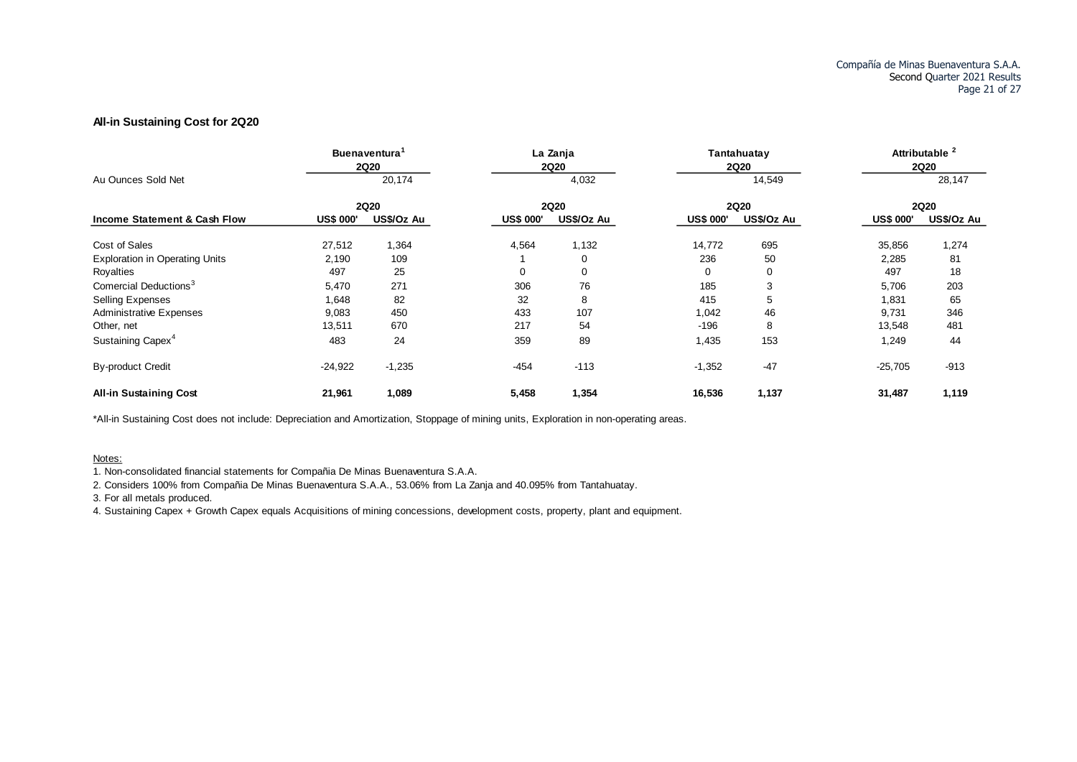#### **All-in Sustaining Cost for 2Q20**

|                                         |                  | <b>Buenaventura</b><br><b>2Q20</b> |                  | La Zanja<br><b>2Q20</b> |                  | Tantahuatay<br><b>2Q20</b> |                  | Attributable <sup>2</sup><br><b>2Q20</b> |
|-----------------------------------------|------------------|------------------------------------|------------------|-------------------------|------------------|----------------------------|------------------|------------------------------------------|
| Au Ounces Sold Net                      |                  | 20,174                             |                  | 4,032                   |                  | 14,549                     |                  | 28,147                                   |
|                                         |                  | <b>2Q20</b>                        |                  | <b>2Q20</b>             |                  | <b>2Q20</b>                |                  | <b>2Q20</b>                              |
| <b>Income Statement &amp; Cash Flow</b> | <b>US\$ 000'</b> | US\$/Oz Au                         | <b>US\$ 000'</b> | US\$/Oz Au              | <b>US\$ 000'</b> | US\$/Oz Au                 | <b>US\$ 000'</b> | US\$/Oz Au                               |
| Cost of Sales                           | 27,512           | 1,364                              | 4,564            | 1,132                   | 14,772           | 695                        | 35,856           | 1,274                                    |
| <b>Exploration in Operating Units</b>   | 2,190            | 109                                |                  |                         | 236              | 50                         | 2,285            | 81                                       |
| Royalties                               | 497              | 25                                 | $\mathbf 0$      |                         | $\Omega$         |                            | 497              | 18                                       |
| Comercial Deductions <sup>3</sup>       | 5,470            | 271                                | 306              | 76                      | 185              | 3                          | 5,706            | 203                                      |
| Selling Expenses                        | 1,648            | 82                                 | 32               | 8                       | 415              | 5                          | 1,831            | 65                                       |
| <b>Administrative Expenses</b>          | 9,083            | 450                                | 433              | 107                     | 1,042            | 46                         | 9,731            | 346                                      |
| Other, net                              | 13,511           | 670                                | 217              | 54                      | $-196$           | 8                          | 13,548           | 481                                      |
| Sustaining Capex <sup>4</sup>           | 483              | 24                                 | 359              | 89                      | 1,435            | 153                        | 1,249            | 44                                       |
| <b>By-product Credit</b>                | $-24,922$        | $-1,235$                           | -454             | $-113$                  | $-1,352$         | $-47$                      | $-25,705$        | $-913$                                   |
| <b>All-in Sustaining Cost</b>           | 21,961           | 1,089                              | 5,458            | 1,354                   | 16,536           | 1,137                      | 31,487           | 1,119                                    |

\*All-in Sustaining Cost does not include: Depreciation and Amortization, Stoppage of mining units, Exploration in non-operating areas.

#### Notes:

1. Non-consolidated financial statements for Compañia De Minas Buenaventura S.A.A.

2. Considers 100% from Compañia De Minas Buenaventura S.A.A., 53.06% from La Zanja and 40.095% from Tantahuatay.

3. For all metals produced.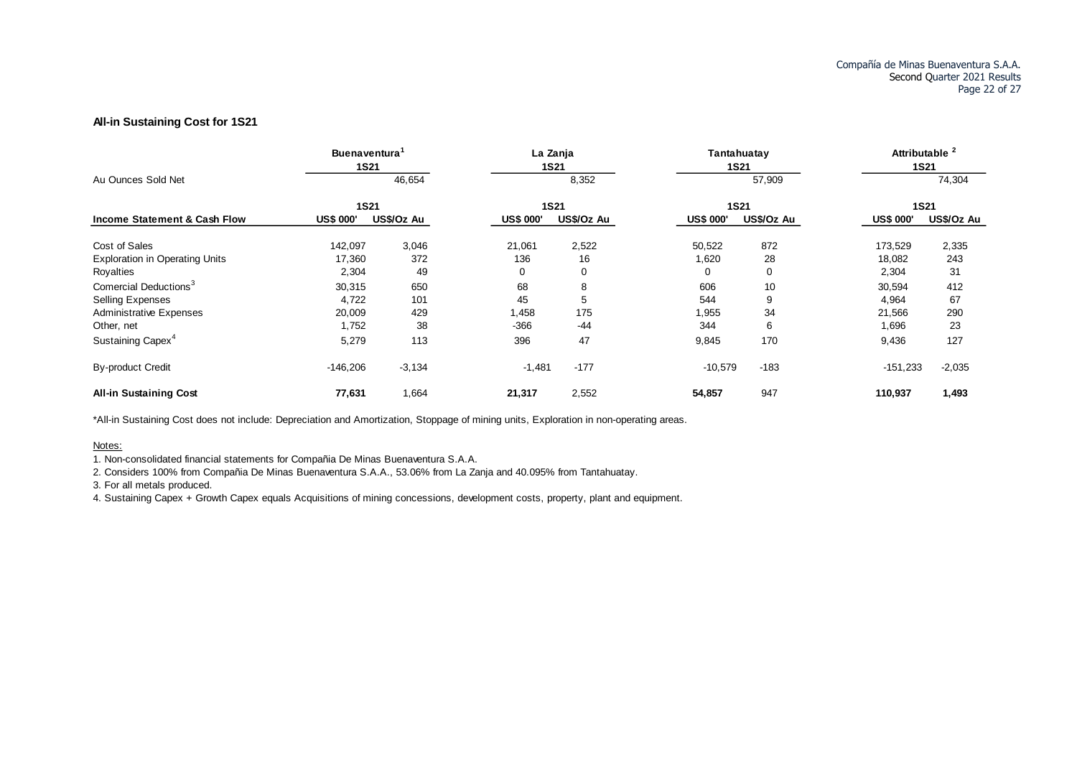#### **All-in Sustaining Cost for 1S21**

|                                         | <b>Buenaventura</b><br><b>1S21</b> |            |                  | La Zanja<br><b>1S21</b> |                  | Tantahuatay<br><b>1S21</b> | <b>Attributable</b> | <b>1S21</b> |
|-----------------------------------------|------------------------------------|------------|------------------|-------------------------|------------------|----------------------------|---------------------|-------------|
| Au Ounces Sold Net                      |                                    | 46,654     |                  | 8,352                   |                  | 57,909                     |                     | 74,304      |
|                                         | <b>1S21</b>                        |            |                  | <b>1S21</b>             |                  | <b>1S21</b>                |                     | <b>1S21</b> |
| <b>Income Statement &amp; Cash Flow</b> | <b>US\$ 000'</b>                   | US\$/Oz Au | <b>US\$ 000'</b> | US\$/Oz Au              | <b>US\$ 000'</b> | US\$/Oz Au                 | <b>US\$ 000'</b>    | US\$/Oz Au  |
| Cost of Sales                           | 142,097                            | 3,046      | 21,061           | 2,522                   | 50,522           | 872                        | 173,529             | 2,335       |
| <b>Exploration in Operating Units</b>   | 17,360                             | 372        | 136              | 16                      | 1,620            | 28                         | 18,082              | 243         |
| Royalties                               | 2,304                              | 49         | 0                | 0                       | 0                | 0                          | 2,304               | 31          |
| Comercial Deductions <sup>3</sup>       | 30,315                             | 650        | 68               | 8                       | 606              | 10                         | 30,594              | 412         |
| <b>Selling Expenses</b>                 | 4,722                              | 101        | 45               | 5                       | 544              | 9                          | 4,964               | 67          |
| <b>Administrative Expenses</b>          | 20,009                             | 429        | 1,458            | 175                     | 1,955            | 34                         | 21,566              | 290         |
| Other, net                              | 1,752                              | 38         | $-366$           | -44                     | 344              | 6                          | 1,696               | 23          |
| Sustaining Capex <sup>4</sup>           | 5,279                              | 113        | 396              | 47                      | 9,845            | 170                        | 9,436               | 127         |
| <b>By-product Credit</b>                | $-146,206$                         | $-3,134$   | $-1,481$         | $-177$                  | $-10,579$        | $-183$                     | $-151,233$          | $-2,035$    |
| <b>All-in Sustaining Cost</b>           | 77,631                             | 1,664      | 21,317           | 2,552                   | 54,857           | 947                        | 110,937             | 1,493       |

\*All-in Sustaining Cost does not include: Depreciation and Amortization, Stoppage of mining units, Exploration in non-operating areas.

Notes:

1. Non-consolidated financial statements for Compañia De Minas Buenaventura S.A.A.

2. Considers 100% from Compañia De Minas Buenaventura S.A.A., 53.06% from La Zanja and 40.095% from Tantahuatay.

3. For all metals produced.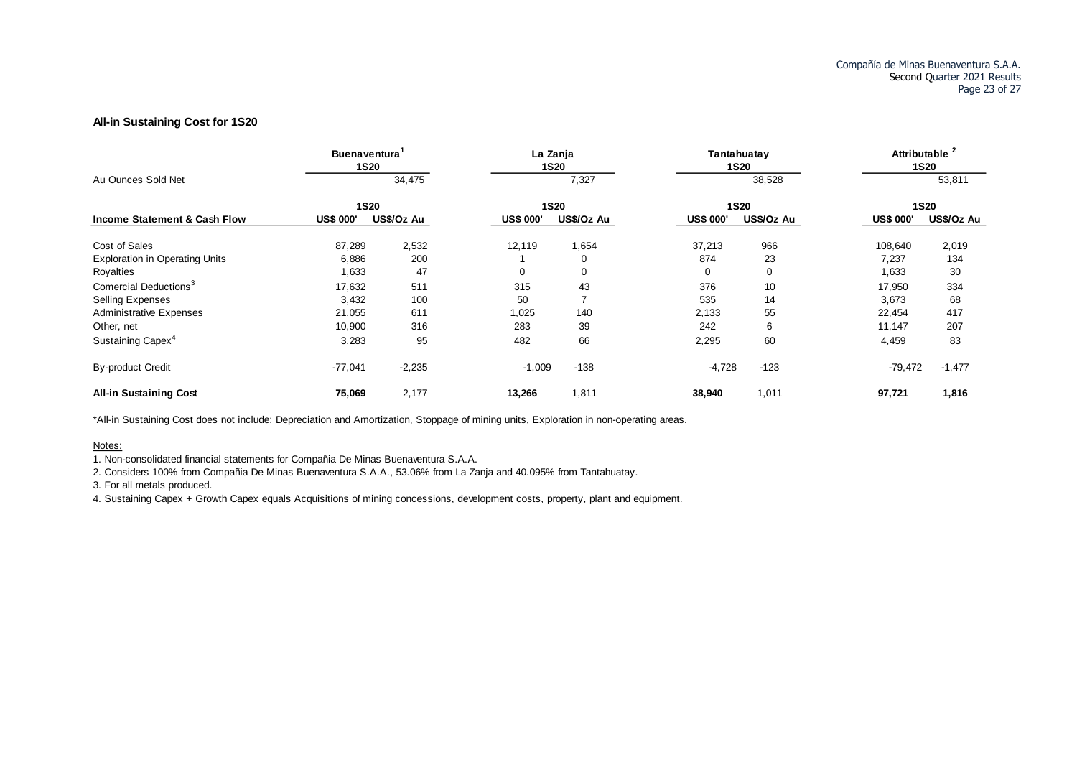#### **All-in Sustaining Cost for 1S20**

|                                         | <b>Buenaventura</b><br><b>1S20</b> |            |                  | La Zanja<br><b>1S20</b> |                  | Tantahuatay<br><b>1S20</b> | <b>Attributable</b> | <b>1S20</b> |
|-----------------------------------------|------------------------------------|------------|------------------|-------------------------|------------------|----------------------------|---------------------|-------------|
| Au Ounces Sold Net                      |                                    | 34,475     |                  | 7,327                   |                  | 38,528                     |                     | 53,811      |
|                                         | <b>1S20</b>                        |            |                  | <b>1S20</b>             |                  | <b>1S20</b>                |                     | <b>1S20</b> |
| <b>Income Statement &amp; Cash Flow</b> | <b>US\$ 000'</b>                   | US\$/Oz Au | <b>US\$ 000'</b> | US\$/Oz Au              | <b>US\$ 000'</b> | US\$/Oz Au                 | <b>US\$ 000'</b>    | US\$/Oz Au  |
| Cost of Sales                           | 87,289                             | 2,532      | 12,119           | 1,654                   | 37,213           | 966                        | 108,640             | 2,019       |
| <b>Exploration in Operating Units</b>   | 6,886                              | 200        |                  | $\Omega$                | 874              | 23                         | 7,237               | 134         |
| Royalties                               | 1,633                              | 47         | 0                | 0                       | 0                | $\Omega$                   | 1,633               | 30          |
| Comercial Deductions <sup>3</sup>       | 17,632                             | 511        | 315              | 43                      | 376              | 10                         | 17,950              | 334         |
| <b>Selling Expenses</b>                 | 3,432                              | 100        | 50               |                         | 535              | 14                         | 3,673               | 68          |
| <b>Administrative Expenses</b>          | 21,055                             | 611        | 1,025            | 140                     | 2,133            | 55                         | 22,454              | 417         |
| Other, net                              | 10,900                             | 316        | 283              | 39                      | 242              | 6                          | 11,147              | 207         |
| Sustaining Capex <sup>4</sup>           | 3,283                              | 95         | 482              | 66                      | 2,295            | 60                         | 4,459               | 83          |
| <b>By-product Credit</b>                | $-77,041$                          | $-2,235$   | $-1,009$         | $-138$                  | $-4,728$         | $-123$                     | $-79,472$           | $-1,477$    |
| <b>All-in Sustaining Cost</b>           | 75,069                             | 2,177      | 13,266           | 1,811                   | 38,940           | 1,011                      | 97,721              | 1,816       |

\*All-in Sustaining Cost does not include: Depreciation and Amortization, Stoppage of mining units, Exploration in non-operating areas.

Notes:

1. Non-consolidated financial statements for Compañia De Minas Buenaventura S.A.A.

2. Considers 100% from Compañia De Minas Buenaventura S.A.A., 53.06% from La Zanja and 40.095% from Tantahuatay.

3. For all metals produced.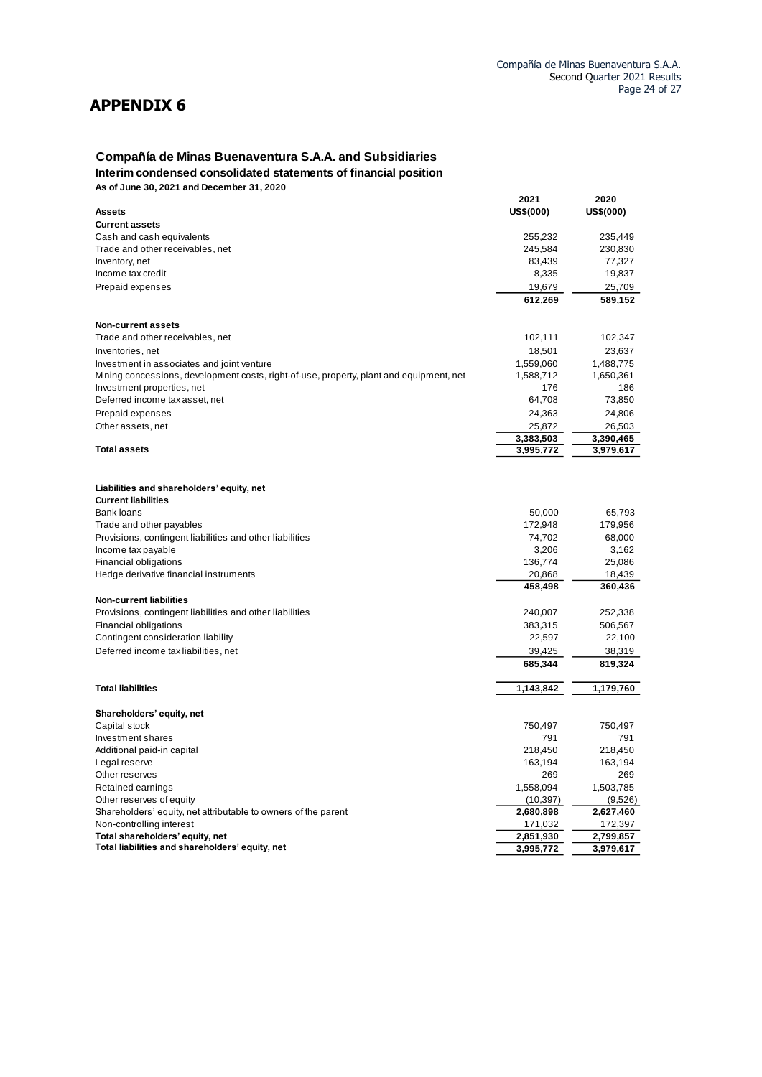# **APPENDIX 6**

## **Compañía de Minas Buenaventura S.A.A. and Subsidiaries Interim condensed consolidated statements of financial position**

**As of June 30, 2021 and December 31, 2020**

|                                                                                         | 2021      | 2020      |
|-----------------------------------------------------------------------------------------|-----------|-----------|
| Assets                                                                                  | US\$(000) | US\$(000) |
| <b>Current assets</b>                                                                   |           |           |
| Cash and cash equivalents                                                               | 255,232   | 235,449   |
| Trade and other receivables, net                                                        | 245,584   | 230,830   |
| Inventory, net                                                                          | 83,439    | 77,327    |
| Income tax credit                                                                       | 8,335     | 19,837    |
| Prepaid expenses                                                                        | 19,679    | 25,709    |
|                                                                                         | 612,269   | 589,152   |
| <b>Non-current assets</b>                                                               |           |           |
| Trade and other receivables, net                                                        | 102,111   | 102,347   |
| Inventories, net                                                                        | 18,501    | 23,637    |
| Investment in associates and joint venture                                              | 1,559,060 | 1,488,775 |
| Mining concessions, development costs, right-of-use, property, plant and equipment, net | 1,588,712 | 1,650,361 |
| Investment properties, net                                                              | 176       | 186       |
| Deferred income tax asset, net                                                          | 64,708    | 73,850    |
| Prepaid expenses                                                                        | 24,363    | 24,806    |
| Other assets, net                                                                       | 25,872    | 26,503    |
|                                                                                         | 3,383,503 | 3,390,465 |
| <b>Total assets</b>                                                                     | 3,995,772 | 3,979,617 |
|                                                                                         |           |           |
| Liabilities and shareholders' equity, net                                               |           |           |
| <b>Current liabilities</b>                                                              |           |           |
| Bank loans                                                                              | 50,000    | 65,793    |
| Trade and other payables                                                                | 172,948   | 179,956   |
| Provisions, contingent liabilities and other liabilities                                | 74,702    | 68,000    |
| Income tax payable                                                                      | 3,206     | 3,162     |
| Financial obligations                                                                   | 136,774   | 25,086    |
| Hedge derivative financial instruments                                                  | 20,868    | 18,439    |
|                                                                                         | 458,498   | 360,436   |
| <b>Non-current liabilities</b>                                                          |           |           |
| Provisions, contingent liabilities and other liabilities                                | 240,007   | 252,338   |
| Financial obligations                                                                   | 383,315   | 506,567   |
| Contingent consideration liability                                                      | 22,597    | 22,100    |
| Deferred income tax liabilities, net                                                    | 39,425    | 38,319    |
|                                                                                         | 685,344   | 819,324   |
| <b>Total liabilities</b>                                                                | 1,143,842 | 1,179,760 |
| Shareholders' equity, net                                                               |           |           |
| Capital stock                                                                           | 750,497   | 750,497   |
| Investment shares                                                                       | 791       | 791       |
| Additional paid-in capital                                                              | 218,450   | 218,450   |
| Legal reserve                                                                           | 163,194   | 163,194   |
| Other reserves                                                                          | 269       | 269       |
| Retained earnings                                                                       | 1,558,094 | 1,503,785 |
| Other reserves of equity                                                                | (10, 397) | (9,526)   |
| Shareholders' equity, net attributable to owners of the parent                          | 2,680,898 | 2,627,460 |
| Non-controlling interest                                                                | 171,032   | 172,397   |
| Total shareholders' equity, net                                                         | 2,851,930 | 2,799,857 |
| Total liabilities and shareholders' equity, net                                         | 3,995,772 | 3,979,617 |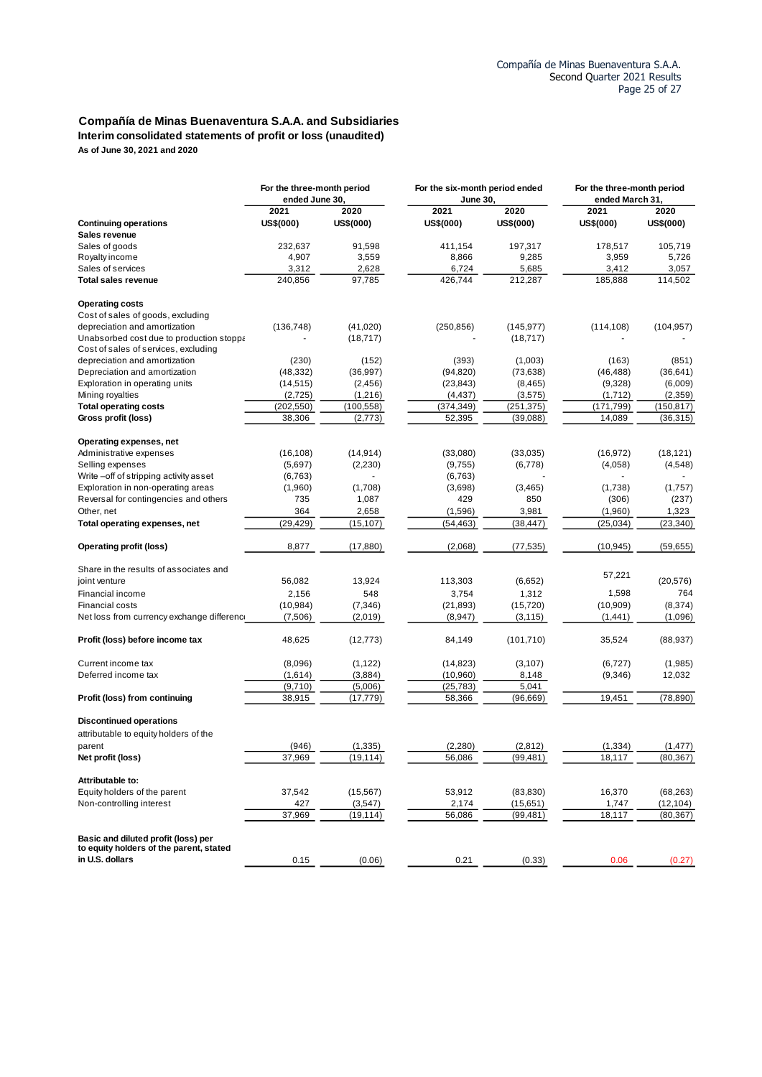#### **Compañía de Minas Buenaventura S.A.A. and Subsidiaries Interim consolidated statements of profit or loss (unaudited) As of June 30, 2021 and 2020**

|                                                                                | For the three-month period<br>ended June 30. |            | For the six-month period ended<br><b>June 30,</b> |            | For the three-month period<br>ended March 31, |            |
|--------------------------------------------------------------------------------|----------------------------------------------|------------|---------------------------------------------------|------------|-----------------------------------------------|------------|
|                                                                                | 2021                                         | 2020       | 2021                                              | 2020       | 2021                                          | 2020       |
| <b>Continuing operations</b>                                                   | US\$(000)                                    | US\$(000)  | US\$(000)                                         | US\$(000)  | US\$(000)                                     | US\$(000)  |
| Sales revenue                                                                  |                                              |            |                                                   |            |                                               |            |
| Sales of goods                                                                 | 232,637                                      | 91,598     | 411,154                                           | 197,317    | 178,517                                       | 105,719    |
| Royalty income                                                                 | 4,907                                        | 3,559      | 8,866                                             | 9,285      | 3,959                                         | 5,726      |
| Sales of services                                                              | 3,312                                        | 2,628      | 6,724                                             | 5,685      | 3,412                                         | 3,057      |
| <b>Total sales revenue</b>                                                     | 240,856                                      | 97,785     | 426,744                                           | 212,287    | 185,888                                       | 114,502    |
| <b>Operating costs</b>                                                         |                                              |            |                                                   |            |                                               |            |
| Cost of sales of goods, excluding                                              |                                              |            |                                                   |            |                                               |            |
| depreciation and amortization                                                  | (136, 748)                                   | (41, 020)  | (250, 856)                                        | (145, 977) | (114, 108)                                    | (104, 957) |
| Unabsorbed cost due to production stoppa                                       |                                              | (18, 717)  |                                                   | (18, 717)  |                                               |            |
| Cost of sales of services, excluding                                           |                                              |            |                                                   |            |                                               |            |
| depreciation and amortization                                                  | (230)                                        | (152)      | (393)                                             | (1,003)    | (163)                                         | (851)      |
| Depreciation and amortization                                                  | (48, 332)                                    | (36, 997)  | (94, 820)                                         | (73, 638)  | (46, 488)                                     | (36, 641)  |
| Exploration in operating units                                                 | (14, 515)                                    | (2, 456)   | (23, 843)                                         | (8, 465)   | (9,328)                                       | (6,009)    |
| Mining royalties                                                               | (2,725)                                      | (1,216)    | (4, 437)                                          | (3, 575)   | (1,712)                                       | (2,359)    |
| <b>Total operating costs</b>                                                   | (202, 550)                                   | (100, 558) | (374, 349)                                        | (251, 375) | (171, 799)                                    | (150, 817) |
| Gross profit (loss)                                                            | 38,306                                       | (2, 773)   | 52,395                                            | (39,088)   | 14,089                                        | (36, 315)  |
| Operating expenses, net                                                        |                                              |            |                                                   |            |                                               |            |
| Administrative expenses                                                        | (16, 108)                                    | (14, 914)  | (33,080)                                          | (33,035)   | (16, 972)                                     | (18, 121)  |
| Selling expenses                                                               | (5,697)                                      | (2,230)    | (9,755)                                           | (6,778)    | (4,058)                                       | (4, 548)   |
| Write-off of stripping activity asset                                          | (6, 763)                                     |            | (6, 763)                                          |            |                                               |            |
| Exploration in non-operating areas                                             | (1,960)                                      | (1,708)    | (3,698)                                           | (3, 465)   | (1,738)                                       | (1,757)    |
| Reversal for contingencies and others                                          | 735                                          | 1,087      | 429                                               | 850        | (306)                                         | (237)      |
| Other, net                                                                     | 364                                          | 2,658      | (1,596)                                           | 3,981      | (1,960)                                       | 1,323      |
| Total operating expenses, net                                                  | (29, 429)                                    | (15, 107)  | (54, 463)                                         | (38,447)   | (25, 034)                                     | (23, 340)  |
| <b>Operating profit (loss)</b>                                                 | 8,877                                        | (17, 880)  | (2,068)                                           | (77, 535)  | (10, 945)                                     | (59, 655)  |
| Share in the results of associates and                                         |                                              |            |                                                   |            |                                               |            |
| joint venture                                                                  | 56,082                                       | 13,924     | 113,303                                           | (6,652)    | 57,221                                        | (20, 576)  |
| Financial income                                                               | 2,156                                        | 548        | 3,754                                             | 1,312      | 1,598                                         | 764        |
| Financial costs                                                                | (10, 984)                                    | (7, 346)   | (21, 893)                                         | (15, 720)  | (10, 909)                                     | (8, 374)   |
| Net loss from currency exchange difference                                     | (7,506)                                      | (2,019)    | (8, 947)                                          | (3, 115)   | (1, 441)                                      | (1,096)    |
| Profit (loss) before income tax                                                | 48,625                                       | (12, 773)  | 84,149                                            | (101, 710) | 35,524                                        | (88, 937)  |
| Current income tax                                                             | (8,096)                                      | (1, 122)   | (14, 823)                                         | (3, 107)   | (6, 727)                                      | (1,985)    |
| Deferred income tax                                                            | (1,614)                                      | (3,884)    | (10, 960)                                         | 8,148      | (9,346)                                       | 12,032     |
|                                                                                | (9,710)                                      | (5,006)    | (25, 783)                                         | 5,041      |                                               |            |
| Profit (loss) from continuing                                                  | 38,915                                       | (17,779)   | 58,366                                            | (96, 669)  | 19,451                                        | (78, 890)  |
| <b>Discontinued operations</b>                                                 |                                              |            |                                                   |            |                                               |            |
| attributable to equity holders of the                                          |                                              |            |                                                   |            |                                               |            |
| parent                                                                         | (946)                                        | (1, 335)   | (2, 280)                                          | (2,812)    | (1, 334)                                      | (1, 477)   |
| Net profit (loss)                                                              | 37,969                                       | (19, 114)  | 56,086                                            | (99, 481)  | 18,117                                        | (80, 367)  |
| Attributable to:                                                               |                                              |            |                                                   |            |                                               |            |
| Equity holders of the parent                                                   | 37,542                                       | (15, 567)  | 53,912                                            | (83, 830)  | 16,370                                        | (68, 263)  |
| Non-controlling interest                                                       | 427                                          | (3,547)    | 2,174                                             | (15,651)   | 1,747                                         | (12, 104)  |
|                                                                                | 37,969                                       | (19,114)   | 56,086                                            | (99, 481)  | 18,117                                        | (80, 367)  |
| Basic and diluted profit (loss) per<br>to equity holders of the parent, stated |                                              |            |                                                   |            |                                               |            |
| in U.S. dollars                                                                | 0.15                                         | (0.06)     | 0.21                                              | (0.33)     | 0.06                                          | (0.27)     |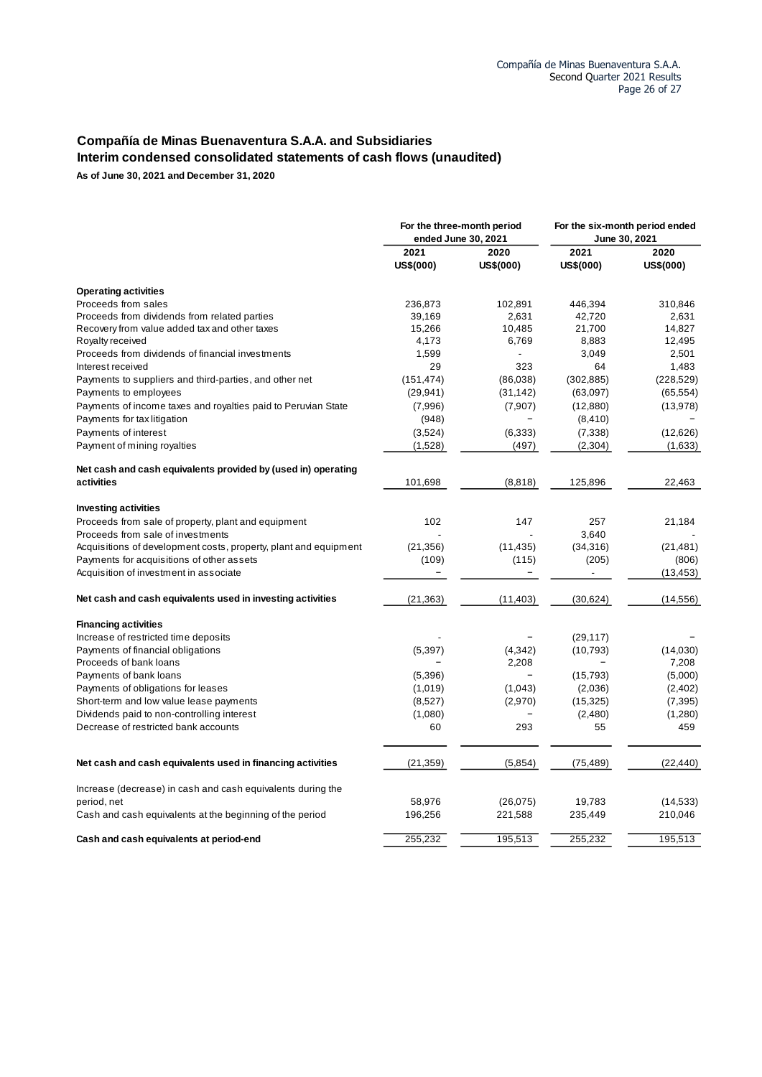## **Compañía de Minas Buenaventura S.A.A. and Subsidiaries Interim condensed consolidated statements of cash flows (unaudited)**

**As of June 30, 2021 and December 31, 2020**

|                                                                  | ended June 30, 2021 | For the three-month period | For the six-month period ended<br>June 30, 2021 |                   |
|------------------------------------------------------------------|---------------------|----------------------------|-------------------------------------------------|-------------------|
|                                                                  | 2021<br>US\$(000)   | 2020<br>US\$(000)          | 2021<br>US\$(000)                               | 2020<br>US\$(000) |
| <b>Operating activities</b>                                      |                     |                            |                                                 |                   |
| Proceeds from sales                                              | 236,873             | 102,891                    | 446,394                                         | 310,846           |
| Proceeds from dividends from related parties                     | 39,169              | 2,631                      | 42,720                                          | 2,631             |
| Recovery from value added tax and other taxes                    | 15,266              | 10,485                     | 21,700                                          | 14,827            |
| Royalty received                                                 | 4,173               | 6,769                      | 8,883                                           | 12,495            |
| Proceeds from dividends of financial investments                 | 1,599               | $\overline{\phantom{0}}$   | 3,049                                           | 2,501             |
| Interest received                                                | 29                  | 323                        | 64                                              | 1,483             |
| Payments to suppliers and third-parties, and other net           | (151, 474)          | (86,038)                   | (302, 885)                                      | (228, 529)        |
| Payments to employees                                            | (29, 941)           | (31, 142)                  | (63,097)                                        | (65, 554)         |
| Payments of income taxes and royalties paid to Peruvian State    | (7,996)             | (7,907)                    | (12,880)                                        | (13, 978)         |
| Payments for tax litigation                                      | (948)               | $\qquad \qquad -$          | (8, 410)                                        |                   |
| Payments of interest                                             | (3,524)             | (6, 333)                   | (7, 338)                                        | (12,626)          |
| Payment of mining royalties                                      | (1,528)             | (497)                      | (2,304)                                         | (1,633)           |
| Net cash and cash equivalents provided by (used in) operating    |                     |                            |                                                 |                   |
| activities                                                       | 101,698             | (8,818)                    | 125,896                                         | 22,463            |
| <b>Investing activities</b>                                      |                     |                            |                                                 |                   |
| Proceeds from sale of property, plant and equipment              | 102                 | 147                        | 257                                             | 21,184            |
| Proceeds from sale of investments                                |                     |                            | 3,640                                           |                   |
| Acquisitions of development costs, property, plant and equipment | (21, 356)           | (11, 435)                  | (34,316)                                        | (21, 481)         |
| Payments for acquisitions of other assets                        | (109)               | (115)                      | (205)                                           | (806)             |
| Acquisition of investment in associate                           |                     |                            | -                                               | (13, 453)         |
| Net cash and cash equivalents used in investing activities       | (21, 363)           | (11, 403)                  | (30,624)                                        | (14, 556)         |
| <b>Financing activities</b>                                      |                     |                            |                                                 |                   |
| Increase of restricted time deposits                             |                     |                            | (29, 117)                                       |                   |
| Payments of financial obligations                                | (5, 397)            | (4, 342)                   | (10, 793)                                       | (14,030)          |
| Proceeds of bank loans                                           |                     | 2,208                      |                                                 | 7,208             |
| Payments of bank loans                                           | (5,396)             | $\qquad \qquad -$          | (15, 793)                                       | (5,000)           |
| Payments of obligations for leases                               | (1,019)             | (1,043)                    | (2,036)                                         | (2,402)           |
| Short-term and low value lease payments                          | (8,527)             | (2,970)                    | (15, 325)                                       | (7, 395)          |
| Dividends paid to non-controlling interest                       | (1,080)             |                            | (2,480)                                         | (1,280)           |
| Decrease of restricted bank accounts                             | 60                  | 293                        | 55                                              | 459               |
| Net cash and cash equivalents used in financing activities       | (21, 359)           | (5,854)                    | (75, 489)                                       | (22, 440)         |
| Increase (decrease) in cash and cash equivalents during the      |                     |                            |                                                 |                   |
| period, net                                                      | 58,976              | (26, 075)                  | 19,783                                          | (14, 533)         |
| Cash and cash equivalents at the beginning of the period         | 196,256             | 221,588                    | 235,449                                         | 210,046           |
| Cash and cash equivalents at period-end                          | 255,232             | 195,513                    | 255,232                                         | 195,513           |